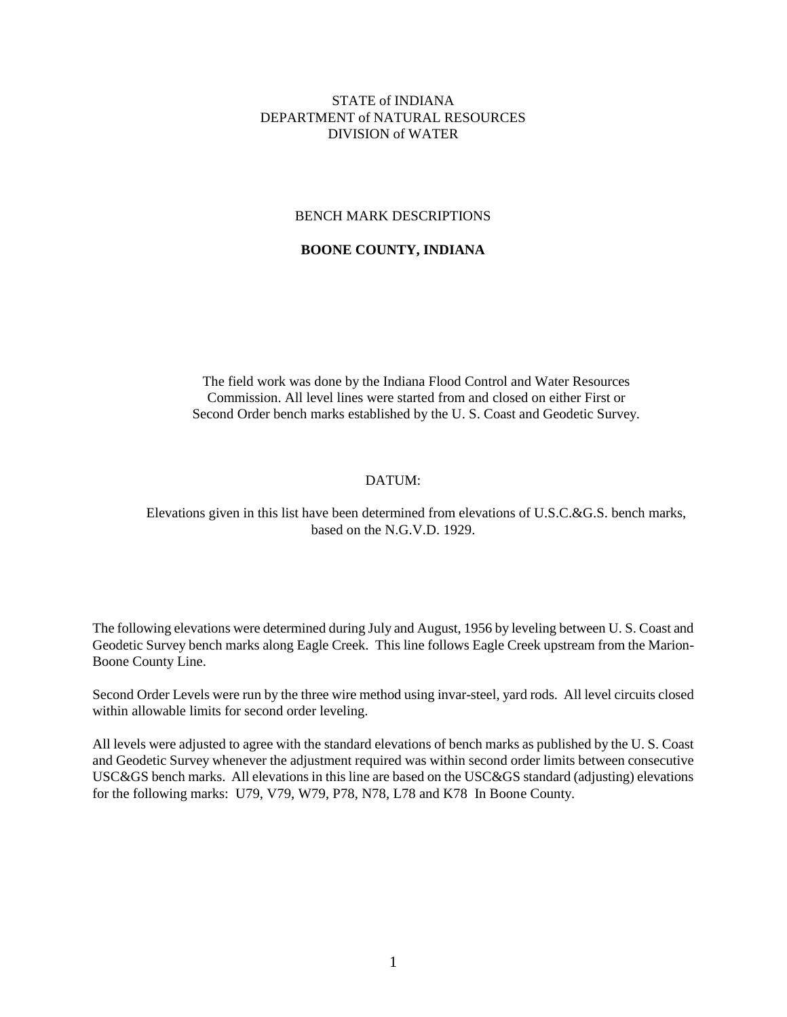#### STATE of INDIANA DEPARTMENT of NATURAL RESOURCES DIVISION of WATER

#### BENCH MARK DESCRIPTIONS

#### **BOONE COUNTY, INDIANA**

The field work was done by the Indiana Flood Control and Water Resources Commission. All level lines were started from and closed on either First or Second Order bench marks established by the U. S. Coast and Geodetic Survey.

#### DATUM:

#### Elevations given in this list have been determined from elevations of U.S.C.&G.S. bench marks, based on the N.G.V.D. 1929.

The following elevations were determined during July and August, 1956 by leveling between U. S. Coast and Geodetic Survey bench marks along Eagle Creek. This line follows Eagle Creek upstream from the Marion-Boone County Line.

Second Order Levels were run by the three wire method using invar-steel, yard rods. All level circuits closed within allowable limits for second order leveling.

All levels were adjusted to agree with the standard elevations of bench marks as published by the U. S. Coast and Geodetic Survey whenever the adjustment required was within second order limits between consecutive USC&GS bench marks. All elevations in this line are based on the USC&GS standard (adjusting) elevations for the following marks: U79, V79, W79, P78, N78, L78 and K78 In Boone County.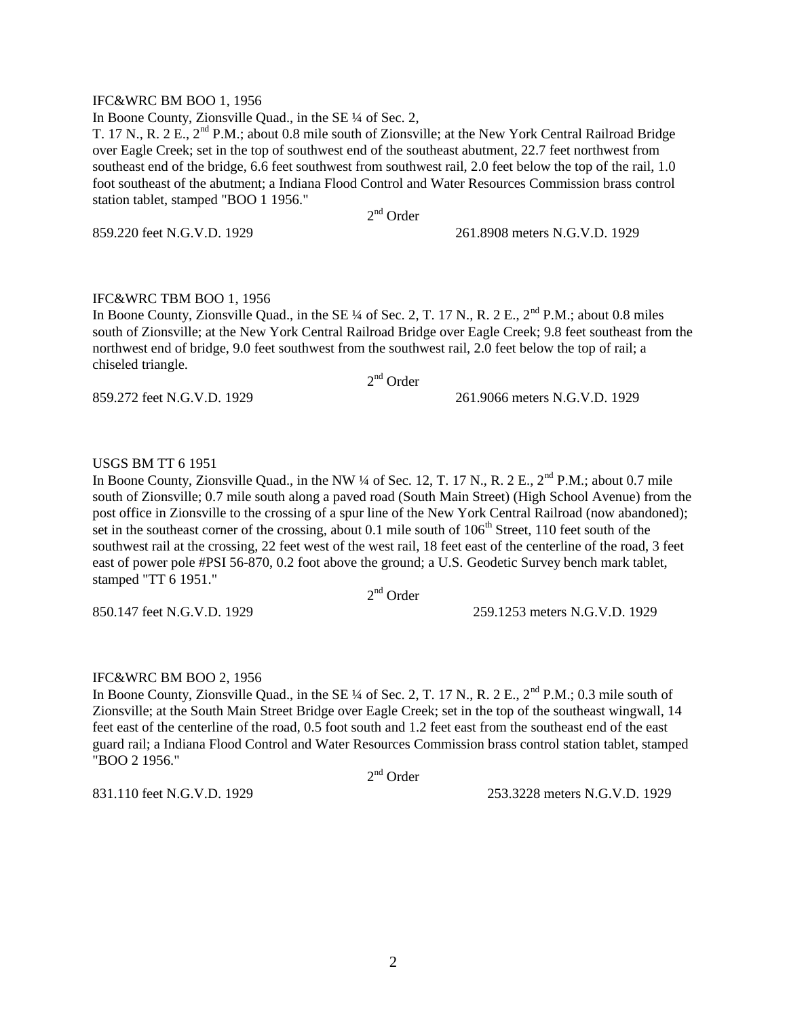#### IFC&WRC BM BOO 1, 1956

In Boone County, Zionsville Quad., in the SE ¼ of Sec. 2,

T. 17 N., R. 2 E.,  $2<sup>nd</sup>$  P.M.; about 0.8 mile south of Zionsville; at the New York Central Railroad Bridge over Eagle Creek; set in the top of southwest end of the southeast abutment, 22.7 feet northwest from southeast end of the bridge, 6.6 feet southwest from southwest rail, 2.0 feet below the top of the rail, 1.0 foot southeast of the abutment; a Indiana Flood Control and Water Resources Commission brass control station tablet, stamped "BOO 1 1956."

2<sup>nd</sup> Order

859.220 feet N.G.V.D. 1929 261.8908 meters N.G.V.D. 1929

#### IFC&WRC TBM BOO 1, 1956

In Boone County, Zionsville Quad., in the SE  $\frac{1}{4}$  of Sec. 2, T. 17 N., R. 2 E.,  $2^{nd}$  P.M.; about 0.8 miles south of Zionsville; at the New York Central Railroad Bridge over Eagle Creek; 9.8 feet southeast from the northwest end of bridge, 9.0 feet southwest from the southwest rail, 2.0 feet below the top of rail; a chiseled triangle.

2<sup>nd</sup> Order

859.272 feet N.G.V.D. 1929 261.9066 meters N.G.V.D. 1929

#### USGS BM TT 6 1951

In Boone County, Zionsville Quad., in the NW ¼ of Sec. 12, T. 17 N., R. 2 E.,  $2<sup>nd</sup>$  P.M.; about 0.7 mile south of Zionsville; 0.7 mile south along a paved road (South Main Street) (High School Avenue) from the post office in Zionsville to the crossing of a spur line of the New York Central Railroad (now abandoned); set in the southeast corner of the crossing, about 0.1 mile south of 106<sup>th</sup> Street, 110 feet south of the southwest rail at the crossing, 22 feet west of the west rail, 18 feet east of the centerline of the road, 3 feet east of power pole #PSI 56-870, 0.2 foot above the ground; a U.S. Geodetic Survey bench mark tablet, stamped "TT 6 1951."

2<sup>nd</sup> Order

850.147 feet N.G.V.D. 1929 259.1253 meters N.G.V.D. 1929

## IFC&WRC BM BOO 2, 1956

In Boone County, Zionsville Quad., in the SE ¼ of Sec. 2, T, 17 N., R, 2 E., 2<sup>nd</sup> P.M.; 0.3 mile south of Zionsville; at the South Main Street Bridge over Eagle Creek; set in the top of the southeast wingwall, 14 feet east of the centerline of the road, 0.5 foot south and 1.2 feet east from the southeast end of the east guard rail; a Indiana Flood Control and Water Resources Commission brass control station tablet, stamped "BOO 2 1956."

2<sup>nd</sup> Order

831.110 feet N.G.V.D. 1929 253.3228 meters N.G.V.D. 1929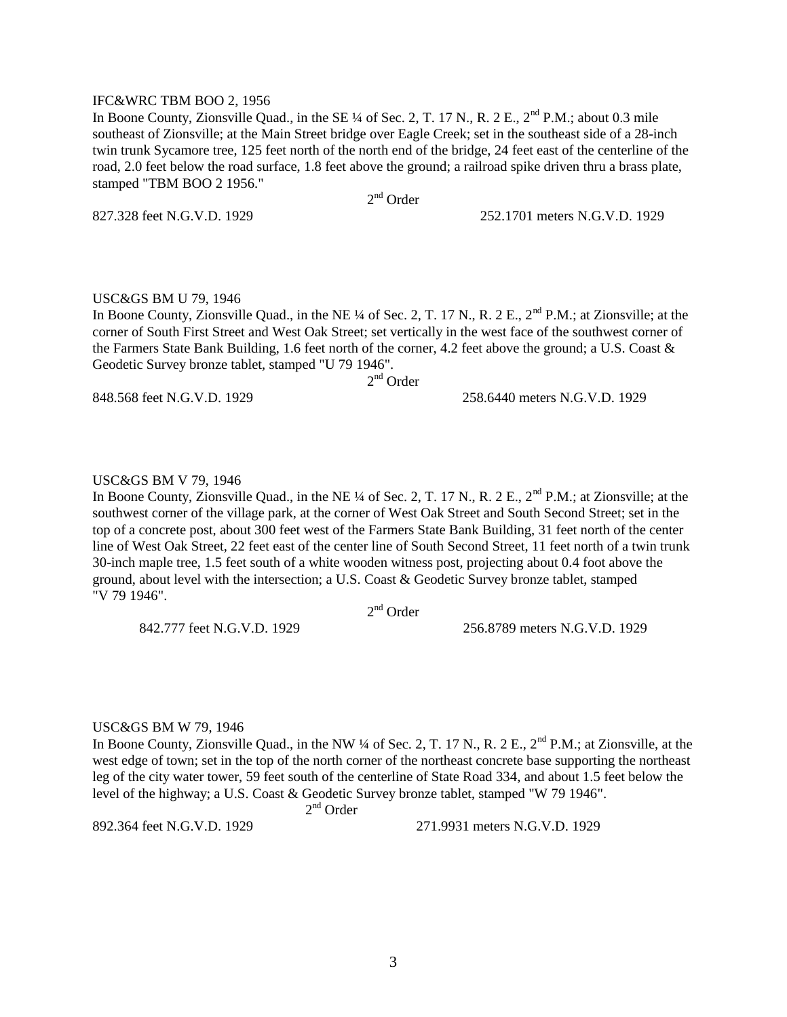#### IFC&WRC TBM BOO 2, 1956

In Boone County, Zionsville Quad., in the SE  $\frac{1}{4}$  of Sec. 2, T. 17 N., R. 2 E., 2<sup>nd</sup> P.M.; about 0.3 mile southeast of Zionsville; at the Main Street bridge over Eagle Creek; set in the southeast side of a 28-inch twin trunk Sycamore tree, 125 feet north of the north end of the bridge, 24 feet east of the centerline of the road, 2.0 feet below the road surface, 1.8 feet above the ground; a railroad spike driven thru a brass plate, stamped "TBM BOO 2 1956."

2<sup>nd</sup> Order

827.328 feet N.G.V.D. 1929 252.1701 meters N.G.V.D. 1929

#### USC&GS BM U 79, 1946

In Boone County, Zionsville Quad., in the NE ¼ of Sec. 2, T. 17 N., R. 2 E., 2<sup>nd</sup> P.M.; at Zionsville; at the corner of South First Street and West Oak Street; set vertically in the west face of the southwest corner of the Farmers State Bank Building, 1.6 feet north of the corner, 4.2 feet above the ground; a U.S. Coast & Geodetic Survey bronze tablet, stamped "U 79 1946".

2<sup>nd</sup> Order

848.568 feet N.G.V.D. 1929 258.6440 meters N.G.V.D. 1929

#### USC&GS BM V 79, 1946

In Boone County, Zionsville Quad., in the NE ¼ of Sec. 2, T. 17 N., R. 2 E., 2<sup>nd</sup> P.M.; at Zionsville; at the southwest corner of the village park, at the corner of West Oak Street and South Second Street; set in the top of a concrete post, about 300 feet west of the Farmers State Bank Building, 31 feet north of the center line of West Oak Street, 22 feet east of the center line of South Second Street, 11 feet north of a twin trunk 30-inch maple tree, 1.5 feet south of a white wooden witness post, projecting about 0.4 foot above the ground, about level with the intersection; a U.S. Coast & Geodetic Survey bronze tablet, stamped "V 79 1946".

2<sup>nd</sup> Order

842.777 feet N.G.V.D. 1929 256.8789 meters N.G.V.D. 1929

#### USC&GS BM W 79, 1946

In Boone County, Zionsville Quad., in the NW ¼ of Sec. 2, T. 17 N., R. 2 E.,  $2^{nd}$  P.M.; at Zionsville, at the west edge of town; set in the top of the north corner of the northeast concrete base supporting the northeast leg of the city water tower, 59 feet south of the centerline of State Road 334, and about 1.5 feet below the level of the highway; a U.S. Coast & Geodetic Survey bronze tablet, stamped "W 79 1946".

 $2<sup>nd</sup>$  Order

2

892.364 feet N.G.V.D. 1929 271.9931 meters N.G.V.D. 1929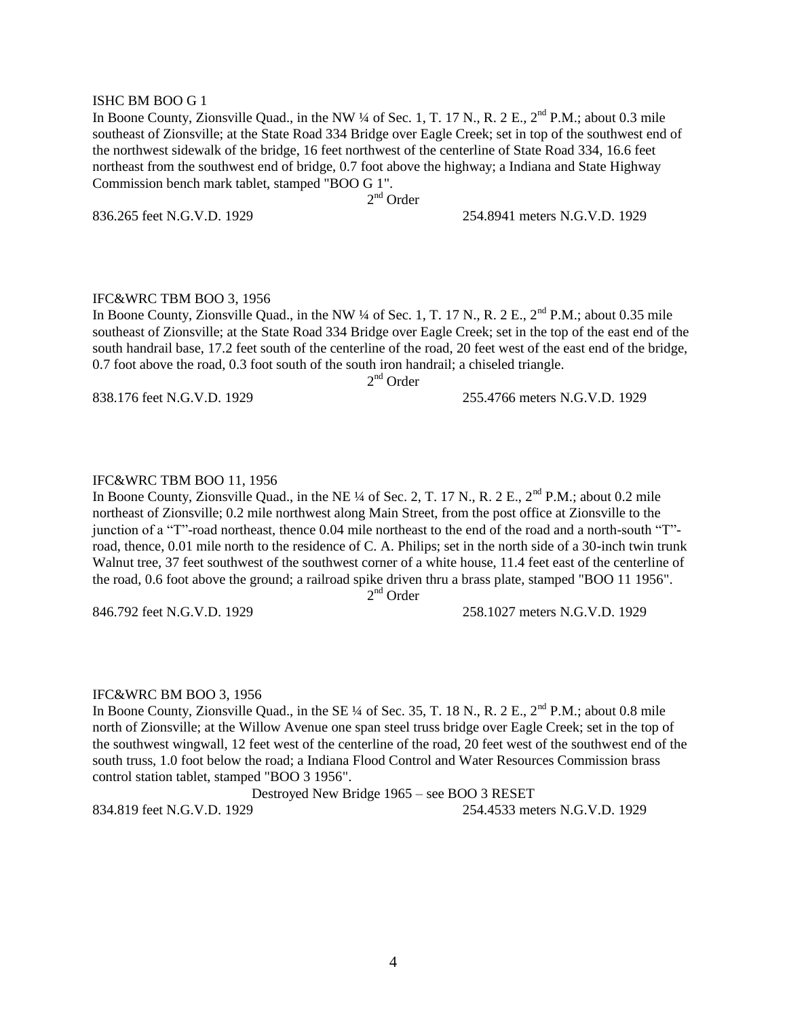#### ISHC BM BOO G 1

In Boone County, Zionsville Quad., in the NW  $\frac{1}{4}$  of Sec. 1, T. 17 N., R. 2 E.,  $2^{\text{nd}}$  P.M.; about 0.3 mile southeast of Zionsville; at the State Road 334 Bridge over Eagle Creek; set in top of the southwest end of the northwest sidewalk of the bridge, 16 feet northwest of the centerline of State Road 334, 16.6 feet northeast from the southwest end of bridge, 0.7 foot above the highway; a Indiana and State Highway Commission bench mark tablet, stamped "BOO G 1".

2<sup>nd</sup> Order

836.265 feet N.G.V.D. 1929 254.8941 meters N.G.V.D. 1929

#### IFC&WRC TBM BOO 3, 1956

In Boone County, Zionsville Quad., in the NW  $\frac{1}{4}$  of Sec. 1, T. 17 N., R. 2 E., 2<sup>nd</sup> P.M.; about 0.35 mile southeast of Zionsville; at the State Road 334 Bridge over Eagle Creek; set in the top of the east end of the south handrail base, 17.2 feet south of the centerline of the road, 20 feet west of the east end of the bridge, 0.7 foot above the road, 0.3 foot south of the south iron handrail; a chiseled triangle.

2<sup>nd</sup> Order

838.176 feet N.G.V.D. 1929 255.4766 meters N.G.V.D. 1929

#### IFC&WRC TBM BOO 11, 1956

In Boone County, Zionsville Quad., in the NE ¼ of Sec. 2, T. 17 N., R. 2 E., 2<sup>nd</sup> P.M.; about 0.2 mile northeast of Zionsville; 0.2 mile northwest along Main Street, from the post office at Zionsville to the junction of a "T"-road northeast, thence 0.04 mile northeast to the end of the road and a north-south "T" road, thence, 0.01 mile north to the residence of C. A. Philips; set in the north side of a 30-inch twin trunk Walnut tree, 37 feet southwest of the southwest corner of a white house, 11.4 feet east of the centerline of the road, 0.6 foot above the ground; a railroad spike driven thru a brass plate, stamped "BOO 11 1956". 2<sup>nd</sup> Order

846.792 feet N.G.V.D. 1929 258.1027 meters N.G.V.D. 1929

#### IFC&WRC BM BOO 3, 1956

In Boone County, Zionsville Quad., in the SE  $\frac{1}{4}$  of Sec. 35, T. 18 N., R. 2 E., 2<sup>nd</sup> P.M.; about 0.8 mile north of Zionsville; at the Willow Avenue one span steel truss bridge over Eagle Creek; set in the top of the southwest wingwall, 12 feet west of the centerline of the road, 20 feet west of the southwest end of the south truss, 1.0 foot below the road; a Indiana Flood Control and Water Resources Commission brass control station tablet, stamped "BOO 3 1956".

Destroyed New Bridge 1965 – see BOO 3 RESET 834.819 feet N.G.V.D. 1929 254.4533 meters N.G.V.D. 1929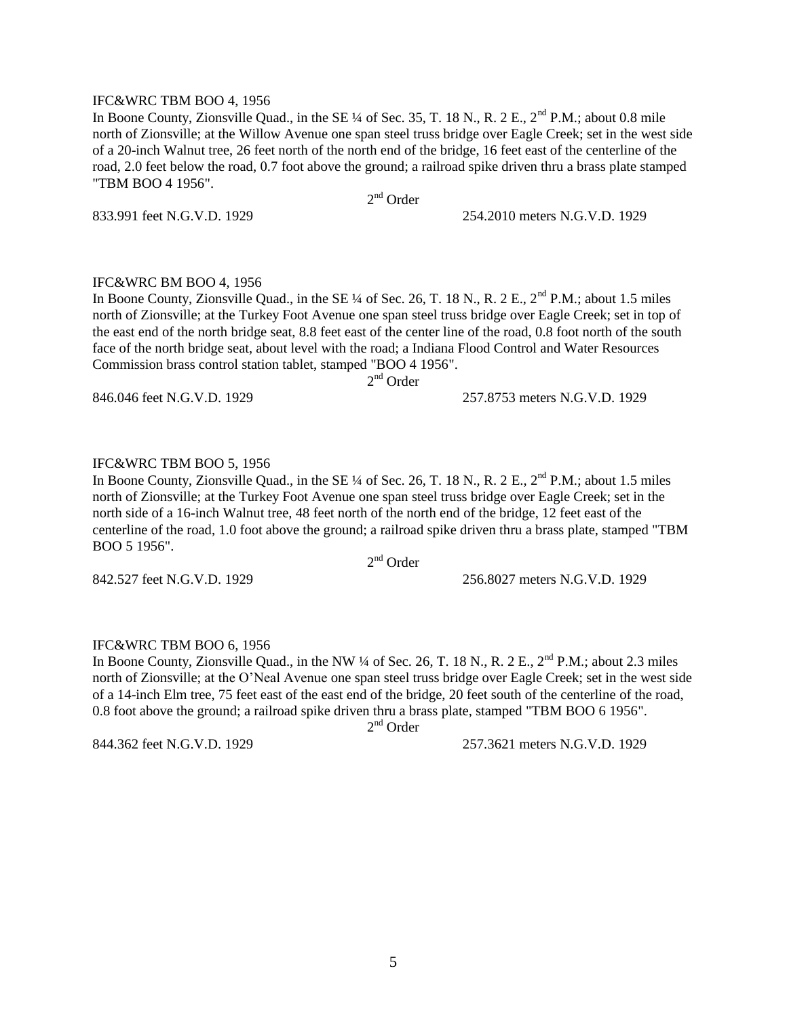#### IFC&WRC TBM BOO 4, 1956

In Boone County, Zionsville Quad., in the SE  $\frac{1}{4}$  of Sec. 35, T. 18 N., R. 2 E., 2<sup>nd</sup> P.M.; about 0.8 mile north of Zionsville; at the Willow Avenue one span steel truss bridge over Eagle Creek; set in the west side of a 20-inch Walnut tree, 26 feet north of the north end of the bridge, 16 feet east of the centerline of the road, 2.0 feet below the road, 0.7 foot above the ground; a railroad spike driven thru a brass plate stamped "TBM BOO 4 1956".

2<sup>nd</sup> Order

833.991 feet N.G.V.D. 1929 254.2010 meters N.G.V.D. 1929

IFC&WRC BM BOO 4, 1956

In Boone County, Zionsville Quad., in the SE  $\frac{1}{4}$  of Sec. 26, T, 18 N,, R, 2 E,  $2^{nd}$  P.M.; about 1.5 miles north of Zionsville; at the Turkey Foot Avenue one span steel truss bridge over Eagle Creek; set in top of the east end of the north bridge seat, 8.8 feet east of the center line of the road, 0.8 foot north of the south face of the north bridge seat, about level with the road; a Indiana Flood Control and Water Resources Commission brass control station tablet, stamped "BOO 4 1956".

2<sup>nd</sup> Order

846.046 feet N.G.V.D. 1929 257.8753 meters N.G.V.D. 1929

#### IFC&WRC TBM BOO 5, 1956

In Boone County, Zionsville Quad., in the SE  $\frac{1}{4}$  of Sec. 26, T. 18 N., R. 2 E., 2<sup>nd</sup> P.M.; about 1.5 miles north of Zionsville; at the Turkey Foot Avenue one span steel truss bridge over Eagle Creek; set in the north side of a 16-inch Walnut tree, 48 feet north of the north end of the bridge, 12 feet east of the centerline of the road, 1.0 foot above the ground; a railroad spike driven thru a brass plate, stamped "TBM BOO 5 1956".

2<sup>nd</sup> Order

842.527 feet N.G.V.D. 1929 256.8027 meters N.G.V.D. 1929

#### IFC&WRC TBM BOO 6, 1956

In Boone County, Zionsville Quad., in the NW  $\frac{1}{4}$  of Sec. 26, T. 18 N., R. 2 E.,  $2^{nd}$  P.M.; about 2.3 miles north of Zionsville; at the O"Neal Avenue one span steel truss bridge over Eagle Creek; set in the west side of a 14-inch Elm tree, 75 feet east of the east end of the bridge, 20 feet south of the centerline of the road, 0.8 foot above the ground; a railroad spike driven thru a brass plate, stamped "TBM BOO 6 1956".

2<sup>nd</sup> Order

844.362 feet N.G.V.D. 1929 257.3621 meters N.G.V.D. 1929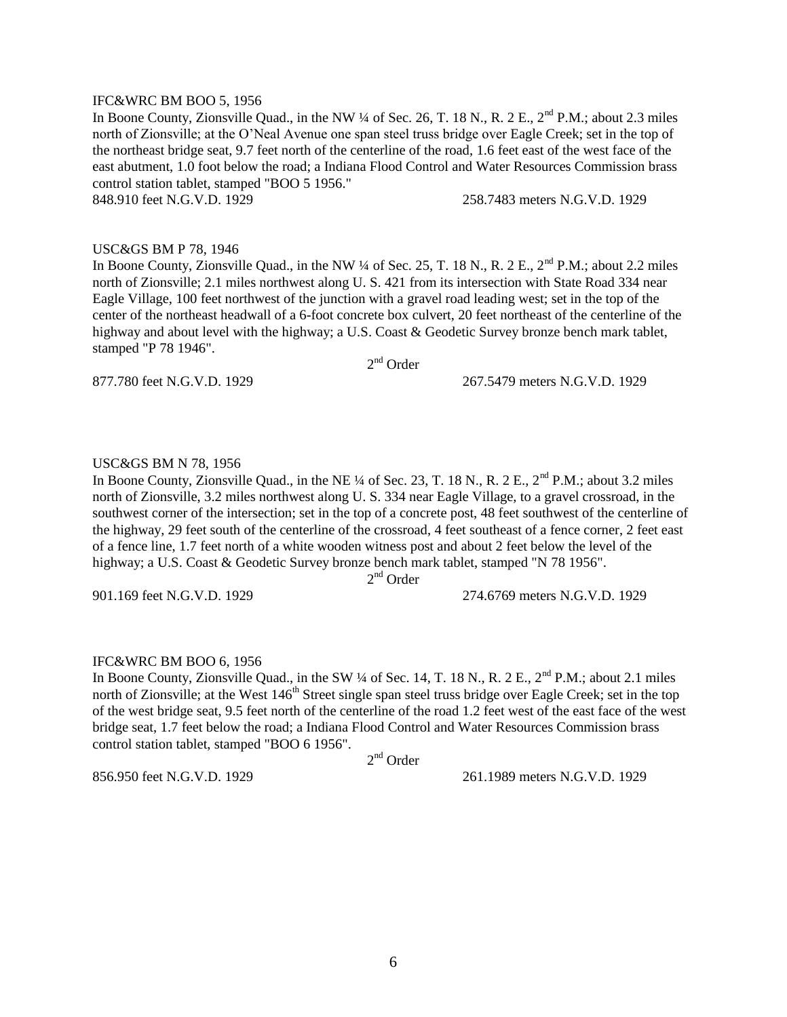#### IFC&WRC BM BOO 5, 1956

In Boone County, Zionsville Quad., in the NW  $\frac{1}{4}$  of Sec. 26, T. 18 N., R. 2 E.,  $2^{nd}$  P.M.; about 2.3 miles north of Zionsville; at the O"Neal Avenue one span steel truss bridge over Eagle Creek; set in the top of the northeast bridge seat, 9.7 feet north of the centerline of the road, 1.6 feet east of the west face of the east abutment, 1.0 foot below the road; a Indiana Flood Control and Water Resources Commission brass control station tablet, stamped "BOO 5 1956."

848.910 feet N.G.V.D. 1929 258.7483 meters N.G.V.D. 1929

#### USC&GS BM P 78, 1946

In Boone County, Zionsville Quad., in the NW  $\frac{1}{4}$  of Sec. 25, T. 18 N., R. 2 E.,  $2^{nd}$  P.M.; about 2.2 miles north of Zionsville; 2.1 miles northwest along U. S. 421 from its intersection with State Road 334 near Eagle Village, 100 feet northwest of the junction with a gravel road leading west; set in the top of the center of the northeast headwall of a 6-foot concrete box culvert, 20 feet northeast of the centerline of the highway and about level with the highway; a U.S. Coast & Geodetic Survey bronze bench mark tablet, stamped "P 78 1946".

2<sup>nd</sup> Order

877.780 feet N.G.V.D. 1929 267.5479 meters N.G.V.D. 1929

#### USC&GS BM N 78, 1956

In Boone County, Zionsville Quad., in the NE  $\frac{1}{4}$  of Sec. 23, T. 18 N., R. 2 E., 2<sup>nd</sup> P.M.; about 3.2 miles north of Zionsville, 3.2 miles northwest along U. S. 334 near Eagle Village, to a gravel crossroad, in the southwest corner of the intersection; set in the top of a concrete post, 48 feet southwest of the centerline of the highway, 29 feet south of the centerline of the crossroad, 4 feet southeast of a fence corner, 2 feet east of a fence line, 1.7 feet north of a white wooden witness post and about 2 feet below the level of the highway; a U.S. Coast & Geodetic Survey bronze bench mark tablet, stamped "N 78 1956".

2<sup>nd</sup> Order

901.169 feet N.G.V.D. 1929 274.6769 meters N.G.V.D. 1929

#### IFC&WRC BM BOO 6, 1956

In Boone County, Zionsville Quad., in the SW  $\frac{1}{4}$  of Sec. 14, T. 18 N., R. 2 E., 2<sup>nd</sup> P.M.; about 2.1 miles north of Zionsville; at the West 146<sup>th</sup> Street single span steel truss bridge over Eagle Creek; set in the top of the west bridge seat, 9.5 feet north of the centerline of the road 1.2 feet west of the east face of the west bridge seat, 1.7 feet below the road; a Indiana Flood Control and Water Resources Commission brass control station tablet, stamped "BOO 6 1956".

2<sup>nd</sup> Order

856.950 feet N.G.V.D. 1929 261.1989 meters N.G.V.D. 1929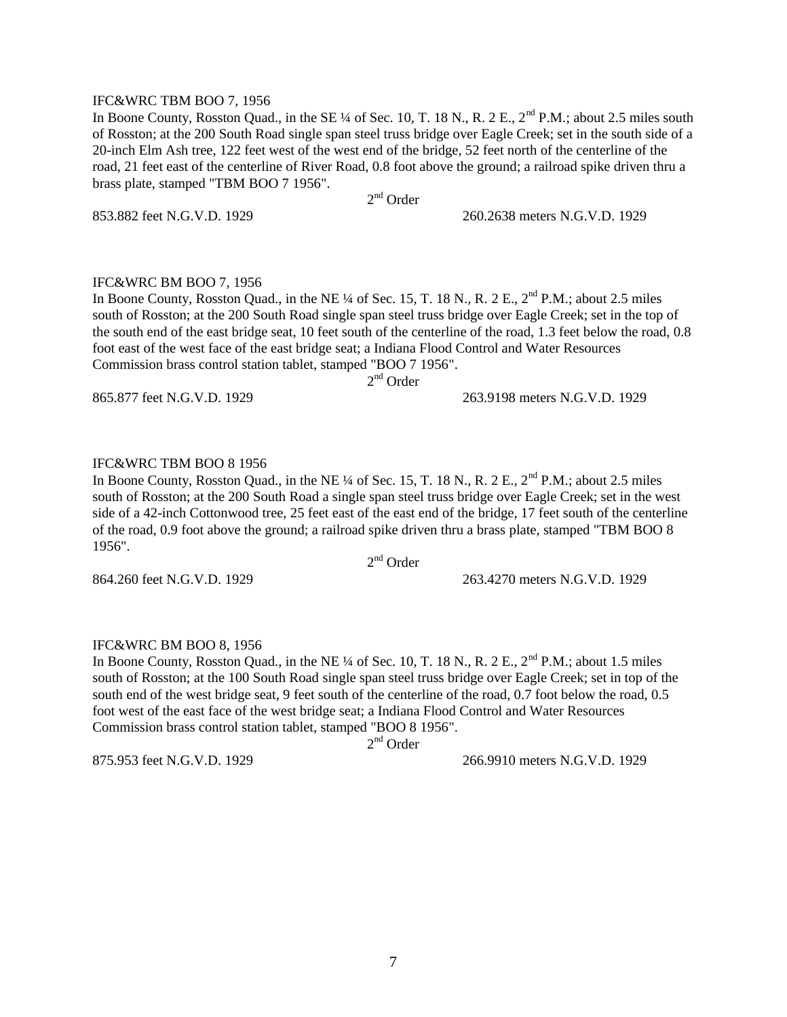#### IFC&WRC TBM BOO 7, 1956

In Boone County, Rosston Quad., in the SE ¼ of Sec. 10, T. 18 N., R. 2 E.,  $2<sup>nd</sup>$  P.M.; about 2.5 miles south of Rosston; at the 200 South Road single span steel truss bridge over Eagle Creek; set in the south side of a 20-inch Elm Ash tree, 122 feet west of the west end of the bridge, 52 feet north of the centerline of the road, 21 feet east of the centerline of River Road, 0.8 foot above the ground; a railroad spike driven thru a brass plate, stamped "TBM BOO 7 1956".

2<sup>nd</sup> Order

853.882 feet N.G.V.D. 1929 260.2638 meters N.G.V.D. 1929

#### IFC&WRC BM BOO 7, 1956

In Boone County, Rosston Quad., in the NE ¼ of Sec. 15, T. 18 N., R. 2 E., 2<sup>nd</sup> P.M.; about 2.5 miles south of Rosston; at the 200 South Road single span steel truss bridge over Eagle Creek; set in the top of the south end of the east bridge seat, 10 feet south of the centerline of the road, 1.3 feet below the road, 0.8 foot east of the west face of the east bridge seat; a Indiana Flood Control and Water Resources Commission brass control station tablet, stamped "BOO 7 1956".

2<sup>nd</sup> Order

865.877 feet N.G.V.D. 1929 263.9198 meters N.G.V.D. 1929

#### IFC&WRC TBM BOO 8 1956

In Boone County, Rosston Quad., in the NE  $\frac{1}{4}$  of Sec. 15, T. 18 N., R. 2 E.,  $2^{nd}$  P.M.; about 2.5 miles south of Rosston; at the 200 South Road a single span steel truss bridge over Eagle Creek; set in the west side of a 42-inch Cottonwood tree, 25 feet east of the east end of the bridge, 17 feet south of the centerline of the road, 0.9 foot above the ground; a railroad spike driven thru a brass plate, stamped "TBM BOO 8 1956".

2<sup>nd</sup> Order

864.260 feet N.G.V.D. 1929 263.4270 meters N.G.V.D. 1929

#### IFC&WRC BM BOO 8, 1956

In Boone County, Rosston Quad., in the NE ¼ of Sec. 10, T. 18 N., R. 2 E., 2<sup>nd</sup> P.M.; about 1.5 miles south of Rosston; at the 100 South Road single span steel truss bridge over Eagle Creek; set in top of the south end of the west bridge seat, 9 feet south of the centerline of the road, 0.7 foot below the road, 0.5 foot west of the east face of the west bridge seat; a Indiana Flood Control and Water Resources Commission brass control station tablet, stamped "BOO 8 1956".

2<sup>nd</sup> Order

875.953 feet N.G.V.D. 1929 266.9910 meters N.G.V.D. 1929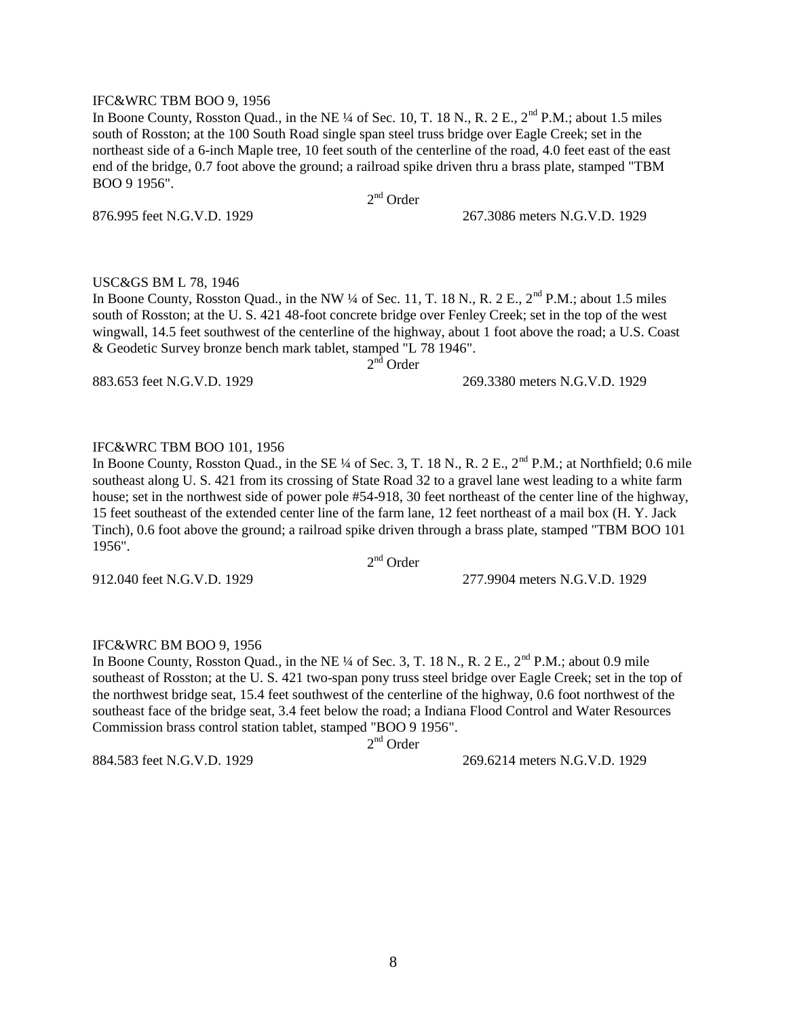#### IFC&WRC TBM BOO 9, 1956

In Boone County, Rosston Quad., in the NE  $\frac{1}{4}$  of Sec. 10, T. 18 N., R. 2 E., 2<sup>nd</sup> P.M.; about 1.5 miles south of Rosston; at the 100 South Road single span steel truss bridge over Eagle Creek; set in the northeast side of a 6-inch Maple tree, 10 feet south of the centerline of the road, 4.0 feet east of the east end of the bridge, 0.7 foot above the ground; a railroad spike driven thru a brass plate, stamped "TBM BOO 9 1956".

2<sup>nd</sup> Order

876.995 feet N.G.V.D. 1929 267.3086 meters N.G.V.D. 1929

#### USC&GS BM L 78, 1946

In Boone County, Rosston Quad., in the NW  $\frac{1}{4}$  of Sec. 11, T. 18 N., R. 2 E.,  $2^{nd}$  P.M.; about 1.5 miles south of Rosston; at the U. S. 421 48-foot concrete bridge over Fenley Creek; set in the top of the west wingwall, 14.5 feet southwest of the centerline of the highway, about 1 foot above the road; a U.S. Coast & Geodetic Survey bronze bench mark tablet, stamped "L 78 1946".

 $2<sup>n\bar{d}</sup>$  Order

883.653 feet N.G.V.D. 1929 269.3380 meters N.G.V.D. 1929

#### IFC&WRC TBM BOO 101, 1956

In Boone County, Rosston Quad., in the SE  $\frac{1}{4}$  of Sec. 3, T. 18 N., R. 2 E.,  $2^{nd}$  P.M.; at Northfield; 0.6 mile southeast along U. S. 421 from its crossing of State Road 32 to a gravel lane west leading to a white farm house; set in the northwest side of power pole #54-918, 30 feet northeast of the center line of the highway, 15 feet southeast of the extended center line of the farm lane, 12 feet northeast of a mail box (H. Y. Jack Tinch), 0.6 foot above the ground; a railroad spike driven through a brass plate, stamped "TBM BOO 101 1956".

2<sup>nd</sup> Order

912.040 feet N.G.V.D. 1929 277.9904 meters N.G.V.D. 1929

#### IFC&WRC BM BOO 9, 1956

In Boone County, Rosston Quad., in the NE ¼ of Sec. 3, T. 18 N., R. 2 E.,  $2<sup>nd</sup>$  P.M.; about 0.9 mile southeast of Rosston; at the U. S. 421 two-span pony truss steel bridge over Eagle Creek; set in the top of the northwest bridge seat, 15.4 feet southwest of the centerline of the highway, 0.6 foot northwest of the southeast face of the bridge seat, 3.4 feet below the road; a Indiana Flood Control and Water Resources Commission brass control station tablet, stamped "BOO 9 1956".

2<sup>nd</sup> Order

884.583 feet N.G.V.D. 1929 269.6214 meters N.G.V.D. 1929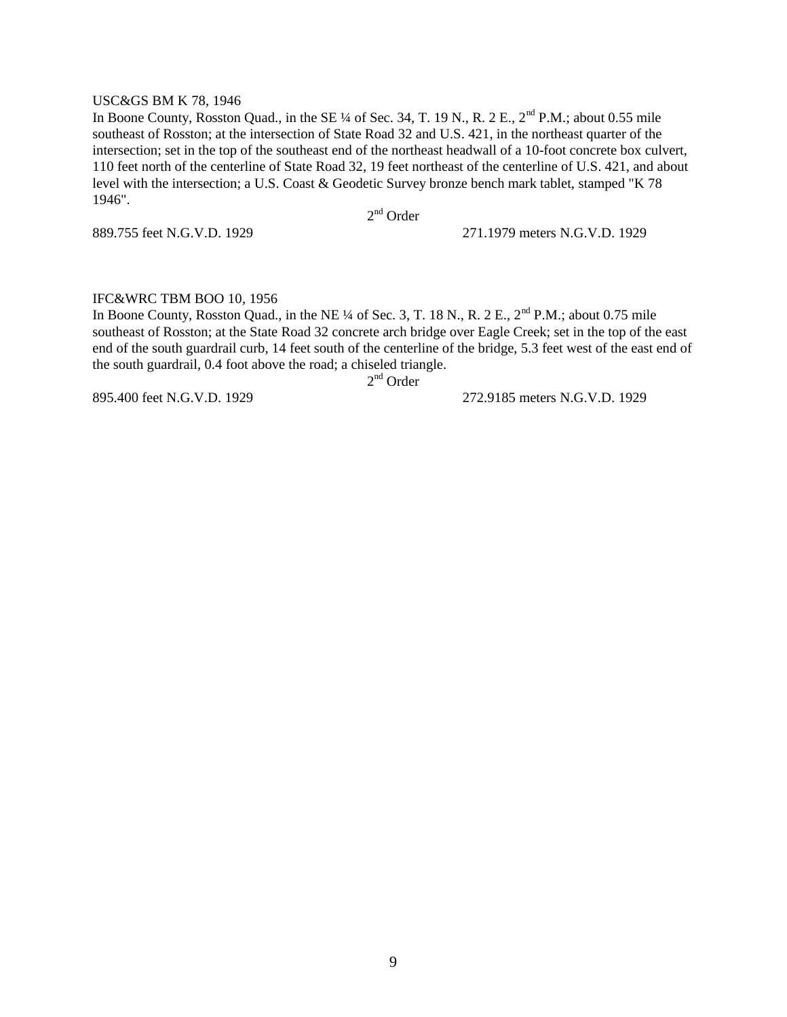#### USC&GS BM K 78, 1946

In Boone County, Rosston Quad., in the SE  $\frac{1}{4}$  of Sec. 34, T. 19 N., R. 2 E., 2<sup>nd</sup> P.M.; about 0.55 mile southeast of Rosston; at the intersection of State Road 32 and U.S. 421, in the northeast quarter of the intersection; set in the top of the southeast end of the northeast headwall of a 10-foot concrete box culvert, 110 feet north of the centerline of State Road 32, 19 feet northeast of the centerline of U.S. 421, and about level with the intersection; a U.S. Coast & Geodetic Survey bronze bench mark tablet, stamped "K 78 1946".

2<sup>nd</sup> Order

889.755 feet N.G.V.D. 1929 271.1979 meters N.G.V.D. 1929

#### IFC&WRC TBM BOO 10, 1956

In Boone County, Rosston Quad., in the NE ¼ of Sec. 3, T. 18 N., R. 2 E., 2<sup>nd</sup> P.M.; about 0.75 mile southeast of Rosston; at the State Road 32 concrete arch bridge over Eagle Creek; set in the top of the east end of the south guardrail curb, 14 feet south of the centerline of the bridge, 5.3 feet west of the east end of the south guardrail, 0.4 foot above the road; a chiseled triangle.

2<sup>nd</sup> Order

895.400 feet N.G.V.D. 1929 272.9185 meters N.G.V.D. 1929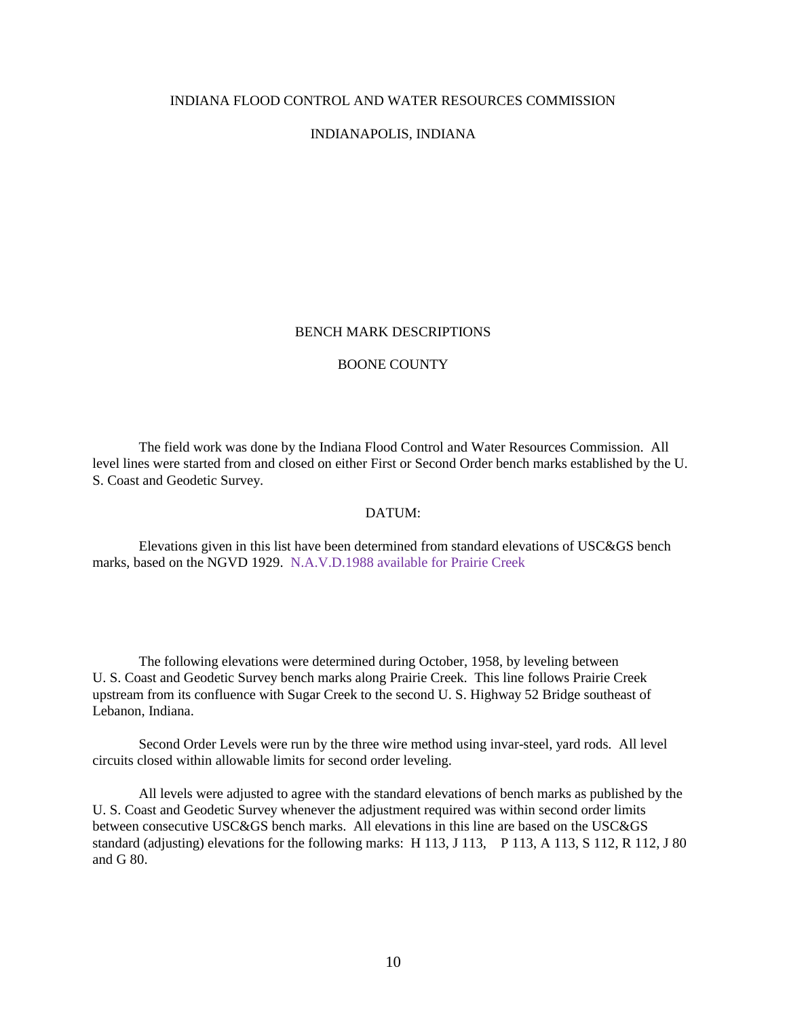#### INDIANA FLOOD CONTROL AND WATER RESOURCES COMMISSION

#### INDIANAPOLIS, INDIANA

#### BENCH MARK DESCRIPTIONS

#### BOONE COUNTY

The field work was done by the Indiana Flood Control and Water Resources Commission. All level lines were started from and closed on either First or Second Order bench marks established by the U. S. Coast and Geodetic Survey.

#### DATUM:

Elevations given in this list have been determined from standard elevations of USC&GS bench marks, based on the NGVD 1929. N.A.V.D.1988 available for Prairie Creek

The following elevations were determined during October, 1958, by leveling between U. S. Coast and Geodetic Survey bench marks along Prairie Creek. This line follows Prairie Creek upstream from its confluence with Sugar Creek to the second U. S. Highway 52 Bridge southeast of Lebanon, Indiana.

Second Order Levels were run by the three wire method using invar-steel, yard rods. All level circuits closed within allowable limits for second order leveling.

All levels were adjusted to agree with the standard elevations of bench marks as published by the U. S. Coast and Geodetic Survey whenever the adjustment required was within second order limits between consecutive USC&GS bench marks. All elevations in this line are based on the USC&GS standard (adjusting) elevations for the following marks: H 113, J 113, P 113, A 113, S 112, R 112, J 80 and G 80.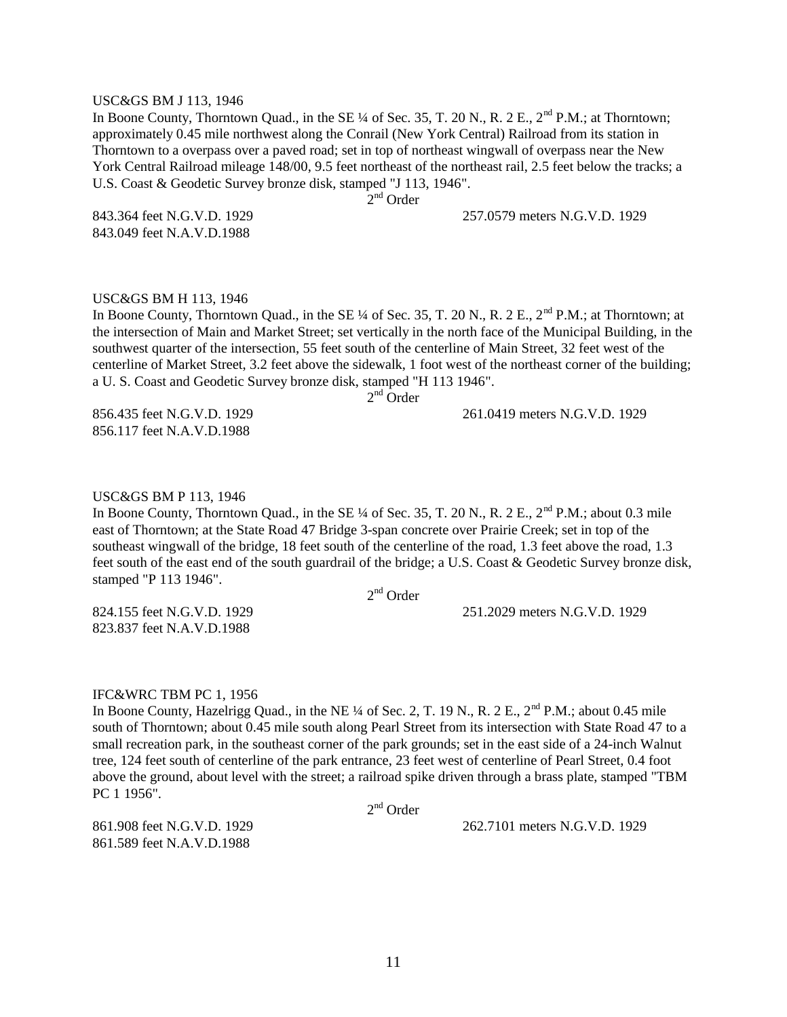#### USC&GS BM J 113, 1946

In Boone County, Thorntown Quad., in the SE ¼ of Sec. 35, T. 20 N., R. 2 E., 2<sup>nd</sup> P.M.; at Thorntown; approximately 0.45 mile northwest along the Conrail (New York Central) Railroad from its station in Thorntown to a overpass over a paved road; set in top of northeast wingwall of overpass near the New York Central Railroad mileage 148/00, 9.5 feet northeast of the northeast rail, 2.5 feet below the tracks; a U.S. Coast & Geodetic Survey bronze disk, stamped "J 113, 1946".

2<sup>nd</sup> Order

843.364 feet N.G.V.D. 1929 257.0579 meters N.G.V.D. 1929

843.049 feet N.A.V.D.1988

#### USC&GS BM H 113, 1946

In Boone County, Thorntown Quad., in the SE ¼ of Sec. 35, T. 20 N., R. 2 E., 2<sup>nd</sup> P.M.; at Thorntown; at the intersection of Main and Market Street; set vertically in the north face of the Municipal Building, in the southwest quarter of the intersection, 55 feet south of the centerline of Main Street, 32 feet west of the centerline of Market Street, 3.2 feet above the sidewalk, 1 foot west of the northeast corner of the building; a U. S. Coast and Geodetic Survey bronze disk, stamped "H 113 1946". 2<sup>nd</sup> Order

856.435 feet N.G.V.D. 1929 261.0419 meters N.G.V.D. 1929 856.117 feet N.A.V.D.1988

USC&GS BM P 113, 1946

In Boone County, Thorntown Quad., in the SE ¼ of Sec. 35, T. 20 N., R. 2 E., 2<sup>nd</sup> P.M.; about 0.3 mile east of Thorntown; at the State Road 47 Bridge 3-span concrete over Prairie Creek; set in top of the southeast wingwall of the bridge, 18 feet south of the centerline of the road, 1.3 feet above the road, 1.3 feet south of the east end of the south guardrail of the bridge; a U.S. Coast & Geodetic Survey bronze disk, stamped "P 113 1946".

2<sup>nd</sup> Order

824.155 feet N.G.V.D. 1929 251.2029 meters N.G.V.D. 1929

823.837 feet N.A.V.D.1988

#### IFC&WRC TBM PC 1, 1956

In Boone County, Hazelrigg Quad., in the NE  $\frac{1}{4}$  of Sec. 2, T. 19 N., R. 2 E.,  $2^{nd}$  P.M.; about 0.45 mile south of Thorntown; about 0.45 mile south along Pearl Street from its intersection with State Road 47 to a small recreation park, in the southeast corner of the park grounds; set in the east side of a 24-inch Walnut tree, 124 feet south of centerline of the park entrance, 23 feet west of centerline of Pearl Street, 0.4 foot above the ground, about level with the street; a railroad spike driven through a brass plate, stamped "TBM PC 1 1956".

2<sup>nd</sup> Order

861.589 feet N.A.V.D.1988

861.908 feet N.G.V.D. 1929 262.7101 meters N.G.V.D. 1929

11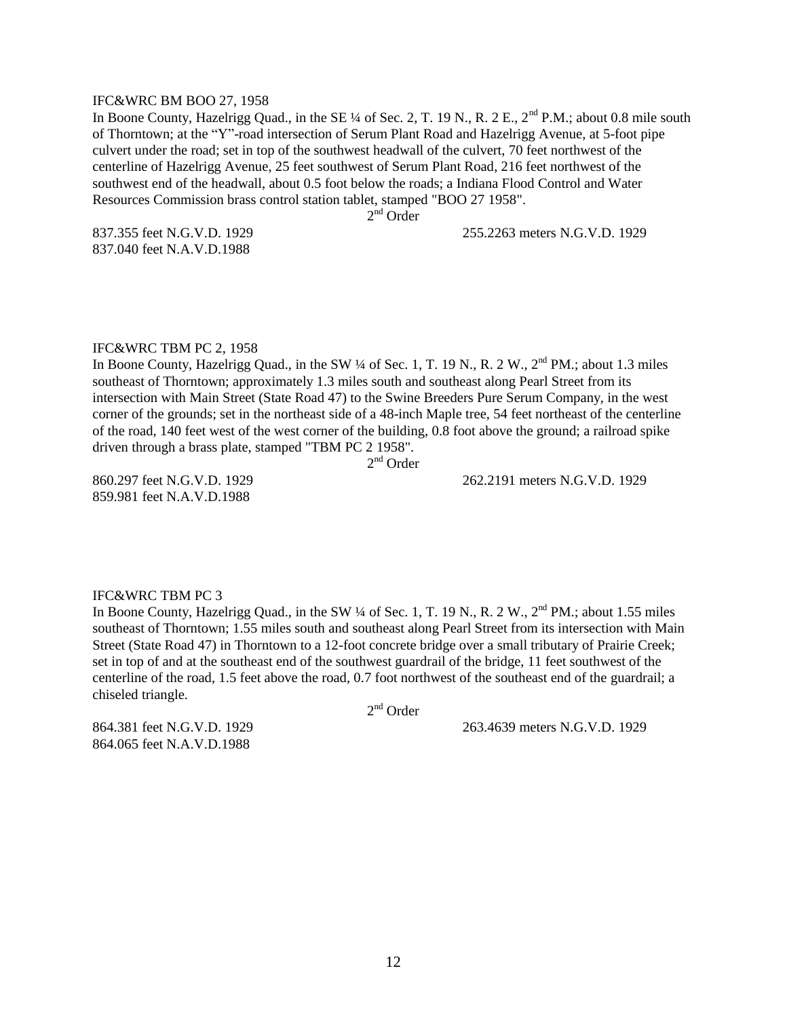#### IFC&WRC BM BOO 27, 1958

In Boone County, Hazelrigg Quad., in the SE ¼ of Sec. 2, T. 19 N., R. 2 E., 2<sup>nd</sup> P.M.; about 0.8 mile south of Thorntown; at the "Y"-road intersection of Serum Plant Road and Hazelrigg Avenue, at 5-foot pipe culvert under the road; set in top of the southwest headwall of the culvert, 70 feet northwest of the centerline of Hazelrigg Avenue, 25 feet southwest of Serum Plant Road, 216 feet northwest of the southwest end of the headwall, about 0.5 foot below the roads; a Indiana Flood Control and Water Resources Commission brass control station tablet, stamped "BOO 27 1958".

2<sup>nd</sup> Order

837.040 feet N.A.V.D.1988

837.355 feet N.G.V.D. 1929 255.2263 meters N.G.V.D. 1929

#### IFC&WRC TBM PC 2, 1958

In Boone County, Hazelrigg Quad., in the SW ¼ of Sec. 1, T. 19 N., R. 2 W., 2<sup>nd</sup> PM.; about 1.3 miles southeast of Thorntown; approximately 1.3 miles south and southeast along Pearl Street from its intersection with Main Street (State Road 47) to the Swine Breeders Pure Serum Company, in the west corner of the grounds; set in the northeast side of a 48-inch Maple tree, 54 feet northeast of the centerline of the road, 140 feet west of the west corner of the building, 0.8 foot above the ground; a railroad spike driven through a brass plate, stamped "TBM PC 2 1958".

2<sup>nd</sup> Order

859.981 feet N.A.V.D.1988

860.297 feet N.G.V.D. 1929 262.2191 meters N.G.V.D. 1929

#### IFC&WRC TBM PC 3

In Boone County, Hazelrigg Quad., in the SW  $\frac{1}{4}$  of Sec. 1, T. 19 N., R. 2 W.,  $2^{\text{nd}}$  PM.; about 1.55 miles southeast of Thorntown; 1.55 miles south and southeast along Pearl Street from its intersection with Main Street (State Road 47) in Thorntown to a 12-foot concrete bridge over a small tributary of Prairie Creek; set in top of and at the southeast end of the southwest guardrail of the bridge, 11 feet southwest of the centerline of the road, 1.5 feet above the road, 0.7 foot northwest of the southeast end of the guardrail; a chiseled triangle.

2<sup>nd</sup> Order

864.381 feet N.G.V.D. 1929 263.4639 meters N.G.V.D. 1929

864.065 feet N.A.V.D.1988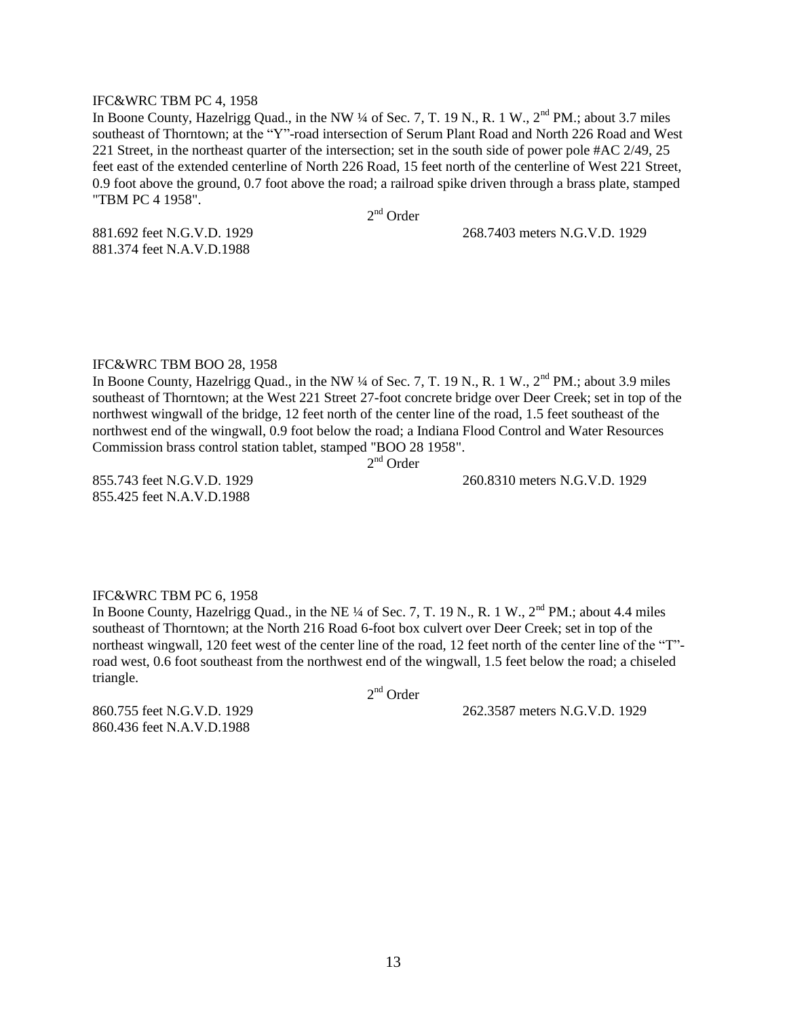#### IFC&WRC TBM PC 4, 1958

In Boone County, Hazelrigg Quad., in the NW  $\frac{1}{4}$  of Sec. 7, T. 19 N., R. 1 W.,  $2^{nd}$  PM.; about 3.7 miles southeast of Thorntown; at the "Y"-road intersection of Serum Plant Road and North 226 Road and West 221 Street, in the northeast quarter of the intersection; set in the south side of power pole #AC 2/49, 25 feet east of the extended centerline of North 226 Road, 15 feet north of the centerline of West 221 Street, 0.9 foot above the ground, 0.7 foot above the road; a railroad spike driven through a brass plate, stamped "TBM PC 4 1958".

2<sup>nd</sup> Order

881.374 feet N.A.V.D.1988

881.692 feet N.G.V.D. 1929 268.7403 meters N.G.V.D. 1929

IFC&WRC TBM BOO 28, 1958

In Boone County, Hazelrigg Quad., in the NW ¼ of Sec. 7, T. 19 N., R. 1 W., 2<sup>nd</sup> PM.; about 3.9 miles southeast of Thorntown; at the West 221 Street 27-foot concrete bridge over Deer Creek; set in top of the northwest wingwall of the bridge, 12 feet north of the center line of the road, 1.5 feet southeast of the northwest end of the wingwall, 0.9 foot below the road; a Indiana Flood Control and Water Resources Commission brass control station tablet, stamped "BOO 28 1958".

2<sup>nd</sup> Order

855.425 feet N.A.V.D.1988

855.743 feet N.G.V.D. 1929 260.8310 meters N.G.V.D. 1929

#### IFC&WRC TBM PC 6, 1958

In Boone County, Hazelrigg Quad., in the NE  $\frac{1}{4}$  of Sec. 7, T. 19 N., R. 1 W.,  $2^{nd}$  PM.; about 4.4 miles southeast of Thorntown; at the North 216 Road 6-foot box culvert over Deer Creek; set in top of the northeast wingwall, 120 feet west of the center line of the road, 12 feet north of the center line of the "T" road west, 0.6 foot southeast from the northwest end of the wingwall, 1.5 feet below the road; a chiseled triangle.

2<sup>nd</sup> Order

860.436 feet N.A.V.D.1988

860.755 feet N.G.V.D. 1929 262.3587 meters N.G.V.D. 1929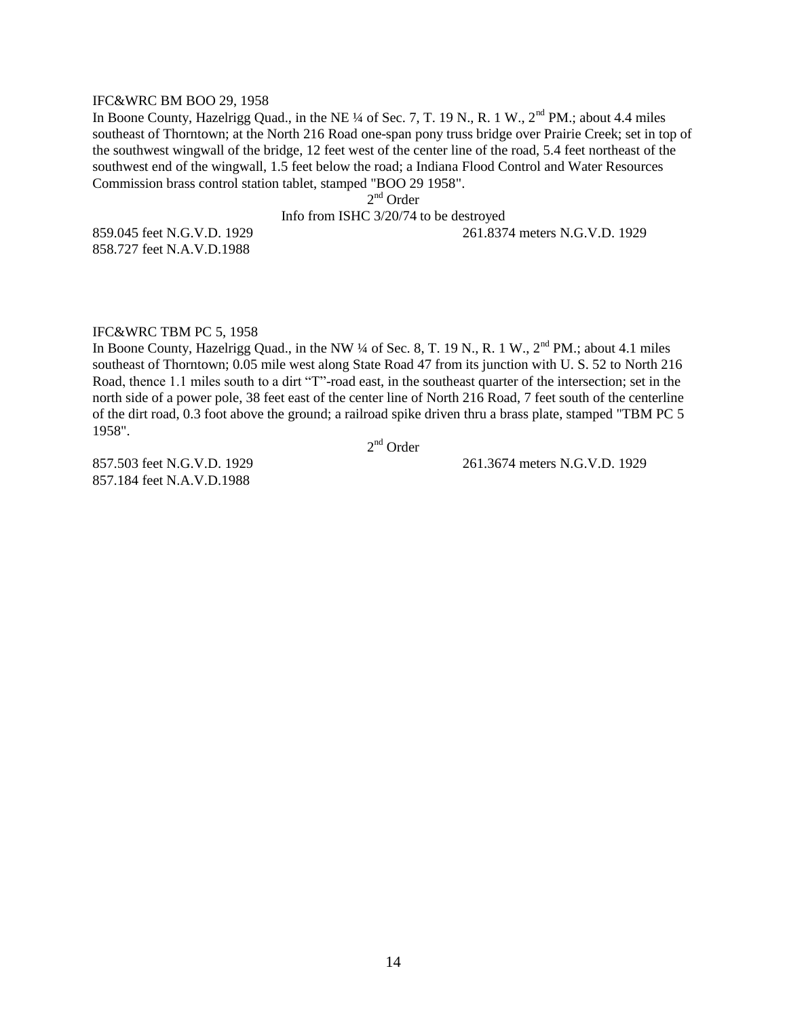#### IFC&WRC BM BOO 29, 1958

In Boone County, Hazelrigg Quad., in the NE  $\frac{1}{4}$  of Sec. 7, T. 19 N., R. 1 W.,  $2<sup>nd</sup>$  PM.; about 4.4 miles southeast of Thorntown; at the North 216 Road one-span pony truss bridge over Prairie Creek; set in top of the southwest wingwall of the bridge, 12 feet west of the center line of the road, 5.4 feet northeast of the southwest end of the wingwall, 1.5 feet below the road; a Indiana Flood Control and Water Resources Commission brass control station tablet, stamped "BOO 29 1958".

2<sup>nd</sup> Order

#### Info from ISHC 3/20/74 to be destroyed

858.727 feet N.A.V.D.1988

859.045 feet N.G.V.D. 1929 261.8374 meters N.G.V.D. 1929

#### IFC&WRC TBM PC 5, 1958

In Boone County, Hazelrigg Quad., in the NW  $\frac{1}{4}$  of Sec. 8, T. 19 N., R. 1 W.,  $2^{nd}$  PM.; about 4.1 miles southeast of Thorntown; 0.05 mile west along State Road 47 from its junction with U. S. 52 to North 216 Road, thence 1.1 miles south to a dirt "T"-road east, in the southeast quarter of the intersection; set in the north side of a power pole, 38 feet east of the center line of North 216 Road, 7 feet south of the centerline of the dirt road, 0.3 foot above the ground; a railroad spike driven thru a brass plate, stamped "TBM PC 5 1958".

2<sup>nd</sup> Order

857.184 feet N.A.V.D.1988

857.503 feet N.G.V.D. 1929 261.3674 meters N.G.V.D. 1929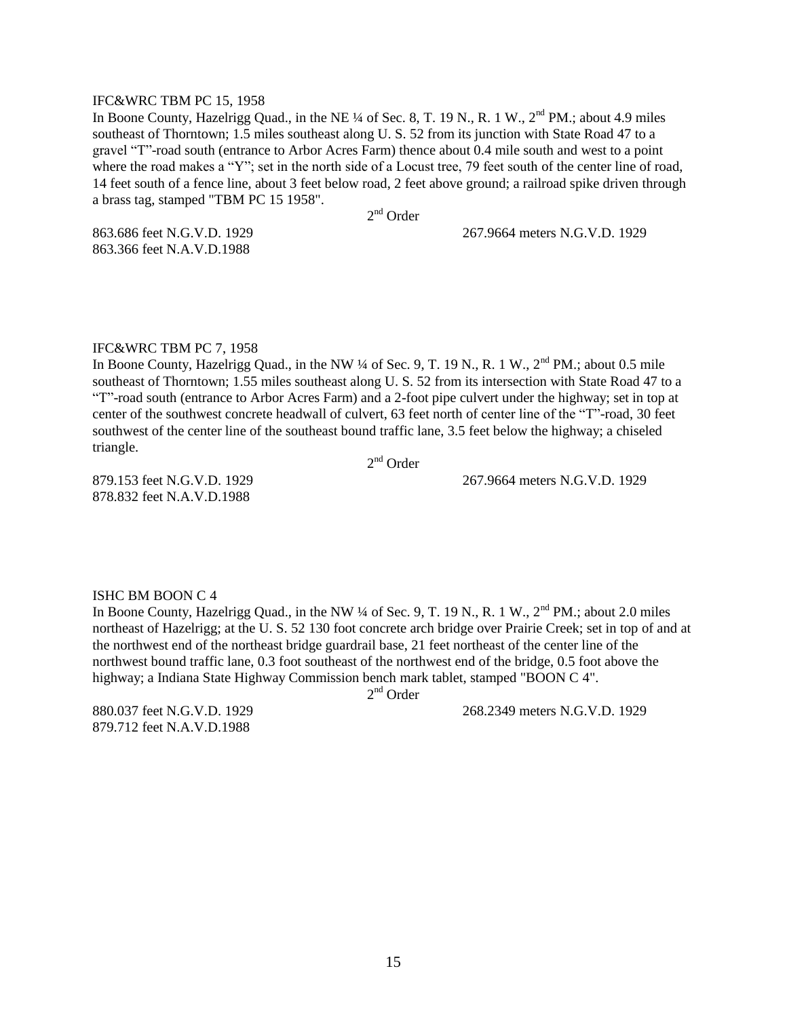#### IFC&WRC TBM PC 15, 1958

In Boone County, Hazelrigg Quad., in the NE ¼ of Sec. 8, T. 19 N., R. 1 W., 2<sup>nd</sup> PM.; about 4.9 miles southeast of Thorntown; 1.5 miles southeast along U. S. 52 from its junction with State Road 47 to a gravel "T"-road south (entrance to Arbor Acres Farm) thence about 0.4 mile south and west to a point where the road makes a "Y"; set in the north side of a Locust tree, 79 feet south of the center line of road, 14 feet south of a fence line, about 3 feet below road, 2 feet above ground; a railroad spike driven through a brass tag, stamped "TBM PC 15 1958".

2<sup>nd</sup> Order

863.366 feet N.A.V.D.1988

863.686 feet N.G.V.D. 1929 267.9664 meters N.G.V.D. 1929

#### IFC&WRC TBM PC 7, 1958

In Boone County, Hazelrigg Quad., in the NW  $\frac{1}{4}$  of Sec. 9, T. 19 N., R. 1 W.,  $2<sup>nd</sup>$  PM.; about 0.5 mile southeast of Thorntown; 1.55 miles southeast along U. S. 52 from its intersection with State Road 47 to a "T"-road south (entrance to Arbor Acres Farm) and a 2-foot pipe culvert under the highway; set in top at center of the southwest concrete headwall of culvert, 63 feet north of center line of the "T"-road, 30 feet southwest of the center line of the southeast bound traffic lane, 3.5 feet below the highway; a chiseled triangle.

2<sup>nd</sup> Order

879.153 feet N.G.V.D. 1929 267.9664 meters N.G.V.D. 1929

878.832 feet N.A.V.D.1988

#### ISHC BM BOON C 4

In Boone County, Hazelrigg Quad., in the NW  $\frac{1}{4}$  of Sec. 9, T. 19 N., R. 1 W.,  $2^{nd}$  PM.; about 2.0 miles northeast of Hazelrigg; at the U. S. 52 130 foot concrete arch bridge over Prairie Creek; set in top of and at the northwest end of the northeast bridge guardrail base, 21 feet northeast of the center line of the northwest bound traffic lane, 0.3 foot southeast of the northwest end of the bridge, 0.5 foot above the highway; a Indiana State Highway Commission bench mark tablet, stamped "BOON C 4".

2<sup>nd</sup> Order

879.712 feet N.A.V.D.1988

880.037 feet N.G.V.D. 1929 268.2349 meters N.G.V.D. 1929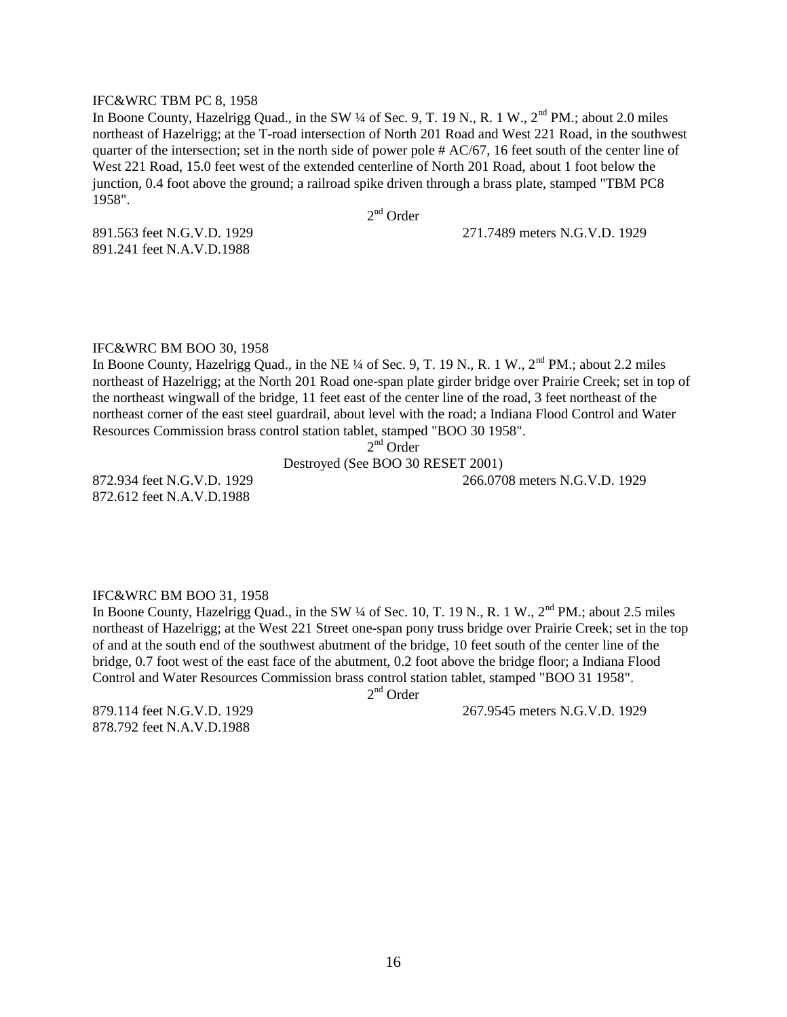#### IFC&WRC TBM PC 8, 1958

In Boone County, Hazelrigg Quad., in the SW ¼ of Sec. 9, T. 19 N., R. 1 W., 2<sup>nd</sup> PM.; about 2.0 miles northeast of Hazelrigg; at the T-road intersection of North 201 Road and West 221 Road, in the southwest quarter of the intersection; set in the north side of power pole # AC/67, 16 feet south of the center line of West 221 Road, 15.0 feet west of the extended centerline of North 201 Road, about 1 foot below the junction, 0.4 foot above the ground; a railroad spike driven through a brass plate, stamped "TBM PC8 1958".

2<sup>nd</sup> Order

891.241 feet N.A.V.D.1988

891.563 feet N.G.V.D. 1929 271.7489 meters N.G.V.D. 1929

#### IFC&WRC BM BOO 30, 1958

In Boone County, Hazelrigg Quad., in the NE ¼ of Sec. 9, T. 19 N., R. 1 W., 2<sup>nd</sup> PM.; about 2.2 miles northeast of Hazelrigg; at the North 201 Road one-span plate girder bridge over Prairie Creek; set in top of the northeast wingwall of the bridge, 11 feet east of the center line of the road, 3 feet northeast of the northeast corner of the east steel guardrail, about level with the road; a Indiana Flood Control and Water Resources Commission brass control station tablet, stamped "BOO 30 1958".

2<sup>nd</sup> Order

Destroyed (See BOO 30 RESET 2001)

872.934 feet N.G.V.D. 1929 266.0708 meters N.G.V.D. 1929 872.612 feet N.A.V.D.1988

#### IFC&WRC BM BOO 31, 1958

In Boone County, Hazelrigg Quad., in the SW ¼ of Sec. 10, T. 19 N., R. 1 W., 2<sup>nd</sup> PM.; about 2.5 miles northeast of Hazelrigg; at the West 221 Street one-span pony truss bridge over Prairie Creek; set in the top of and at the south end of the southwest abutment of the bridge, 10 feet south of the center line of the bridge, 0.7 foot west of the east face of the abutment, 0.2 foot above the bridge floor; a Indiana Flood Control and Water Resources Commission brass control station tablet, stamped "BOO 31 1958".

2<sup>nd</sup> Order

878.792 feet N.A.V.D.1988

879.114 feet N.G.V.D. 1929 267.9545 meters N.G.V.D. 1929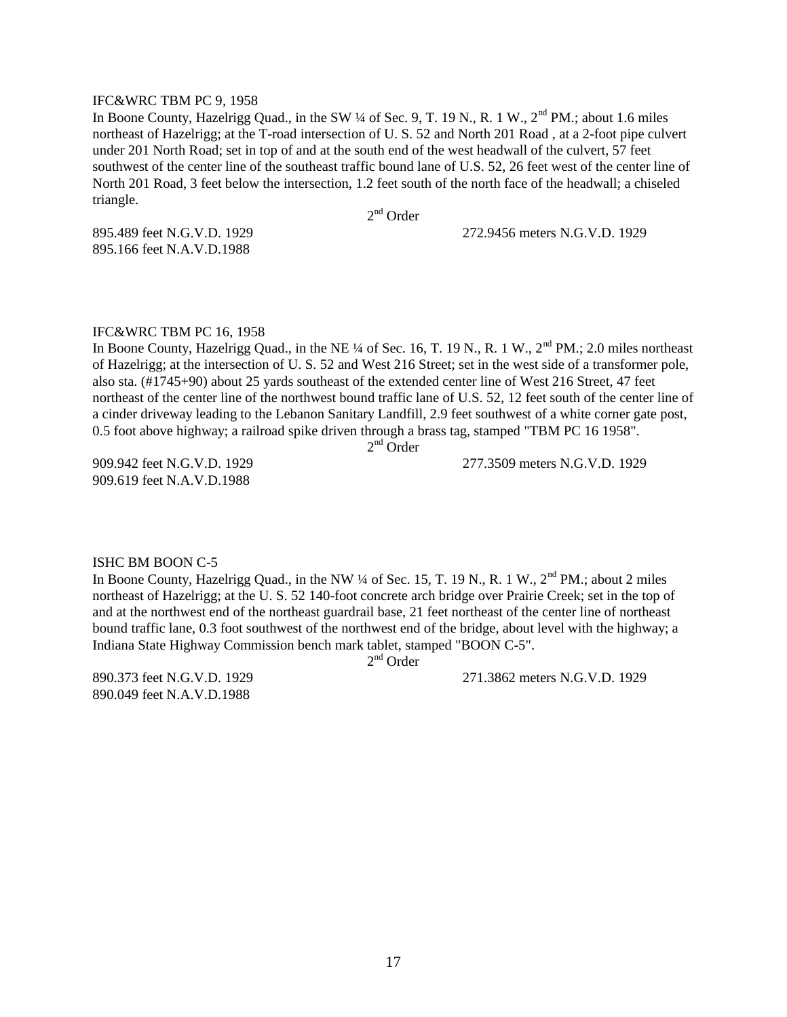#### IFC&WRC TBM PC 9, 1958

In Boone County, Hazelrigg Quad., in the SW  $\frac{1}{4}$  of Sec. 9, T. 19 N., R. 1 W.,  $2^{nd}$  PM.; about 1.6 miles northeast of Hazelrigg; at the T-road intersection of U. S. 52 and North 201 Road , at a 2-foot pipe culvert under 201 North Road; set in top of and at the south end of the west headwall of the culvert, 57 feet southwest of the center line of the southeast traffic bound lane of U.S. 52, 26 feet west of the center line of North 201 Road, 3 feet below the intersection, 1.2 feet south of the north face of the headwall; a chiseled triangle.

2<sup>nd</sup> Order

895.166 feet N.A.V.D.1988

895.489 feet N.G.V.D. 1929 272.9456 meters N.G.V.D. 1929

#### IFC&WRC TBM PC 16, 1958

In Boone County, Hazelrigg Quad., in the NE  $\frac{1}{4}$  of Sec. 16, T. 19 N., R. 1 W.,  $2^{nd}$  PM.; 2.0 miles northeast of Hazelrigg; at the intersection of U. S. 52 and West 216 Street; set in the west side of a transformer pole, also sta. (#1745+90) about 25 yards southeast of the extended center line of West 216 Street, 47 feet northeast of the center line of the northwest bound traffic lane of U.S. 52, 12 feet south of the center line of a cinder driveway leading to the Lebanon Sanitary Landfill, 2.9 feet southwest of a white corner gate post, 0.5 foot above highway; a railroad spike driven through a brass tag, stamped "TBM PC 16 1958".

 $2<sup>nd</sup>$  Order

909.619 feet N.A.V.D.1988

909.942 feet N.G.V.D. 1929 277.3509 meters N.G.V.D. 1929

#### ISHC BM BOON C-5

In Boone County, Hazelrigg Quad., in the NW  $\frac{1}{4}$  of Sec. 15, T. 19 N., R. 1 W.,  $2^{nd}$  PM.; about 2 miles northeast of Hazelrigg; at the U. S. 52 140-foot concrete arch bridge over Prairie Creek; set in the top of and at the northwest end of the northeast guardrail base, 21 feet northeast of the center line of northeast bound traffic lane, 0.3 foot southwest of the northwest end of the bridge, about level with the highway; a Indiana State Highway Commission bench mark tablet, stamped "BOON C-5".

2<sup>nd</sup> Order

890.049 feet N.A.V.D.1988

890.373 feet N.G.V.D. 1929 271.3862 meters N.G.V.D. 1929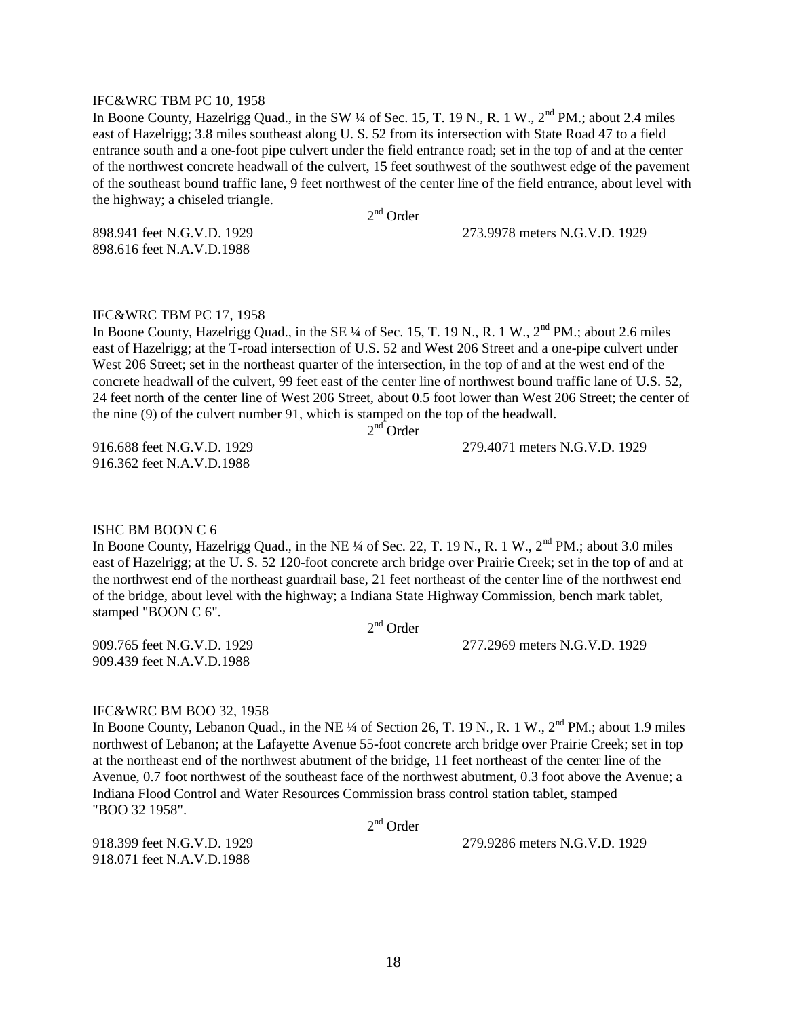#### IFC&WRC TBM PC 10, 1958

In Boone County, Hazelrigg Quad., in the SW ¼ of Sec. 15, T. 19 N., R. 1 W., 2<sup>nd</sup> PM.; about 2.4 miles east of Hazelrigg; 3.8 miles southeast along U. S. 52 from its intersection with State Road 47 to a field entrance south and a one-foot pipe culvert under the field entrance road; set in the top of and at the center of the northwest concrete headwall of the culvert, 15 feet southwest of the southwest edge of the pavement of the southeast bound traffic lane, 9 feet northwest of the center line of the field entrance, about level with the highway; a chiseled triangle.

2<sup>nd</sup> Order

898.616 feet N.A.V.D.1988

898.941 feet N.G.V.D. 1929 273.9978 meters N.G.V.D. 1929

#### IFC&WRC TBM PC 17, 1958

In Boone County, Hazelrigg Quad., in the SE  $\frac{1}{4}$  of Sec. 15, T. 19 N., R. 1 W.,  $2^{nd}$  PM.; about 2.6 miles east of Hazelrigg; at the T-road intersection of U.S. 52 and West 206 Street and a one-pipe culvert under West 206 Street; set in the northeast quarter of the intersection, in the top of and at the west end of the concrete headwall of the culvert, 99 feet east of the center line of northwest bound traffic lane of U.S. 52, 24 feet north of the center line of West 206 Street, about 0.5 foot lower than West 206 Street; the center of the nine (9) of the culvert number 91, which is stamped on the top of the headwall.

 $2<sup>nd</sup>$ Order

916.688 feet N.G.V.D. 1929 279.4071 meters N.G.V.D. 1929 916.362 feet N.A.V.D.1988

#### ISHC BM BOON C 6

In Boone County, Hazelrigg Quad., in the NE  $\frac{1}{4}$  of Sec. 22, T. 19 N., R. 1 W.,  $2^{nd}$  PM.; about 3.0 miles east of Hazelrigg; at the U. S. 52 120-foot concrete arch bridge over Prairie Creek; set in the top of and at the northwest end of the northeast guardrail base, 21 feet northeast of the center line of the northwest end of the bridge, about level with the highway; a Indiana State Highway Commission, bench mark tablet, stamped "BOON C 6".

2<sup>nd</sup> Order

909.765 feet N.G.V.D. 1929 277.2969 meters N.G.V.D. 1929

#### IFC&WRC BM BOO 32, 1958

909.439 feet N.A.V.D.1988

In Boone County, Lebanon Quad., in the NE ¼ of Section 26, T. 19 N., R. 1 W.,  $2<sup>nd</sup> PM$ .; about 1.9 miles northwest of Lebanon; at the Lafayette Avenue 55-foot concrete arch bridge over Prairie Creek; set in top at the northeast end of the northwest abutment of the bridge, 11 feet northeast of the center line of the Avenue, 0.7 foot northwest of the southeast face of the northwest abutment, 0.3 foot above the Avenue; a Indiana Flood Control and Water Resources Commission brass control station tablet, stamped "BOO 32 1958".

2<sup>nd</sup> Order

918.071 feet N.A.V.D.1988

918.399 feet N.G.V.D. 1929 279.9286 meters N.G.V.D. 1929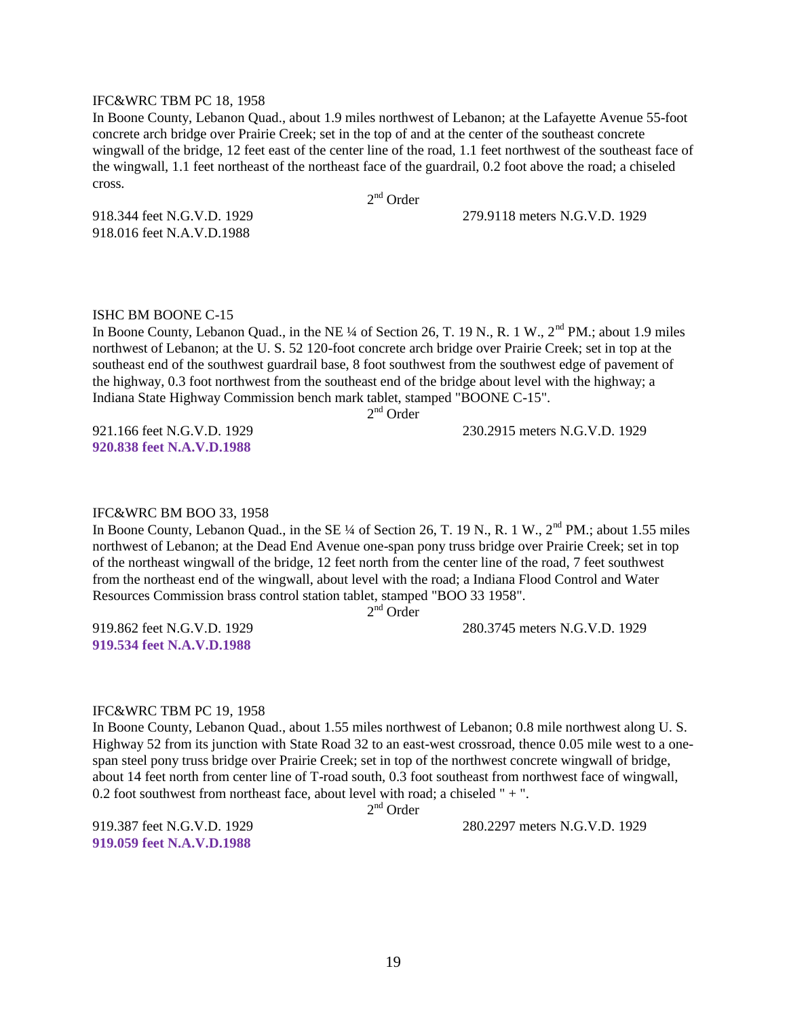#### IFC&WRC TBM PC 18, 1958

In Boone County, Lebanon Quad., about 1.9 miles northwest of Lebanon; at the Lafayette Avenue 55-foot concrete arch bridge over Prairie Creek; set in the top of and at the center of the southeast concrete wingwall of the bridge, 12 feet east of the center line of the road, 1.1 feet northwest of the southeast face of the wingwall, 1.1 feet northeast of the northeast face of the guardrail, 0.2 foot above the road; a chiseled cross.

2<sup>nd</sup> Order

918.344 feet N.G.V.D. 1929 279.9118 meters N.G.V.D. 1929

918.016 feet N.A.V.D.1988

#### ISHC BM BOONE C-15

In Boone County, Lebanon Quad., in the NE ¼ of Section 26, T. 19 N., R. 1 W.,  $2<sup>nd</sup> PM$ .; about 1.9 miles northwest of Lebanon; at the U. S. 52 120-foot concrete arch bridge over Prairie Creek; set in top at the southeast end of the southwest guardrail base, 8 foot southwest from the southwest edge of pavement of the highway, 0.3 foot northwest from the southeast end of the bridge about level with the highway; a Indiana State Highway Commission bench mark tablet, stamped "BOONE C-15".

2<sup>nd</sup> Order

**920.838 feet N.A.V.D.1988**

921.166 feet N.G.V.D. 1929 230.2915 meters N.G.V.D. 1929

#### IFC&WRC BM BOO 33, 1958

In Boone County, Lebanon Quad., in the SE ¼ of Section 26, T. 19 N., R. 1 W., 2<sup>nd</sup> PM.; about 1.55 miles northwest of Lebanon; at the Dead End Avenue one-span pony truss bridge over Prairie Creek; set in top of the northeast wingwall of the bridge, 12 feet north from the center line of the road, 7 feet southwest from the northeast end of the wingwall, about level with the road; a Indiana Flood Control and Water Resources Commission brass control station tablet, stamped "BOO 33 1958".

2<sup>nd</sup> Order

**919.534 feet N.A.V.D.1988**

919.862 feet N.G.V.D. 1929 280.3745 meters N.G.V.D. 1929

#### IFC&WRC TBM PC 19, 1958

In Boone County, Lebanon Quad., about 1.55 miles northwest of Lebanon; 0.8 mile northwest along U. S. Highway 52 from its junction with State Road 32 to an east-west crossroad, thence 0.05 mile west to a onespan steel pony truss bridge over Prairie Creek; set in top of the northwest concrete wingwall of bridge, about 14 feet north from center line of T-road south, 0.3 foot southeast from northwest face of wingwall, 0.2 foot southwest from northeast face, about level with road; a chiseled " + ".

2<sup>nd</sup> Order

**919.059 feet N.A.V.D.1988**

919.387 feet N.G.V.D. 1929 280.2297 meters N.G.V.D. 1929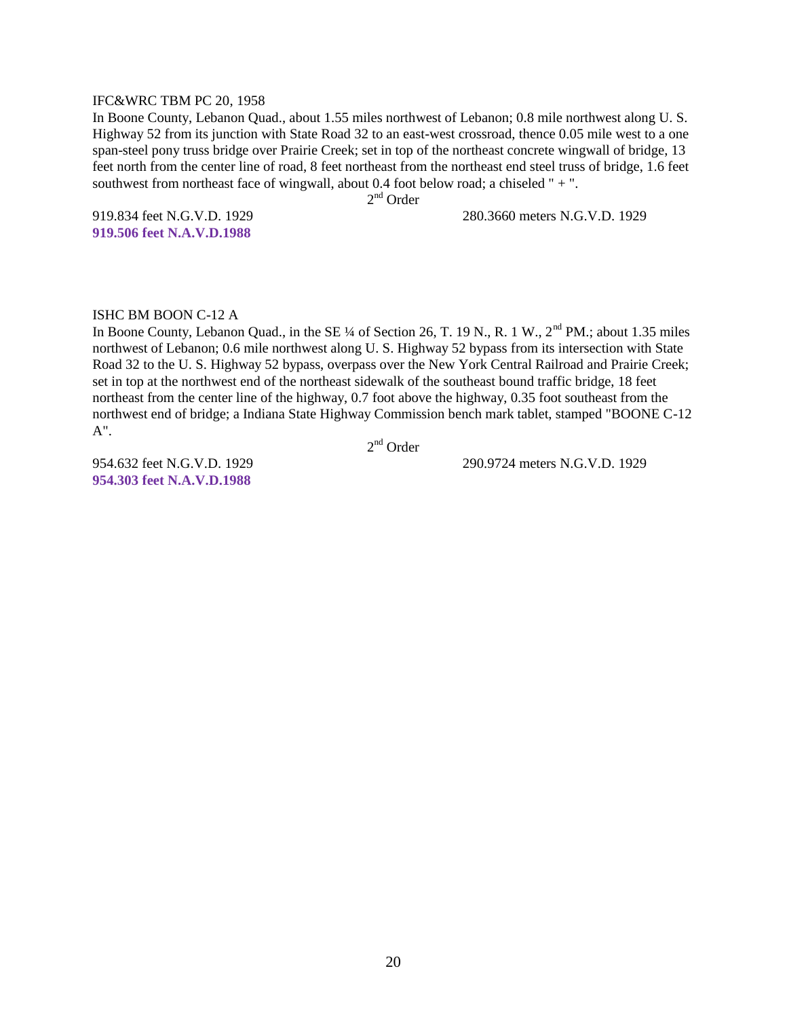#### IFC&WRC TBM PC 20, 1958

In Boone County, Lebanon Quad., about 1.55 miles northwest of Lebanon; 0.8 mile northwest along U. S. Highway 52 from its junction with State Road 32 to an east-west crossroad, thence 0.05 mile west to a one span-steel pony truss bridge over Prairie Creek; set in top of the northeast concrete wingwall of bridge, 13 feet north from the center line of road, 8 feet northeast from the northeast end steel truss of bridge, 1.6 feet southwest from northeast face of wingwall, about 0.4 foot below road; a chiseled " + ".

2<sup>nd</sup> Order

919.834 feet N.G.V.D. 1929 280.3660 meters N.G.V.D. 1929

**919.506 feet N.A.V.D.1988**

#### ISHC BM BOON C-12 A

In Boone County, Lebanon Quad., in the SE  $\frac{1}{4}$  of Section 26, T. 19 N., R. 1 W.,  $2^{nd}$  PM.; about 1.35 miles northwest of Lebanon; 0.6 mile northwest along U. S. Highway 52 bypass from its intersection with State Road 32 to the U. S. Highway 52 bypass, overpass over the New York Central Railroad and Prairie Creek; set in top at the northwest end of the northeast sidewalk of the southeast bound traffic bridge, 18 feet northeast from the center line of the highway, 0.7 foot above the highway, 0.35 foot southeast from the northwest end of bridge; a Indiana State Highway Commission bench mark tablet, stamped "BOONE C-12 A".

2<sup>nd</sup> Order

**954.303 feet N.A.V.D.1988**

954.632 feet N.G.V.D. 1929 290.9724 meters N.G.V.D. 1929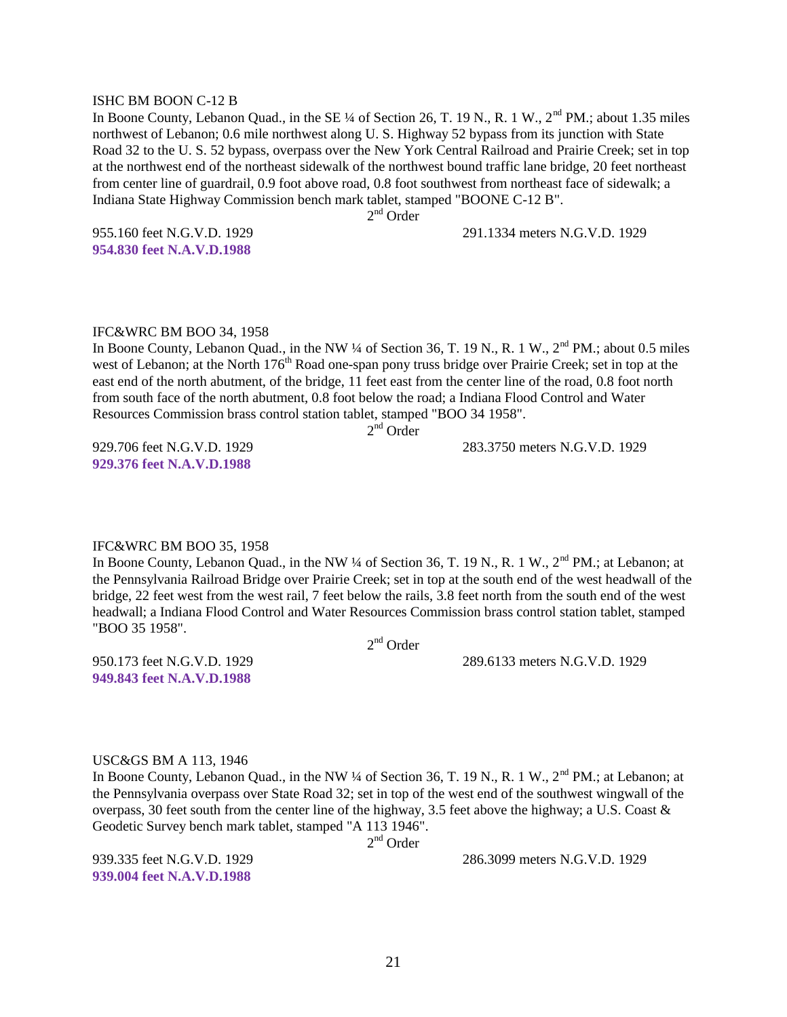#### ISHC BM BOON C-12 B

In Boone County, Lebanon Quad., in the SE ¼ of Section 26, T. 19 N., R. 1 W., 2<sup>nd</sup> PM.; about 1.35 miles northwest of Lebanon; 0.6 mile northwest along U. S. Highway 52 bypass from its junction with State Road 32 to the U. S. 52 bypass, overpass over the New York Central Railroad and Prairie Creek; set in top at the northwest end of the northeast sidewalk of the northwest bound traffic lane bridge, 20 feet northeast from center line of guardrail, 0.9 foot above road, 0.8 foot southwest from northeast face of sidewalk; a Indiana State Highway Commission bench mark tablet, stamped "BOONE C-12 B".

2<sup>nd</sup> Order

**954.830 feet N.A.V.D.1988**

955.160 feet N.G.V.D. 1929 291.1334 meters N.G.V.D. 1929

#### IFC&WRC BM BOO 34, 1958

In Boone County, Lebanon Quad., in the NW ¼ of Section 36, T. 19 N., R. 1 W., 2<sup>nd</sup> PM.; about 0.5 miles west of Lebanon; at the North 176<sup>th</sup> Road one-span pony truss bridge over Prairie Creek; set in top at the east end of the north abutment, of the bridge, 11 feet east from the center line of the road, 0.8 foot north from south face of the north abutment, 0.8 foot below the road; a Indiana Flood Control and Water Resources Commission brass control station tablet, stamped "BOO 34 1958".

2<sup>nd</sup> Order

**929.376 feet N.A.V.D.1988**

929.706 feet N.G.V.D. 1929 283.3750 meters N.G.V.D. 1929

#### IFC&WRC BM BOO 35, 1958

In Boone County, Lebanon Quad., in the NW ¼ of Section 36, T. 19 N., R. 1 W., 2<sup>nd</sup> PM.; at Lebanon; at the Pennsylvania Railroad Bridge over Prairie Creek; set in top at the south end of the west headwall of the bridge, 22 feet west from the west rail, 7 feet below the rails, 3.8 feet north from the south end of the west headwall; a Indiana Flood Control and Water Resources Commission brass control station tablet, stamped "BOO 35 1958".

2<sup>nd</sup> Order

950.173 feet N.G.V.D. 1929 289.6133 meters N.G.V.D. 1929

**949.843 feet N.A.V.D.1988**

#### USC&GS BM A 113, 1946

In Boone County, Lebanon Quad., in the NW ¼ of Section 36, T. 19 N., R. 1 W., 2<sup>nd</sup> PM.; at Lebanon; at the Pennsylvania overpass over State Road 32; set in top of the west end of the southwest wingwall of the overpass, 30 feet south from the center line of the highway, 3.5 feet above the highway; a U.S. Coast & Geodetic Survey bench mark tablet, stamped "A 113 1946".

2<sup>nd</sup> Order

**939.004 feet N.A.V.D.1988**

939.335 feet N.G.V.D. 1929 286.3099 meters N.G.V.D. 1929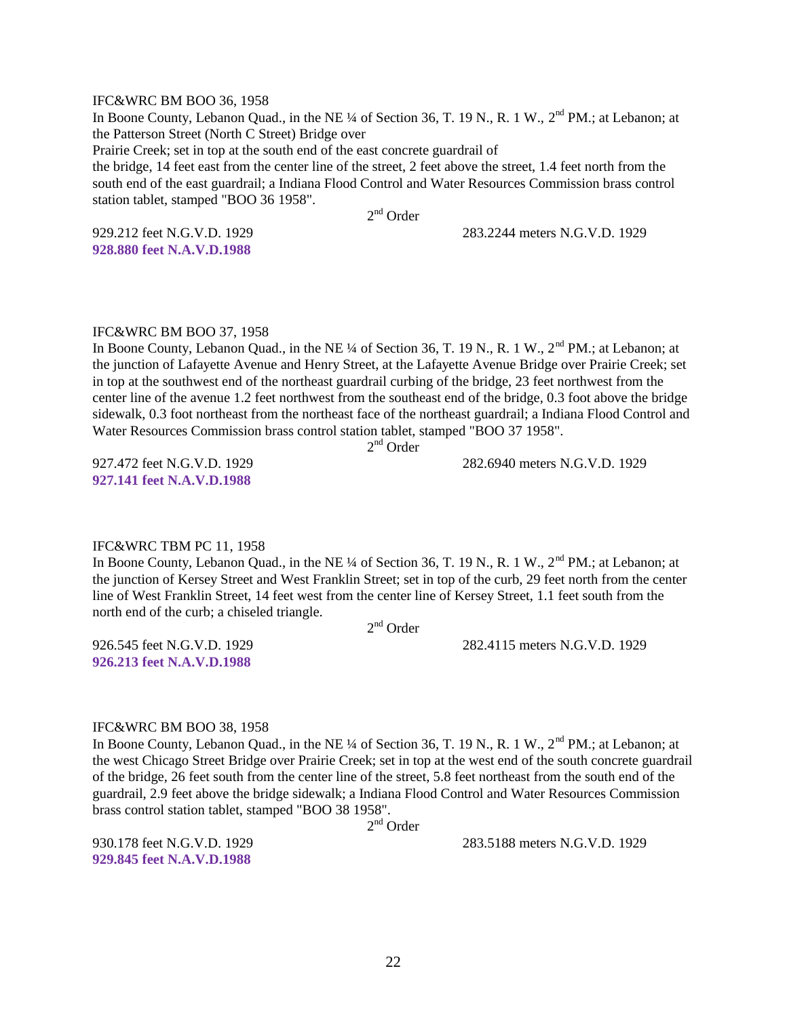#### IFC&WRC BM BOO 36, 1958

In Boone County, Lebanon Quad., in the NE ¼ of Section 36, T. 19 N., R. 1 W., 2<sup>nd</sup> PM.; at Lebanon; at the Patterson Street (North C Street) Bridge over Prairie Creek; set in top at the south end of the east concrete guardrail of the bridge, 14 feet east from the center line of the street, 2 feet above the street, 1.4 feet north from the south end of the east guardrail; a Indiana Flood Control and Water Resources Commission brass control station tablet, stamped "BOO 36 1958".

2<sup>nd</sup> Order

**928.880 feet N.A.V.D.1988**

929.212 feet N.G.V.D. 1929 283.2244 meters N.G.V.D. 1929

IFC&WRC BM BOO 37, 1958

In Boone County, Lebanon Quad., in the NE ¼ of Section 36, T. 19 N., R. 1 W., 2<sup>nd</sup> PM.; at Lebanon; at the junction of Lafayette Avenue and Henry Street, at the Lafayette Avenue Bridge over Prairie Creek; set in top at the southwest end of the northeast guardrail curbing of the bridge, 23 feet northwest from the center line of the avenue 1.2 feet northwest from the southeast end of the bridge, 0.3 foot above the bridge sidewalk, 0.3 foot northeast from the northeast face of the northeast guardrail; a Indiana Flood Control and Water Resources Commission brass control station tablet, stamped "BOO 37 1958".

2<sup>nd</sup> Order

927.472 feet N.G.V.D. 1929 282.6940 meters N.G.V.D. 1929 **927.141 feet N.A.V.D.1988**

#### IFC&WRC TBM PC 11, 1958

In Boone County, Lebanon Quad., in the NE ¼ of Section 36, T. 19 N., R. 1 W., 2<sup>nd</sup> PM.; at Lebanon; at the junction of Kersey Street and West Franklin Street; set in top of the curb, 29 feet north from the center line of West Franklin Street, 14 feet west from the center line of Kersey Street, 1.1 feet south from the north end of the curb; a chiseled triangle.

2<sup>nd</sup> Order

926.545 feet N.G.V.D. 1929 282.4115 meters N.G.V.D. 1929

# **926.213 feet N.A.V.D.1988**

#### IFC&WRC BM BOO 38, 1958

In Boone County, Lebanon Quad., in the NE ¼ of Section 36, T. 19 N., R. 1 W., 2<sup>nd</sup> PM.; at Lebanon; at the west Chicago Street Bridge over Prairie Creek; set in top at the west end of the south concrete guardrail of the bridge, 26 feet south from the center line of the street, 5.8 feet northeast from the south end of the guardrail, 2.9 feet above the bridge sidewalk; a Indiana Flood Control and Water Resources Commission brass control station tablet, stamped "BOO 38 1958".

2<sup>nd</sup> Order

**929.845 feet N.A.V.D.1988**

930.178 feet N.G.V.D. 1929 283.5188 meters N.G.V.D. 1929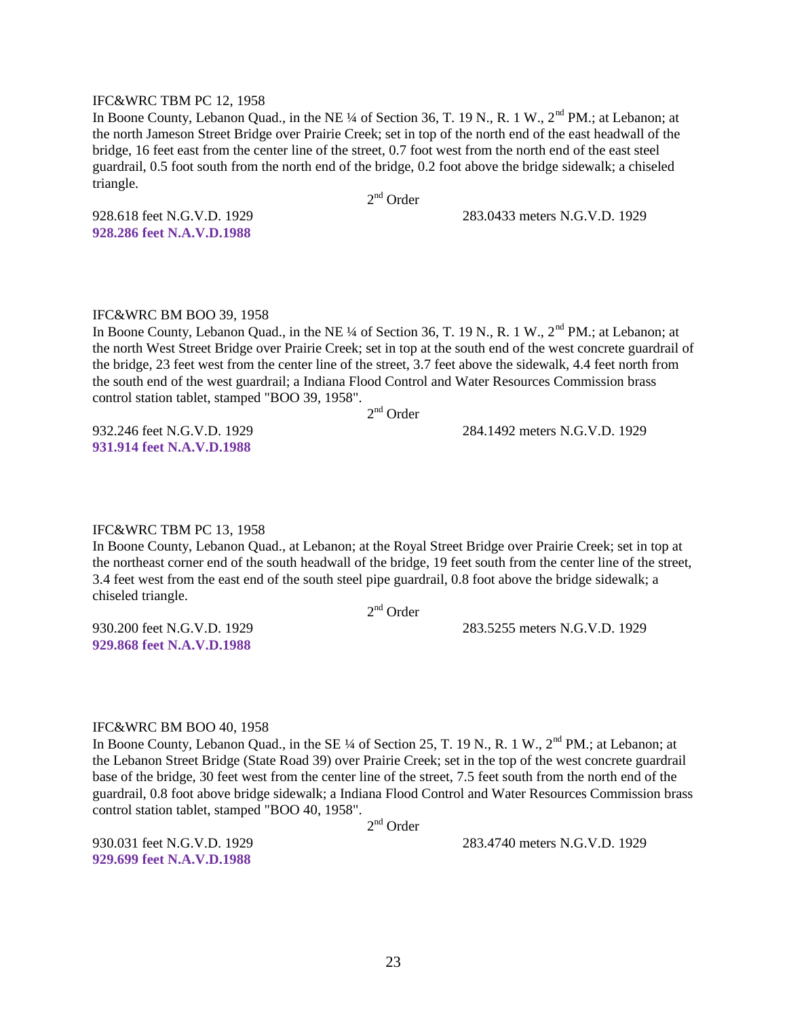#### IFC&WRC TBM PC 12, 1958

In Boone County, Lebanon Quad., in the NE ¼ of Section 36, T. 19 N., R. 1 W., 2<sup>nd</sup> PM.; at Lebanon; at the north Jameson Street Bridge over Prairie Creek; set in top of the north end of the east headwall of the bridge, 16 feet east from the center line of the street, 0.7 foot west from the north end of the east steel guardrail, 0.5 foot south from the north end of the bridge, 0.2 foot above the bridge sidewalk; a chiseled triangle.

2<sup>nd</sup> Order

928.618 feet N.G.V.D. 1929 283.0433 meters N.G.V.D. 1929

**928.286 feet N.A.V.D.1988**

#### IFC&WRC BM BOO 39, 1958

In Boone County, Lebanon Quad., in the NE  $\frac{1}{4}$  of Section 36, T. 19 N., R. 1 W.,  $2^{nd}$  PM.; at Lebanon; at the north West Street Bridge over Prairie Creek; set in top at the south end of the west concrete guardrail of the bridge, 23 feet west from the center line of the street, 3.7 feet above the sidewalk, 4.4 feet north from the south end of the west guardrail; a Indiana Flood Control and Water Resources Commission brass control station tablet, stamped "BOO 39, 1958".

2<sup>nd</sup> Order

932.246 feet N.G.V.D. 1929 284.1492 meters N.G.V.D. 1929

**931.914 feet N.A.V.D.1988**

#### IFC&WRC TBM PC 13, 1958

In Boone County, Lebanon Quad., at Lebanon; at the Royal Street Bridge over Prairie Creek; set in top at the northeast corner end of the south headwall of the bridge, 19 feet south from the center line of the street, 3.4 feet west from the east end of the south steel pipe guardrail, 0.8 foot above the bridge sidewalk; a chiseled triangle.

2<sup>nd</sup> Order

930.200 feet N.G.V.D. 1929 283.5255 meters N.G.V.D. 1929

## **929.868 feet N.A.V.D.1988**

#### IFC&WRC BM BOO 40, 1958

In Boone County, Lebanon Quad., in the SE  $\frac{1}{4}$  of Section 25, T. 19 N., R. 1 W.,  $2^{nd}$  PM.; at Lebanon; at the Lebanon Street Bridge (State Road 39) over Prairie Creek; set in the top of the west concrete guardrail base of the bridge, 30 feet west from the center line of the street, 7.5 feet south from the north end of the guardrail, 0.8 foot above bridge sidewalk; a Indiana Flood Control and Water Resources Commission brass control station tablet, stamped "BOO 40, 1958".

2<sup>nd</sup> Order

**929.699 feet N.A.V.D.1988**

930.031 feet N.G.V.D. 1929 283.4740 meters N.G.V.D. 1929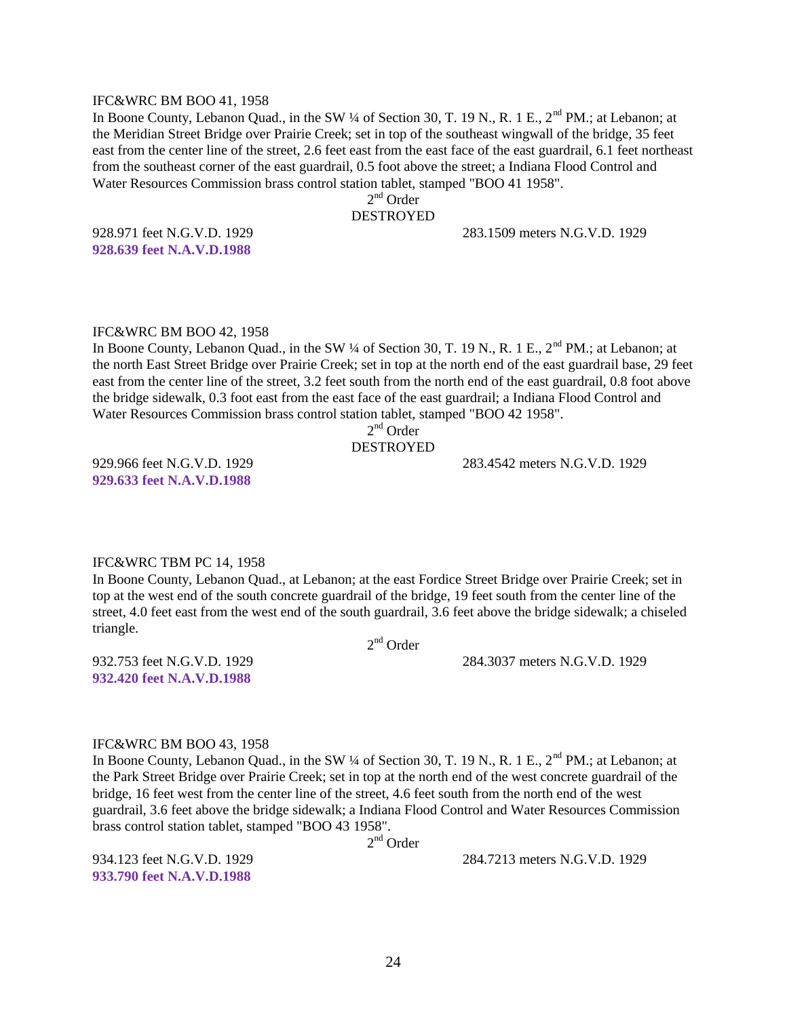#### IFC&WRC BM BOO 41, 1958

In Boone County, Lebanon Quad., in the SW ¼ of Section 30, T. 19 N., R. 1 E., 2<sup>nd</sup> PM.; at Lebanon; at the Meridian Street Bridge over Prairie Creek; set in top of the southeast wingwall of the bridge, 35 feet east from the center line of the street, 2.6 feet east from the east face of the east guardrail, 6.1 feet northeast from the southeast corner of the east guardrail, 0.5 foot above the street; a Indiana Flood Control and Water Resources Commission brass control station tablet, stamped "BOO 41 1958".

2<sup>nd</sup> Order

#### DESTROYED

**928.639 feet N.A.V.D.1988**

928.971 feet N.G.V.D. 1929 283.1509 meters N.G.V.D. 1929

#### IFC&WRC BM BOO 42, 1958

In Boone County, Lebanon Quad., in the SW  $\frac{1}{4}$  of Section 30, T. 19 N., R. 1 E.,  $2^{nd}$  PM.; at Lebanon; at the north East Street Bridge over Prairie Creek; set in top at the north end of the east guardrail base, 29 feet east from the center line of the street, 3.2 feet south from the north end of the east guardrail, 0.8 foot above the bridge sidewalk, 0.3 foot east from the east face of the east guardrail; a Indiana Flood Control and Water Resources Commission brass control station tablet, stamped "BOO 42 1958".

## 2<sup>nd</sup> Order

#### DESTROYED

929.966 feet N.G.V.D. 1929 283.4542 meters N.G.V.D. 1929 **929.633 feet N.A.V.D.1988**

#### IFC&WRC TBM PC 14, 1958

In Boone County, Lebanon Quad., at Lebanon; at the east Fordice Street Bridge over Prairie Creek; set in top at the west end of the south concrete guardrail of the bridge, 19 feet south from the center line of the street, 4.0 feet east from the west end of the south guardrail, 3.6 feet above the bridge sidewalk; a chiseled triangle.

2<sup>nd</sup> Order

932.753 feet N.G.V.D. 1929 284.3037 meters N.G.V.D. 1929

**932.420 feet N.A.V.D.1988**

#### IFC&WRC BM BOO 43, 1958

In Boone County, Lebanon Quad., in the SW ¼ of Section 30, T. 19 N., R. 1 E., 2<sup>nd</sup> PM.; at Lebanon; at the Park Street Bridge over Prairie Creek; set in top at the north end of the west concrete guardrail of the bridge, 16 feet west from the center line of the street, 4.6 feet south from the north end of the west guardrail, 3.6 feet above the bridge sidewalk; a Indiana Flood Control and Water Resources Commission brass control station tablet, stamped "BOO 43 1958".

2<sup>nd</sup> Order

**933.790 feet N.A.V.D.1988**

934.123 feet N.G.V.D. 1929 284.7213 meters N.G.V.D. 1929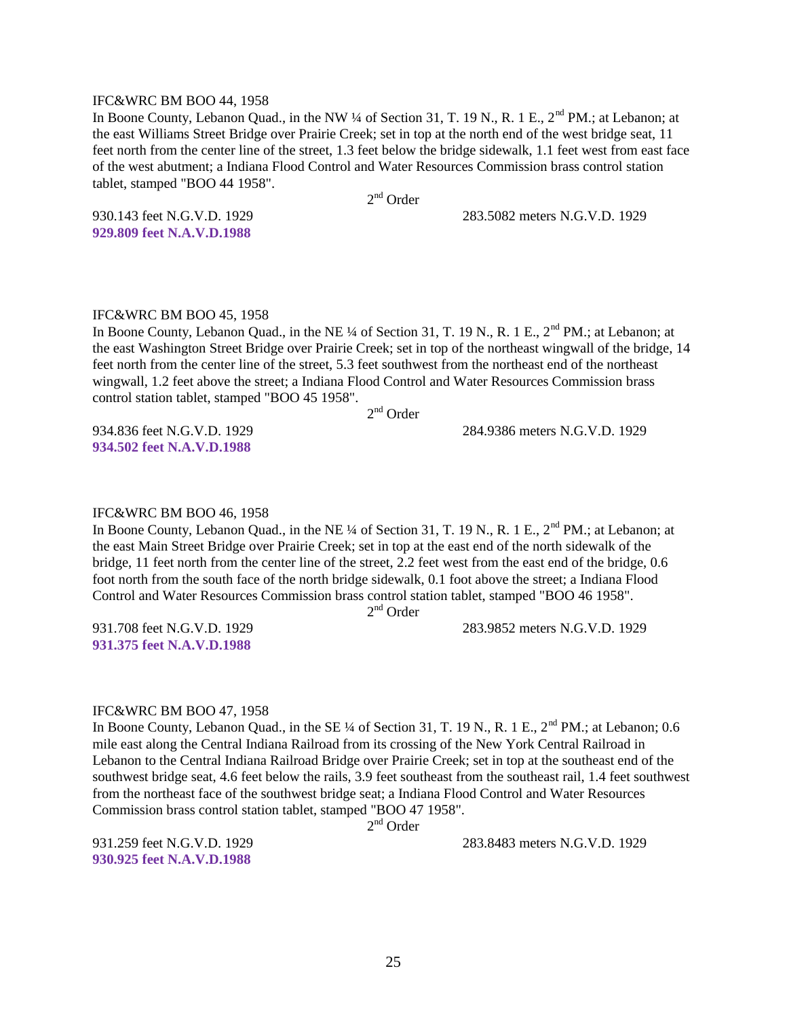#### IFC&WRC BM BOO 44, 1958

In Boone County, Lebanon Quad., in the NW ¼ of Section 31, T. 19 N., R. 1 E., 2<sup>nd</sup> PM.; at Lebanon; at the east Williams Street Bridge over Prairie Creek; set in top at the north end of the west bridge seat, 11 feet north from the center line of the street, 1.3 feet below the bridge sidewalk, 1.1 feet west from east face of the west abutment; a Indiana Flood Control and Water Resources Commission brass control station tablet, stamped "BOO 44 1958".

2<sup>nd</sup> Order

930.143 feet N.G.V.D. 1929 283.5082 meters N.G.V.D. 1929

**929.809 feet N.A.V.D.1988**

#### IFC&WRC BM BOO 45, 1958

In Boone County, Lebanon Quad., in the NE ¼ of Section 31, T. 19 N., R. 1 E.,  $2<sup>nd</sup> PM$ .; at Lebanon; at the east Washington Street Bridge over Prairie Creek; set in top of the northeast wingwall of the bridge, 14 feet north from the center line of the street, 5.3 feet southwest from the northeast end of the northeast wingwall, 1.2 feet above the street; a Indiana Flood Control and Water Resources Commission brass control station tablet, stamped "BOO 45 1958".

2<sup>nd</sup> Order

934.836 feet N.G.V.D. 1929 284.9386 meters N.G.V.D. 1929

**934.502 feet N.A.V.D.1988**

#### IFC&WRC BM BOO 46, 1958

In Boone County, Lebanon Quad., in the NE ¼ of Section 31, T. 19 N., R. 1 E., 2<sup>nd</sup> PM.; at Lebanon; at the east Main Street Bridge over Prairie Creek; set in top at the east end of the north sidewalk of the bridge, 11 feet north from the center line of the street, 2.2 feet west from the east end of the bridge, 0.6 foot north from the south face of the north bridge sidewalk, 0.1 foot above the street; a Indiana Flood Control and Water Resources Commission brass control station tablet, stamped "BOO 46 1958".

2<sup>nd</sup> Order

931.708 feet N.G.V.D. 1929 283.9852 meters N.G.V.D. 1929

## **931.375 feet N.A.V.D.1988**

#### IFC&WRC BM BOO 47, 1958

In Boone County, Lebanon Quad., in the SE ¼ of Section 31, T. 19 N., R. 1 E., 2<sup>nd</sup> PM.; at Lebanon: 0.6 mile east along the Central Indiana Railroad from its crossing of the New York Central Railroad in Lebanon to the Central Indiana Railroad Bridge over Prairie Creek; set in top at the southeast end of the southwest bridge seat, 4.6 feet below the rails, 3.9 feet southeast from the southeast rail, 1.4 feet southwest from the northeast face of the southwest bridge seat; a Indiana Flood Control and Water Resources Commission brass control station tablet, stamped "BOO 47 1958".

2<sup>nd</sup> Order

**930.925 feet N.A.V.D.1988**

931.259 feet N.G.V.D. 1929 283.8483 meters N.G.V.D. 1929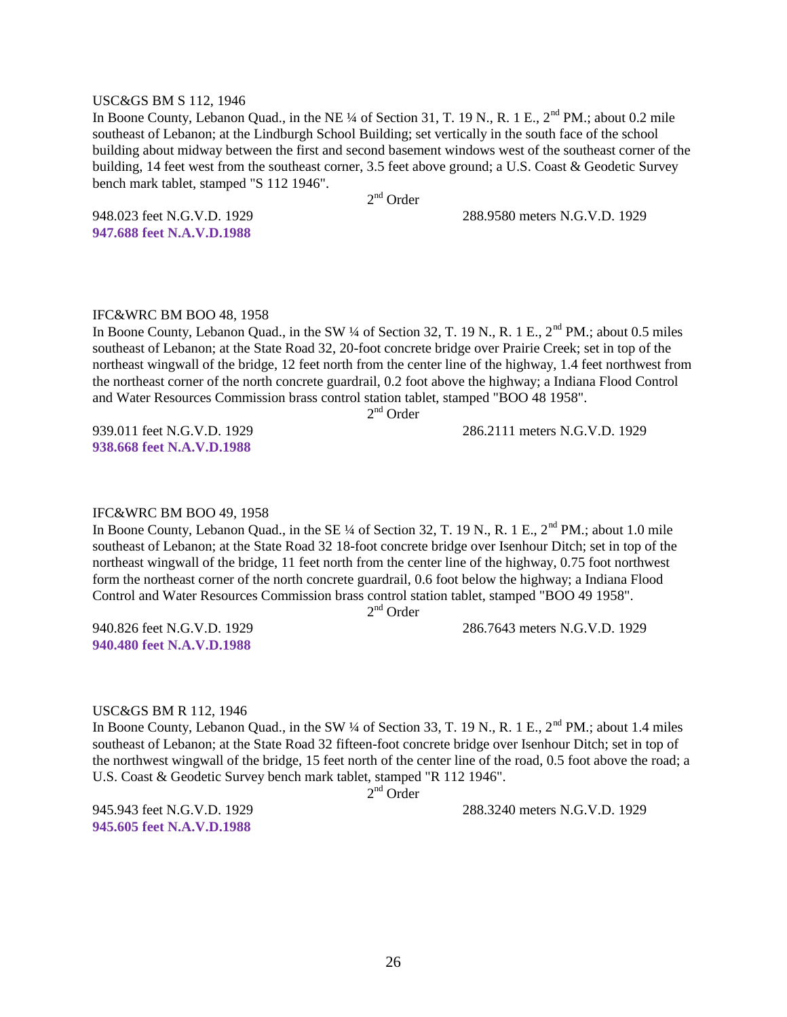#### USC&GS BM S 112, 1946

In Boone County, Lebanon Quad., in the NE ¼ of Section 31, T. 19 N., R. 1 E., 2<sup>nd</sup> PM.; about 0.2 mile southeast of Lebanon; at the Lindburgh School Building; set vertically in the south face of the school building about midway between the first and second basement windows west of the southeast corner of the building, 14 feet west from the southeast corner, 3.5 feet above ground; a U.S. Coast & Geodetic Survey bench mark tablet, stamped "S 112 1946".

2<sup>nd</sup> Order

948.023 feet N.G.V.D. 1929 288.9580 meters N.G.V.D. 1929

**947.688 feet N.A.V.D.1988**

#### IFC&WRC BM BOO 48, 1958

In Boone County, Lebanon Quad., in the SW  $\frac{1}{4}$  of Section 32, T. 19 N., R. 1 E., 2<sup>nd</sup> PM.; about 0.5 miles southeast of Lebanon; at the State Road 32, 20-foot concrete bridge over Prairie Creek; set in top of the northeast wingwall of the bridge, 12 feet north from the center line of the highway, 1.4 feet northwest from the northeast corner of the north concrete guardrail, 0.2 foot above the highway; a Indiana Flood Control and Water Resources Commission brass control station tablet, stamped "BOO 48 1958".

2<sup>nd</sup> Order

**938.668 feet N.A.V.D.1988**

939.011 feet N.G.V.D. 1929 286.2111 meters N.G.V.D. 1929

#### IFC&WRC BM BOO 49, 1958

In Boone County, Lebanon Quad., in the SE ¼ of Section 32, T. 19 N., R. 1 E., 2<sup>nd</sup> PM.; about 1.0 mile southeast of Lebanon; at the State Road 32 18-foot concrete bridge over Isenhour Ditch; set in top of the northeast wingwall of the bridge, 11 feet north from the center line of the highway, 0.75 foot northwest form the northeast corner of the north concrete guardrail, 0.6 foot below the highway; a Indiana Flood Control and Water Resources Commission brass control station tablet, stamped "BOO 49 1958".

2<sup>nd</sup> Order

940.826 feet N.G.V.D. 1929 286.7643 meters N.G.V.D. 1929

# **940.480 feet N.A.V.D.1988**

#### USC&GS BM R 112, 1946

In Boone County, Lebanon Quad., in the SW  $\frac{1}{4}$  of Section 33, T. 19 N., R. 1 E.,  $2^{nd}$  PM.; about 1.4 miles southeast of Lebanon; at the State Road 32 fifteen-foot concrete bridge over Isenhour Ditch; set in top of the northwest wingwall of the bridge, 15 feet north of the center line of the road, 0.5 foot above the road; a U.S. Coast & Geodetic Survey bench mark tablet, stamped "R 112 1946".

2<sup>nd</sup> Order

**945.605 feet N.A.V.D.1988**

945.943 feet N.G.V.D. 1929 288.3240 meters N.G.V.D. 1929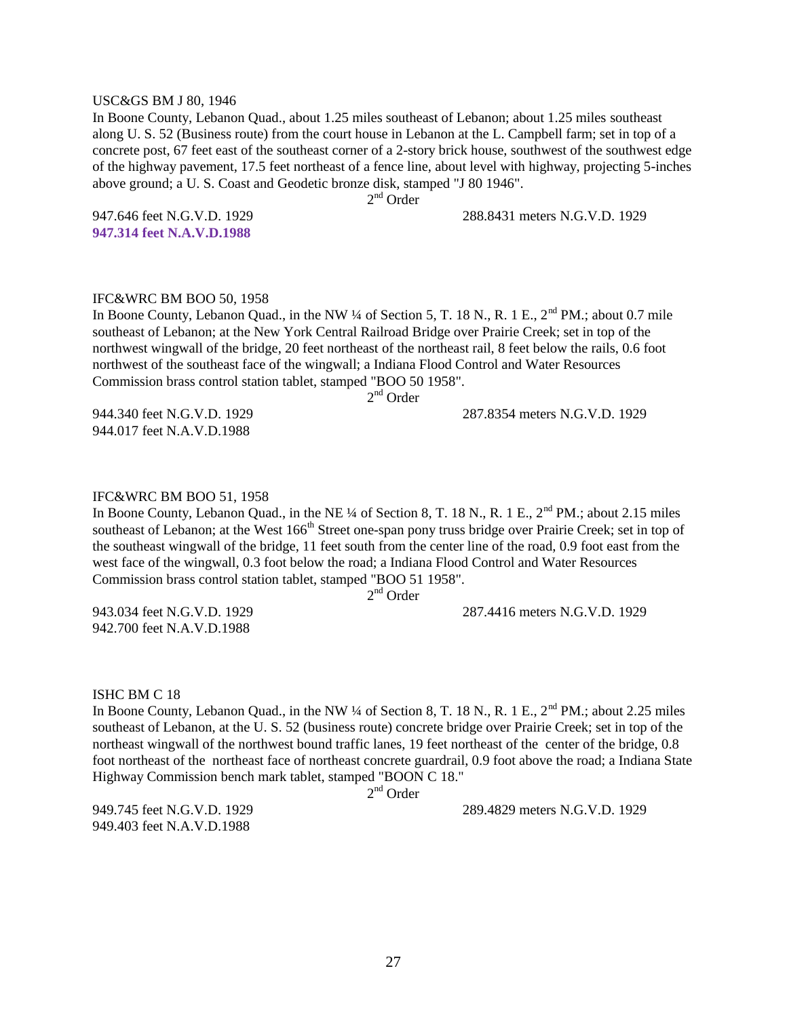#### USC&GS BM J 80, 1946

In Boone County, Lebanon Quad., about 1.25 miles southeast of Lebanon; about 1.25 miles southeast along U. S. 52 (Business route) from the court house in Lebanon at the L. Campbell farm; set in top of a concrete post, 67 feet east of the southeast corner of a 2-story brick house, southwest of the southwest edge of the highway pavement, 17.5 feet northeast of a fence line, about level with highway, projecting 5-inches above ground; a U. S. Coast and Geodetic bronze disk, stamped "J 80 1946".

2<sup>nd</sup> Order

947.646 feet N.G.V.D. 1929 288.8431 meters N.G.V.D. 1929

**947.314 feet N.A.V.D.1988**

#### IFC&WRC BM BOO 50, 1958

In Boone County, Lebanon Quad., in the NW  $\frac{1}{4}$  of Section 5, T. 18 N., R. 1 E.,  $2^{nd}$  PM.; about 0.7 mile southeast of Lebanon; at the New York Central Railroad Bridge over Prairie Creek; set in top of the northwest wingwall of the bridge, 20 feet northeast of the northeast rail, 8 feet below the rails, 0.6 foot northwest of the southeast face of the wingwall; a Indiana Flood Control and Water Resources Commission brass control station tablet, stamped "BOO 50 1958". 2<sup>nd</sup> Order

944.017 feet N.A.V.D.1988

944.340 feet N.G.V.D. 1929 287.8354 meters N.G.V.D. 1929

#### IFC&WRC BM BOO 51, 1958

In Boone County, Lebanon Quad., in the NE ¼ of Section 8, T. 18 N., R. 1 E., 2<sup>nd</sup> PM.; about 2.15 miles southeast of Lebanon; at the West 166<sup>th</sup> Street one-span pony truss bridge over Prairie Creek; set in top of the southeast wingwall of the bridge, 11 feet south from the center line of the road, 0.9 foot east from the west face of the wingwall, 0.3 foot below the road; a Indiana Flood Control and Water Resources Commission brass control station tablet, stamped "BOO 51 1958".

2<sup>nd</sup> Order

942.700 feet N.A.V.D.1988

943.034 feet N.G.V.D. 1929 287.4416 meters N.G.V.D. 1929

#### ISHC BM C 18

In Boone County, Lebanon Quad., in the NW ¼ of Section 8, T. 18 N., R. 1 E., 2<sup>nd</sup> PM.; about 2.25 miles southeast of Lebanon, at the U. S. 52 (business route) concrete bridge over Prairie Creek; set in top of the northeast wingwall of the northwest bound traffic lanes, 19 feet northeast of the center of the bridge, 0.8 foot northeast of the northeast face of northeast concrete guardrail, 0.9 foot above the road; a Indiana State Highway Commission bench mark tablet, stamped "BOON C 18."

2<sup>nd</sup> Order

949.403 feet N.A.V.D.1988

949.745 feet N.G.V.D. 1929 289.4829 meters N.G.V.D. 1929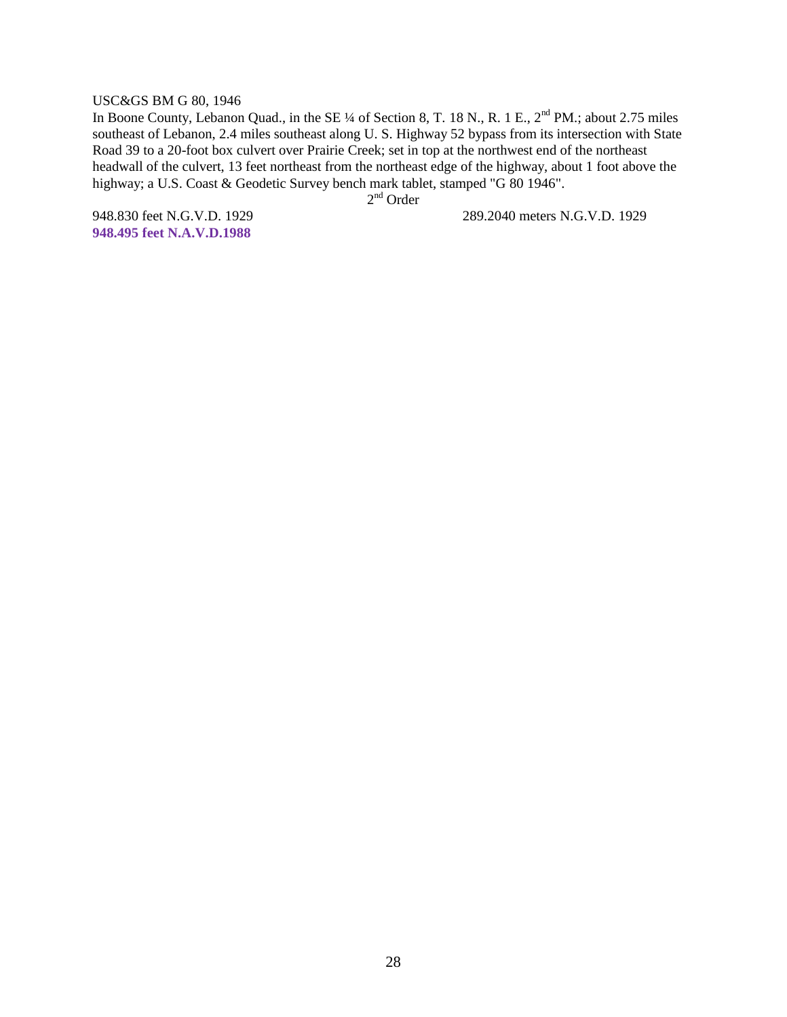#### USC&GS BM G 80, 1946

In Boone County, Lebanon Quad., in the SE ¼ of Section 8, T. 18 N., R. 1 E., 2<sup>nd</sup> PM.; about 2.75 miles southeast of Lebanon, 2.4 miles southeast along U. S. Highway 52 bypass from its intersection with State Road 39 to a 20-foot box culvert over Prairie Creek; set in top at the northwest end of the northeast headwall of the culvert, 13 feet northeast from the northeast edge of the highway, about 1 foot above the highway; a U.S. Coast & Geodetic Survey bench mark tablet, stamped "G 80 1946".

2<sup>nd</sup> Order

**948.495 feet N.A.V.D.1988**

948.830 feet N.G.V.D. 1929 289.2040 meters N.G.V.D. 1929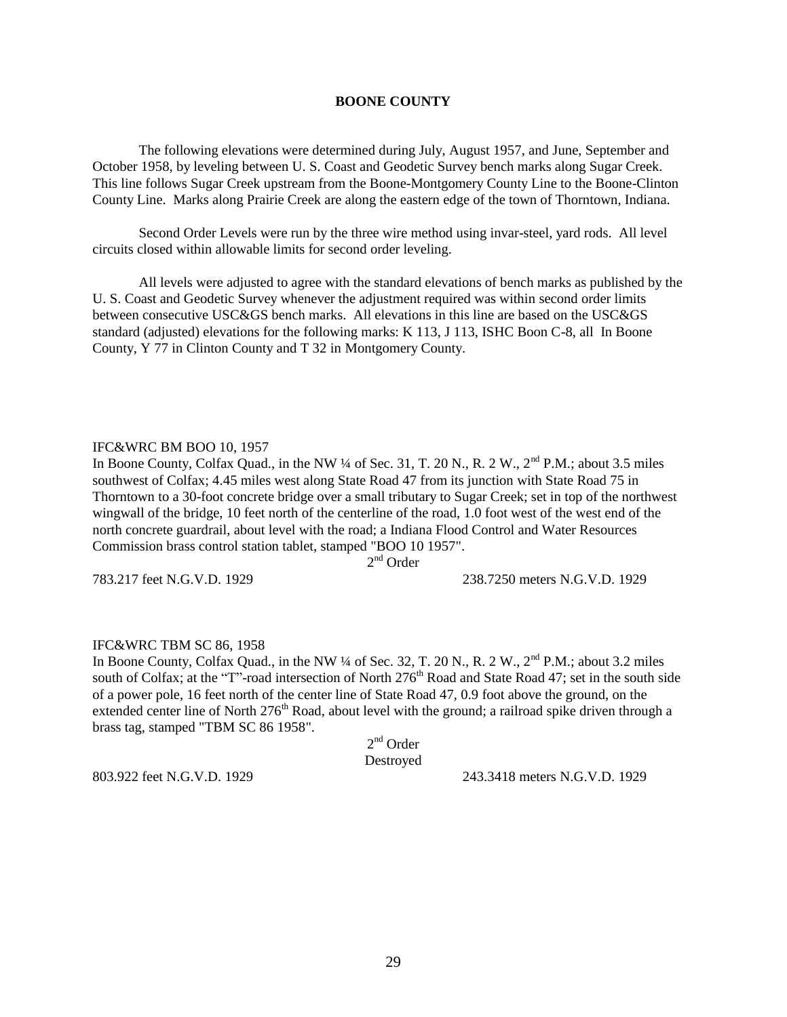#### **BOONE COUNTY**

The following elevations were determined during July, August 1957, and June, September and October 1958, by leveling between U. S. Coast and Geodetic Survey bench marks along Sugar Creek. This line follows Sugar Creek upstream from the Boone-Montgomery County Line to the Boone-Clinton County Line. Marks along Prairie Creek are along the eastern edge of the town of Thorntown, Indiana.

Second Order Levels were run by the three wire method using invar-steel, yard rods. All level circuits closed within allowable limits for second order leveling.

All levels were adjusted to agree with the standard elevations of bench marks as published by the U. S. Coast and Geodetic Survey whenever the adjustment required was within second order limits between consecutive USC&GS bench marks. All elevations in this line are based on the USC&GS standard (adjusted) elevations for the following marks: K 113, J 113, ISHC Boon C-8, all In Boone County, Y 77 in Clinton County and T 32 in Montgomery County.

#### IFC&WRC BM BOO 10, 1957

In Boone County, Colfax Quad., in the NW  $\frac{1}{4}$  of Sec. 31, T. 20 N., R. 2 W.,  $2^{\text{nd}}$  P.M.; about 3.5 miles southwest of Colfax; 4.45 miles west along State Road 47 from its junction with State Road 75 in Thorntown to a 30-foot concrete bridge over a small tributary to Sugar Creek; set in top of the northwest wingwall of the bridge, 10 feet north of the centerline of the road, 1.0 foot west of the west end of the north concrete guardrail, about level with the road; a Indiana Flood Control and Water Resources Commission brass control station tablet, stamped "BOO 10 1957".

2<sup>nd</sup> Order

783.217 feet N.G.V.D. 1929 238.7250 meters N.G.V.D. 1929

#### IFC&WRC TBM SC 86, 1958

In Boone County, Colfax Quad., in the NW  $\frac{1}{4}$  of Sec. 32, T. 20 N., R. 2 W.,  $2^{\text{nd}}$  P.M.; about 3.2 miles south of Colfax; at the "T"-road intersection of North 276<sup>th</sup> Road and State Road 47; set in the south side of a power pole, 16 feet north of the center line of State Road 47, 0.9 foot above the ground, on the extended center line of North 276<sup>th</sup> Road, about level with the ground; a railroad spike driven through a brass tag, stamped "TBM SC 86 1958".

|           | $2nd$ Order |
|-----------|-------------|
| Destroyed |             |

803.922 feet N.G.V.D. 1929 243.3418 meters N.G.V.D. 1929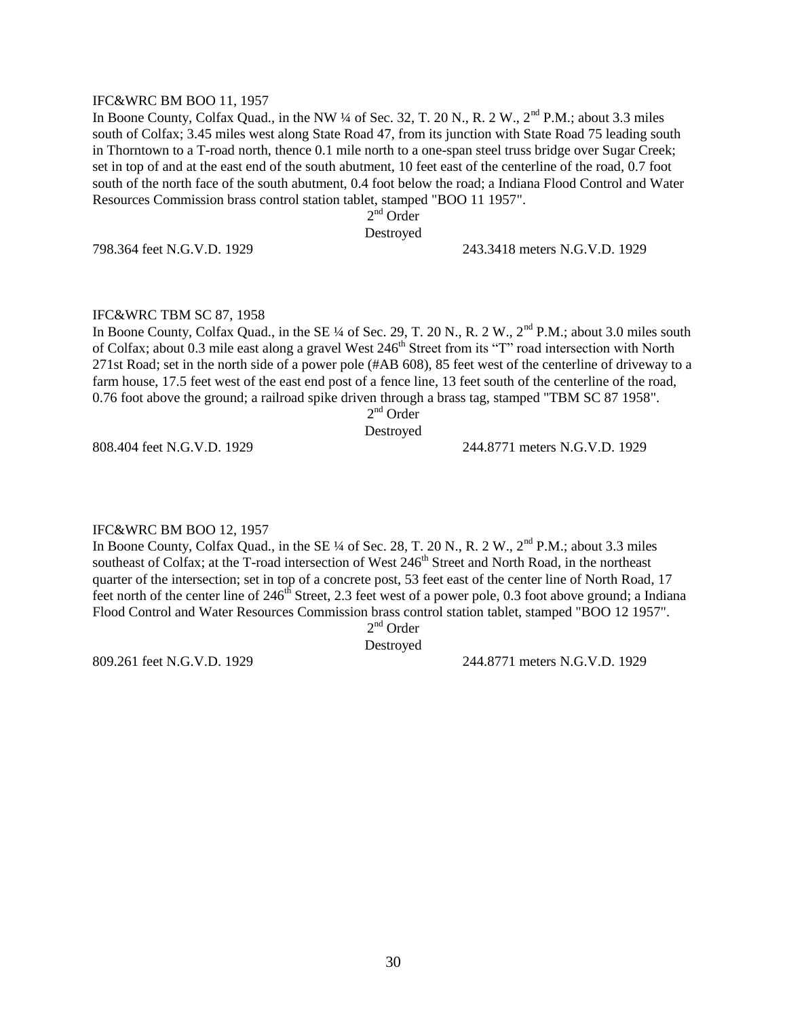#### IFC&WRC BM BOO 11, 1957

In Boone County, Colfax Quad., in the NW  $\frac{1}{4}$  of Sec. 32, T. 20 N., R. 2 W.,  $2^{\text{nd}}$  P.M.; about 3.3 miles south of Colfax; 3.45 miles west along State Road 47, from its junction with State Road 75 leading south in Thorntown to a T-road north, thence 0.1 mile north to a one-span steel truss bridge over Sugar Creek; set in top of and at the east end of the south abutment, 10 feet east of the centerline of the road, 0.7 foot south of the north face of the south abutment, 0.4 foot below the road; a Indiana Flood Control and Water Resources Commission brass control station tablet, stamped "BOO 11 1957".

2<sup>nd</sup> Order

Destroyed

798.364 feet N.G.V.D. 1929 243.3418 meters N.G.V.D. 1929

#### IFC&WRC TBM SC 87, 1958

In Boone County, Colfax Quad., in the SE ¼ of Sec. 29, T. 20 N., R. 2 W.,  $2<sup>nd</sup>$  P.M.; about 3.0 miles south of Colfax; about 0.3 mile east along a gravel West 246<sup>th</sup> Street from its "T" road intersection with North 271st Road; set in the north side of a power pole (#AB 608), 85 feet west of the centerline of driveway to a farm house, 17.5 feet west of the east end post of a fence line, 13 feet south of the centerline of the road, 0.76 foot above the ground; a railroad spike driven through a brass tag, stamped "TBM SC 87 1958".

2<sup>nd</sup> Order

#### Destroyed

808.404 feet N.G.V.D. 1929 244.8771 meters N.G.V.D. 1929

#### IFC&WRC BM BOO 12, 1957

In Boone County, Colfax Quad., in the SE  $\frac{1}{4}$  of Sec. 28, T. 20 N., R. 2 W.,  $2^{\text{nd}}$  P.M.; about 3.3 miles southeast of Colfax; at the T-road intersection of West 246<sup>th</sup> Street and North Road, in the northeast quarter of the intersection; set in top of a concrete post, 53 feet east of the center line of North Road, 17 feet north of the center line of  $246<sup>th</sup>$  Street, 2.3 feet west of a power pole, 0.3 foot above ground; a Indiana Flood Control and Water Resources Commission brass control station tablet, stamped "BOO 12 1957".

2<sup>nd</sup> Order

Destroyed

809.261 feet N.G.V.D. 1929 244.8771 meters N.G.V.D. 1929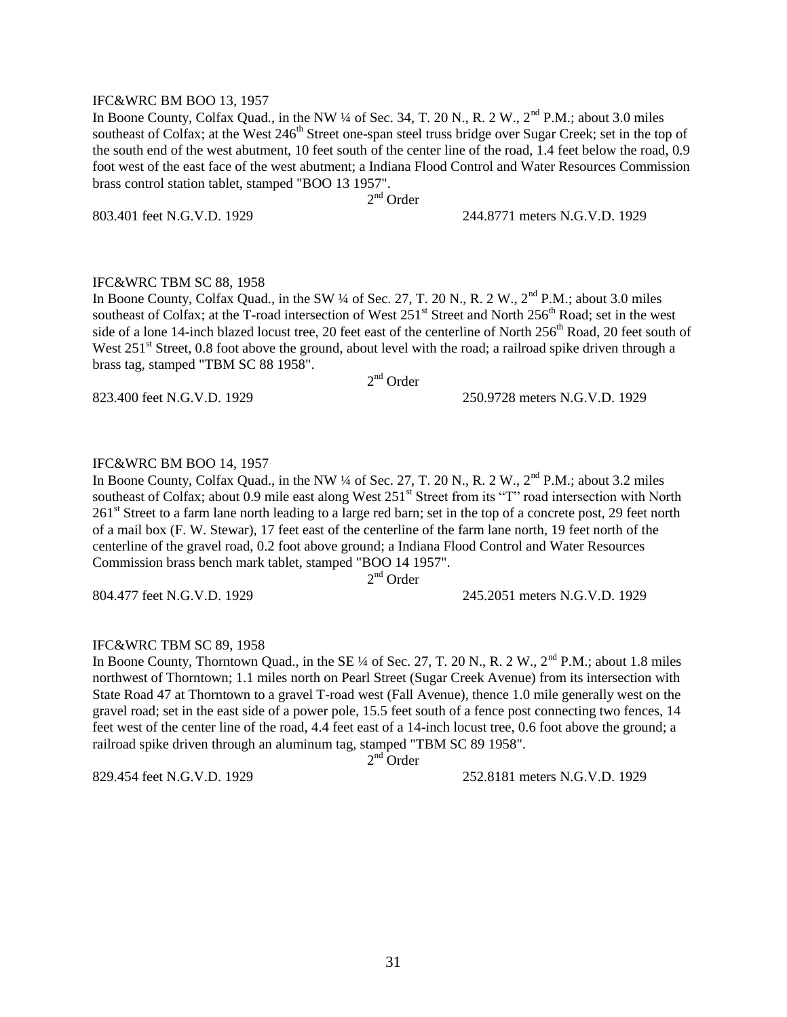#### IFC&WRC BM BOO 13, 1957

In Boone County, Colfax Quad., in the NW  $\frac{1}{4}$  of Sec. 34, T. 20 N., R. 2 W.,  $2^{\text{nd}}$  P.M.; about 3.0 miles southeast of Colfax; at the West 246<sup>th</sup> Street one-span steel truss bridge over Sugar Creek; set in the top of the south end of the west abutment, 10 feet south of the center line of the road, 1.4 feet below the road, 0.9 foot west of the east face of the west abutment; a Indiana Flood Control and Water Resources Commission brass control station tablet, stamped "BOO 13 1957".

2<sup>nd</sup> Order

803.401 feet N.G.V.D. 1929 244.8771 meters N.G.V.D. 1929

#### IFC&WRC TBM SC 88, 1958

In Boone County, Colfax Quad., in the SW  $\frac{1}{4}$  of Sec. 27, T. 20 N., R. 2 W.,  $2^{\text{nd}}$  P.M.; about 3.0 miles southeast of Colfax; at the T-road intersection of West 251<sup>st</sup> Street and North 256<sup>th</sup> Road; set in the west side of a lone 14-inch blazed locust tree, 20 feet east of the centerline of North  $256<sup>th</sup>$  Road, 20 feet south of West 251<sup>st</sup> Street, 0.8 foot above the ground, about level with the road; a railroad spike driven through a brass tag, stamped "TBM SC 88 1958".

2<sup>nd</sup> Order

823.400 feet N.G.V.D. 1929 250.9728 meters N.G.V.D. 1929

#### IFC&WRC BM BOO 14, 1957

In Boone County, Colfax Quad., in the NW  $\frac{1}{4}$  of Sec. 27, T. 20 N., R. 2 W.,  $2^{\text{nd}}$  P.M.; about 3.2 miles southeast of Colfax; about 0.9 mile east along West 251<sup>st</sup> Street from its "T" road intersection with North 261<sup>st</sup> Street to a farm lane north leading to a large red barn; set in the top of a concrete post, 29 feet north of a mail box (F. W. Stewar), 17 feet east of the centerline of the farm lane north, 19 feet north of the centerline of the gravel road, 0.2 foot above ground; a Indiana Flood Control and Water Resources Commission brass bench mark tablet, stamped "BOO 14 1957".

2<sup>nd</sup> Order

804.477 feet N.G.V.D. 1929 245.2051 meters N.G.V.D. 1929

#### IFC&WRC TBM SC 89, 1958

In Boone County, Thorntown Quad., in the SE  $\frac{1}{4}$  of Sec. 27, T. 20 N., R. 2 W.,  $2^{\text{nd}}$  P.M.; about 1.8 miles northwest of Thorntown; 1.1 miles north on Pearl Street (Sugar Creek Avenue) from its intersection with State Road 47 at Thorntown to a gravel T-road west (Fall Avenue), thence 1.0 mile generally west on the gravel road; set in the east side of a power pole, 15.5 feet south of a fence post connecting two fences, 14 feet west of the center line of the road, 4.4 feet east of a 14-inch locust tree, 0.6 foot above the ground; a railroad spike driven through an aluminum tag, stamped "TBM SC 89 1958".

 $2<sup>nd</sup>$ Order

829.454 feet N.G.V.D. 1929 252.8181 meters N.G.V.D. 1929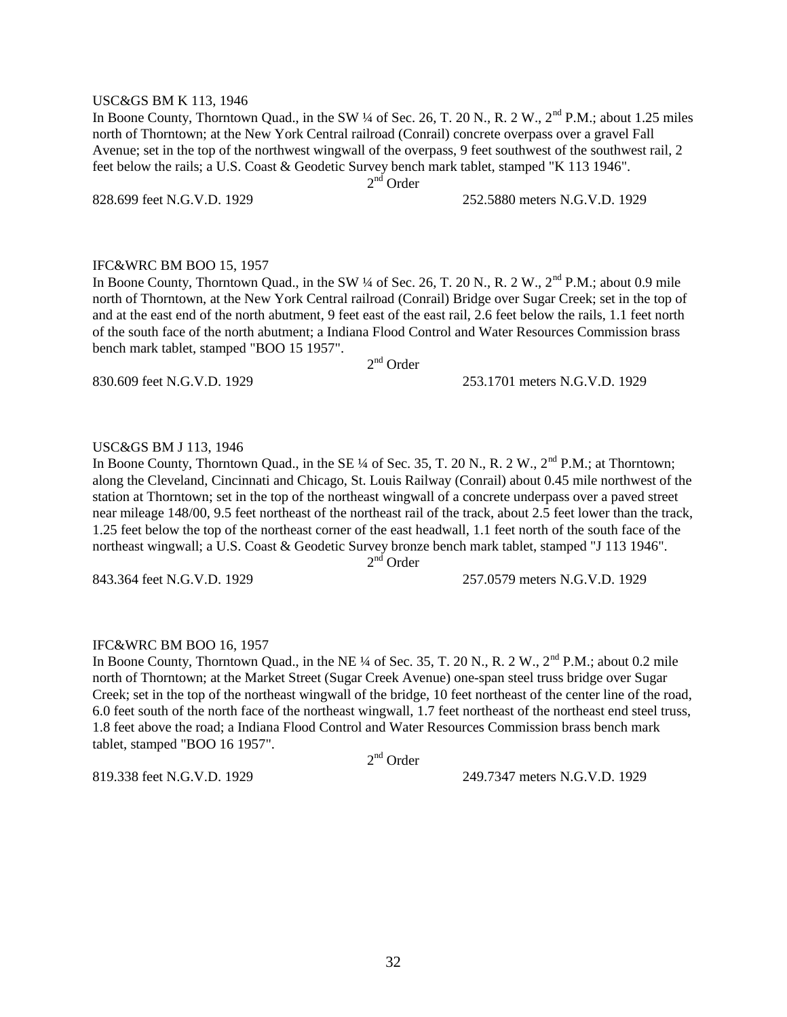#### USC&GS BM K 113, 1946

In Boone County, Thorntown Quad., in the SW  $\frac{1}{4}$  of Sec. 26, T. 20 N., R. 2 W.,  $2^{nd}$  P.M.; about 1.25 miles north of Thorntown; at the New York Central railroad (Conrail) concrete overpass over a gravel Fall Avenue; set in the top of the northwest wingwall of the overpass, 9 feet southwest of the southwest rail, 2 feet below the rails; a U.S. Coast & Geodetic Survey bench mark tablet, stamped "K 113 1946". 2<sup>nd</sup> Order

828.699 feet N.G.V.D. 1929 252.5880 meters N.G.V.D. 1929

#### IFC&WRC BM BOO 15, 1957

In Boone County, Thorntown Quad., in the SW ¼ of Sec. 26, T. 20 N., R. 2 W., 2<sup>nd</sup> P.M.; about 0.9 mile north of Thorntown, at the New York Central railroad (Conrail) Bridge over Sugar Creek; set in the top of and at the east end of the north abutment, 9 feet east of the east rail, 2.6 feet below the rails, 1.1 feet north of the south face of the north abutment; a Indiana Flood Control and Water Resources Commission brass bench mark tablet, stamped "BOO 15 1957".

2<sup>nd</sup> Order

830.609 feet N.G.V.D. 1929 253.1701 meters N.G.V.D. 1929

#### USC&GS BM J 113, 1946

In Boone County, Thorntown Quad., in the SE  $\frac{1}{4}$  of Sec. 35, T. 20 N., R. 2 W.,  $2^{\text{nd}}$  P.M.; at Thorntown; along the Cleveland, Cincinnati and Chicago, St. Louis Railway (Conrail) about 0.45 mile northwest of the station at Thorntown; set in the top of the northeast wingwall of a concrete underpass over a paved street near mileage 148/00, 9.5 feet northeast of the northeast rail of the track, about 2.5 feet lower than the track, 1.25 feet below the top of the northeast corner of the east headwall, 1.1 feet north of the south face of the northeast wingwall; a U.S. Coast & Geodetic Survey bronze bench mark tablet, stamped "J 113 1946". 2<sup>nd</sup> Order

843.364 feet N.G.V.D. 1929 257.0579 meters N.G.V.D. 1929

#### IFC&WRC BM BOO 16, 1957

In Boone County, Thorntown Quad., in the NE  $\frac{1}{4}$  of Sec. 35, T. 20 N., R. 2 W.,  $2^{\text{nd}}$  P.M.; about 0.2 mile north of Thorntown; at the Market Street (Sugar Creek Avenue) one-span steel truss bridge over Sugar Creek; set in the top of the northeast wingwall of the bridge, 10 feet northeast of the center line of the road, 6.0 feet south of the north face of the northeast wingwall, 1.7 feet northeast of the northeast end steel truss, 1.8 feet above the road; a Indiana Flood Control and Water Resources Commission brass bench mark tablet, stamped "BOO 16 1957".

2<sup>nd</sup> Order

819.338 feet N.G.V.D. 1929 249.7347 meters N.G.V.D. 1929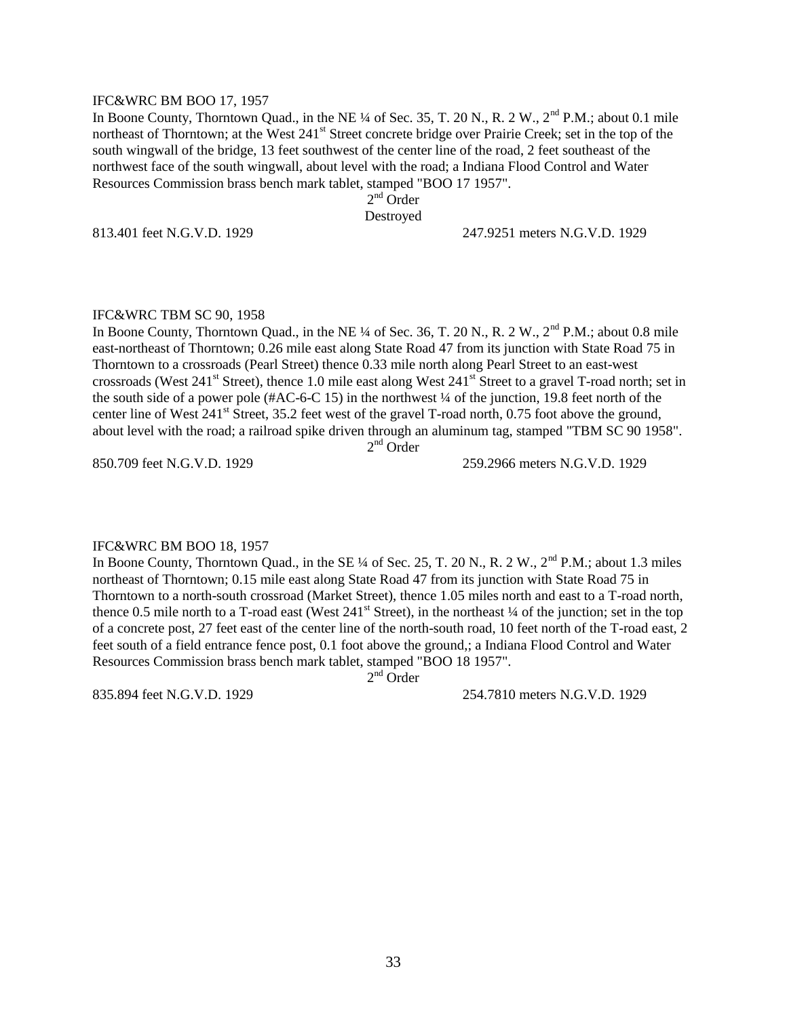#### IFC&WRC BM BOO 17, 1957

In Boone County, Thorntown Quad., in the NE  $\frac{1}{4}$  of Sec. 35, T. 20 N., R. 2 W.,  $2^{\text{nd}}$  P.M.; about 0.1 mile northeast of Thorntown; at the West 241<sup>st</sup> Street concrete bridge over Prairie Creek; set in the top of the south wingwall of the bridge, 13 feet southwest of the center line of the road, 2 feet southeast of the northwest face of the south wingwall, about level with the road; a Indiana Flood Control and Water Resources Commission brass bench mark tablet, stamped "BOO 17 1957".

2<sup>nd</sup> Order

Destroyed

813.401 feet N.G.V.D. 1929 247.9251 meters N.G.V.D. 1929

#### IFC&WRC TBM SC 90, 1958

In Boone County, Thorntown Quad., in the NE  $\frac{1}{4}$  of Sec. 36, T. 20 N., R. 2 W.,  $2^{\text{nd}}$  P.M.; about 0.8 mile east-northeast of Thorntown; 0.26 mile east along State Road 47 from its junction with State Road 75 in Thorntown to a crossroads (Pearl Street) thence 0.33 mile north along Pearl Street to an east-west crossroads (West 241<sup>st</sup> Street), thence 1.0 mile east along West 241<sup>st</sup> Street to a gravel T-road north; set in the south side of a power pole (#AC-6-C 15) in the northwest ¼ of the junction, 19.8 feet north of the center line of West  $241^{\text{st}}$  Street, 35.2 feet west of the gravel T-road north, 0.75 foot above the ground, about level with the road; a railroad spike driven through an aluminum tag, stamped "TBM SC 90 1958".

2<sup>nd</sup> Order

850.709 feet N.G.V.D. 1929 259.2966 meters N.G.V.D. 1929

#### IFC&WRC BM BOO 18, 1957

In Boone County, Thorntown Quad., in the SE ¼ of Sec. 25, T. 20 N., R. 2 W., 2<sup>nd</sup> P.M.; about 1.3 miles northeast of Thorntown; 0.15 mile east along State Road 47 from its junction with State Road 75 in Thorntown to a north-south crossroad (Market Street), thence 1.05 miles north and east to a T-road north, thence 0.5 mile north to a T-road east (West  $241<sup>st</sup>$  Street), in the northeast  $\frac{1}{4}$  of the junction; set in the top of a concrete post, 27 feet east of the center line of the north-south road, 10 feet north of the T-road east, 2 feet south of a field entrance fence post, 0.1 foot above the ground,; a Indiana Flood Control and Water Resources Commission brass bench mark tablet, stamped "BOO 18 1957".

 $2<sup>nd</sup>$  Order

835.894 feet N.G.V.D. 1929 254.7810 meters N.G.V.D. 1929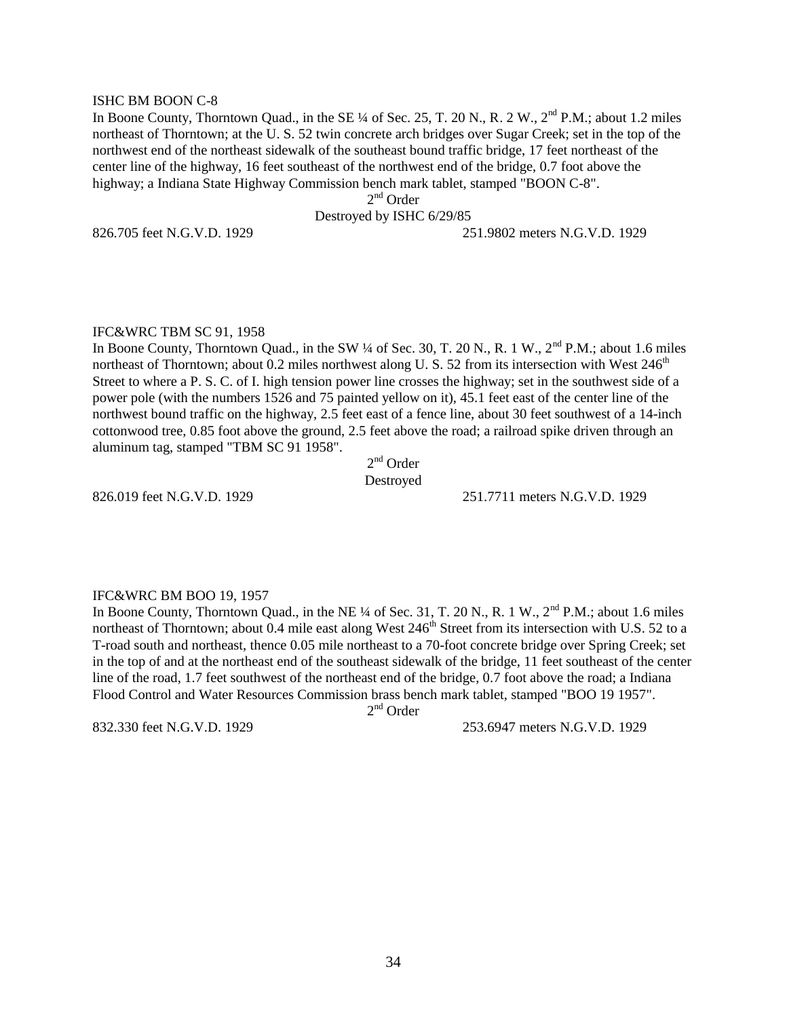#### ISHC BM BOON C-8

In Boone County, Thorntown Quad., in the SE  $\frac{1}{4}$  of Sec. 25, T. 20 N., R. 2 W.,  $2<sup>nd</sup>$  P.M.; about 1.2 miles northeast of Thorntown; at the U. S. 52 twin concrete arch bridges over Sugar Creek; set in the top of the northwest end of the northeast sidewalk of the southeast bound traffic bridge, 17 feet northeast of the center line of the highway, 16 feet southeast of the northwest end of the bridge, 0.7 foot above the highway; a Indiana State Highway Commission bench mark tablet, stamped "BOON C-8".

2<sup>nd</sup> Order

Destroyed by ISHC 6/29/85

826.705 feet N.G.V.D. 1929 251.9802 meters N.G.V.D. 1929

#### IFC&WRC TBM SC 91, 1958

In Boone County, Thorntown Quad., in the SW  $\frac{1}{4}$  of Sec. 30, T. 20 N., R. 1 W.,  $2^{nd}$  P.M.; about 1.6 miles northeast of Thorntown; about 0.2 miles northwest along U. S. 52 from its intersection with West  $246<sup>th</sup>$ Street to where a P. S. C. of I. high tension power line crosses the highway; set in the southwest side of a power pole (with the numbers 1526 and 75 painted yellow on it), 45.1 feet east of the center line of the northwest bound traffic on the highway, 2.5 feet east of a fence line, about 30 feet southwest of a 14-inch cottonwood tree, 0.85 foot above the ground, 2.5 feet above the road; a railroad spike driven through an aluminum tag, stamped "TBM SC 91 1958".

2<sup>nd</sup> Order Destroyed

826.019 feet N.G.V.D. 1929 251.7711 meters N.G.V.D. 1929

#### IFC&WRC BM BOO 19, 1957

In Boone County, Thorntown Quad., in the NE  $\frac{1}{4}$  of Sec. 31, T. 20 N., R. 1 W.,  $2^{nd}$  P.M.; about 1.6 miles northeast of Thorntown; about 0.4 mile east along West 246<sup>th</sup> Street from its intersection with U.S. 52 to a T-road south and northeast, thence 0.05 mile northeast to a 70-foot concrete bridge over Spring Creek; set in the top of and at the northeast end of the southeast sidewalk of the bridge, 11 feet southeast of the center line of the road, 1.7 feet southwest of the northeast end of the bridge, 0.7 foot above the road; a Indiana Flood Control and Water Resources Commission brass bench mark tablet, stamped "BOO 19 1957".

2<sup>nd</sup> Order

832.330 feet N.G.V.D. 1929 253.6947 meters N.G.V.D. 1929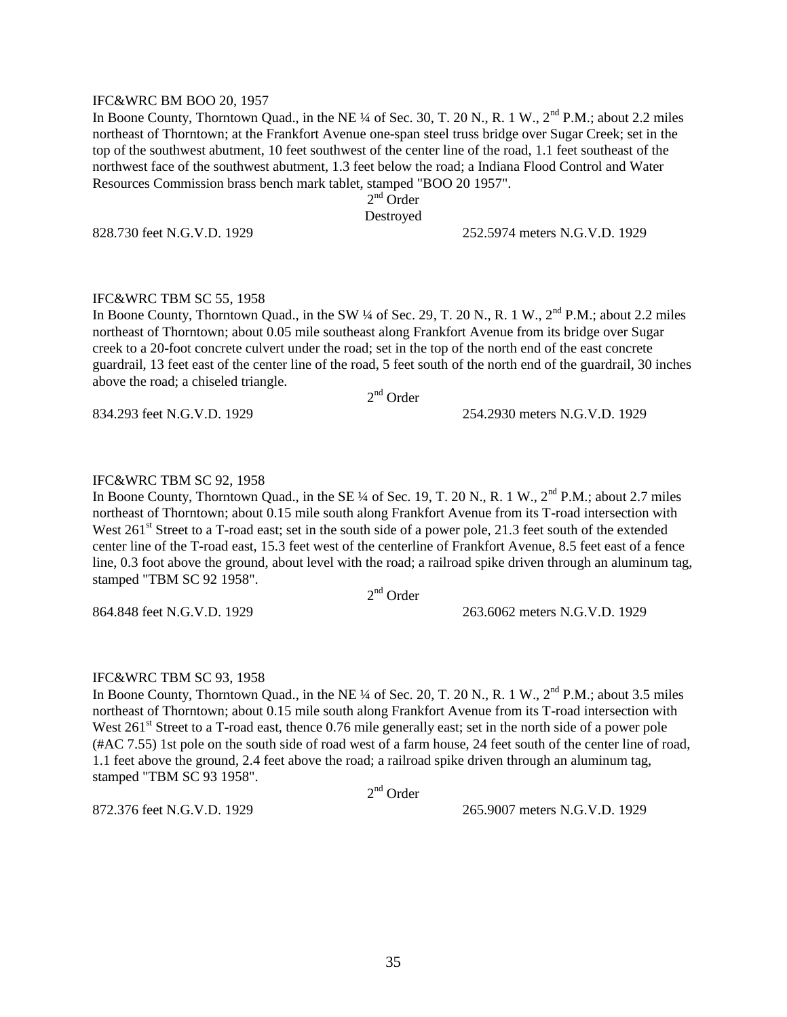#### IFC&WRC BM BOO 20, 1957

In Boone County, Thorntown Quad., in the NE  $\frac{1}{4}$  of Sec. 30, T. 20 N., R. 1 W.,  $2^{nd}$  P.M.; about 2.2 miles northeast of Thorntown; at the Frankfort Avenue one-span steel truss bridge over Sugar Creek; set in the top of the southwest abutment, 10 feet southwest of the center line of the road, 1.1 feet southeast of the northwest face of the southwest abutment, 1.3 feet below the road; a Indiana Flood Control and Water Resources Commission brass bench mark tablet, stamped "BOO 20 1957".

2<sup>nd</sup> Order

Destroyed

828.730 feet N.G.V.D. 1929 252.5974 meters N.G.V.D. 1929

#### IFC&WRC TBM SC 55, 1958

In Boone County, Thorntown Quad., in the SW  $\frac{1}{4}$  of Sec. 29, T. 20 N., R. 1 W.,  $2^{nd}$  P.M.; about 2.2 miles northeast of Thorntown; about 0.05 mile southeast along Frankfort Avenue from its bridge over Sugar creek to a 20-foot concrete culvert under the road; set in the top of the north end of the east concrete guardrail, 13 feet east of the center line of the road, 5 feet south of the north end of the guardrail, 30 inches above the road; a chiseled triangle.

2<sup>nd</sup> Order

834.293 feet N.G.V.D. 1929 254.2930 meters N.G.V.D. 1929

#### IFC&WRC TBM SC 92, 1958

In Boone County, Thorntown Quad., in the SE ¼ of Sec. 19, T. 20 N., R. 1 W., 2<sup>nd</sup> P.M.; about 2.7 miles northeast of Thorntown; about 0.15 mile south along Frankfort Avenue from its T-road intersection with West 261<sup>st</sup> Street to a T-road east; set in the south side of a power pole, 21.3 feet south of the extended center line of the T-road east, 15.3 feet west of the centerline of Frankfort Avenue, 8.5 feet east of a fence line, 0.3 foot above the ground, about level with the road; a railroad spike driven through an aluminum tag, stamped "TBM SC 92 1958".

2<sup>nd</sup> Order

864.848 feet N.G.V.D. 1929 263.6062 meters N.G.V.D. 1929

#### IFC&WRC TBM SC 93, 1958

In Boone County, Thorntown Quad., in the NE  $\frac{1}{4}$  of Sec. 20, T. 20 N., R. 1 W.,  $2^{nd}$  P.M.; about 3.5 miles northeast of Thorntown; about 0.15 mile south along Frankfort Avenue from its T-road intersection with West 261<sup>st</sup> Street to a T-road east, thence 0.76 mile generally east; set in the north side of a power pole (#AC 7.55) 1st pole on the south side of road west of a farm house, 24 feet south of the center line of road, 1.1 feet above the ground, 2.4 feet above the road; a railroad spike driven through an aluminum tag, stamped "TBM SC 93 1958".

2<sup>nd</sup> Order

872.376 feet N.G.V.D. 1929 265.9007 meters N.G.V.D. 1929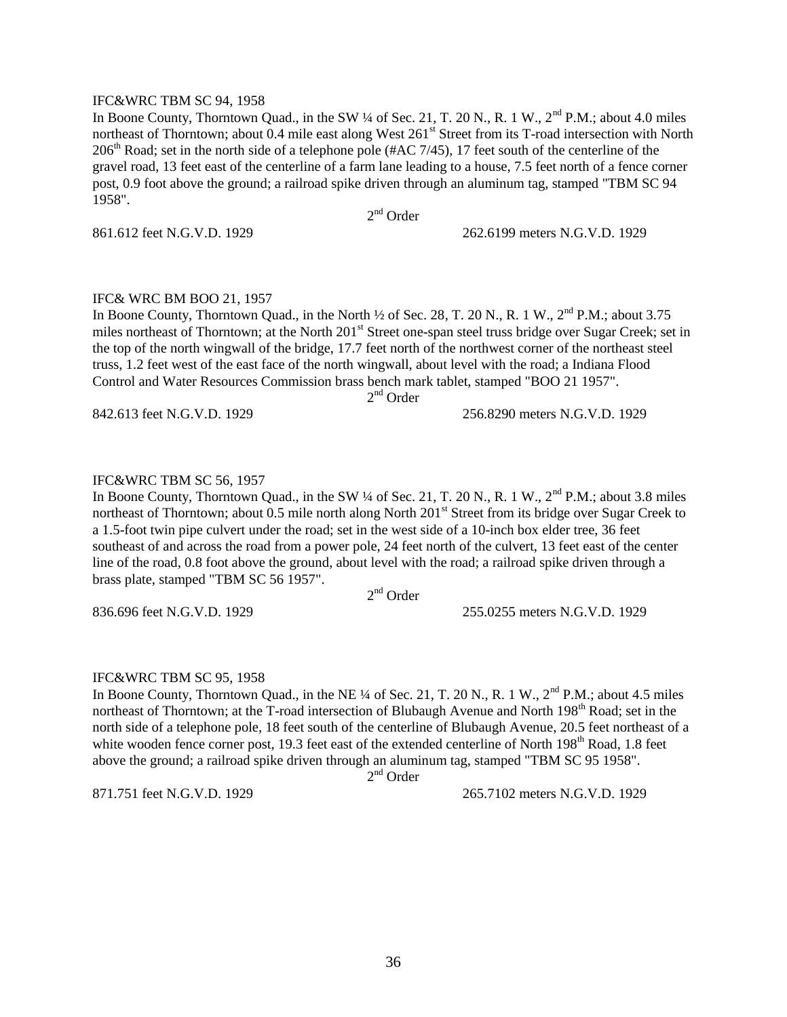#### IFC&WRC TBM SC 94, 1958

In Boone County, Thorntown Quad., in the SW ¼ of Sec. 21, T. 20 N., R. 1 W., 2<sup>nd</sup> P.M.; about 4.0 miles northeast of Thorntown; about 0.4 mile east along West 261<sup>st</sup> Street from its T-road intersection with North  $206<sup>th</sup>$  Road; set in the north side of a telephone pole (#AC 7/45), 17 feet south of the centerline of the gravel road, 13 feet east of the centerline of a farm lane leading to a house, 7.5 feet north of a fence corner post, 0.9 foot above the ground; a railroad spike driven through an aluminum tag, stamped "TBM SC 94 1958".

2<sup>nd</sup> Order

861.612 feet N.G.V.D. 1929 262.6199 meters N.G.V.D. 1929

#### IFC& WRC BM BOO 21, 1957

In Boone County, Thorntown Quad., in the North  $\frac{1}{2}$  of Sec. 28, T. 20 N., R. 1 W.,  $2^{nd}$  P.M.; about 3.75 miles northeast of Thorntown; at the North  $201<sup>st</sup>$  Street one-span steel truss bridge over Sugar Creek; set in the top of the north wingwall of the bridge, 17.7 feet north of the northwest corner of the northeast steel truss, 1.2 feet west of the east face of the north wingwall, about level with the road; a Indiana Flood Control and Water Resources Commission brass bench mark tablet, stamped "BOO 21 1957". 2<sup>nd</sup> Order

842.613 feet N.G.V.D. 1929 256.8290 meters N.G.V.D. 1929

#### IFC&WRC TBM SC 56, 1957

In Boone County, Thorntown Quad., in the SW ¼ of Sec. 21, T. 20 N., R. 1 W., 2<sup>nd</sup> P.M.; about 3.8 miles northeast of Thorntown; about 0.5 mile north along North 201<sup>st</sup> Street from its bridge over Sugar Creek to a 1.5-foot twin pipe culvert under the road; set in the west side of a 10-inch box elder tree, 36 feet southeast of and across the road from a power pole, 24 feet north of the culvert, 13 feet east of the center line of the road, 0.8 foot above the ground, about level with the road; a railroad spike driven through a brass plate, stamped "TBM SC 56 1957".

2<sup>nd</sup> Order

836.696 feet N.G.V.D. 1929 255.0255 meters N.G.V.D. 1929

#### IFC&WRC TBM SC 95, 1958

In Boone County, Thorntown Quad., in the NE ¼ of Sec. 21, T. 20 N., R. 1 W., 2<sup>nd</sup> P.M.; about 4.5 miles northeast of Thorntown; at the T-road intersection of Blubaugh Avenue and North 198<sup>th</sup> Road; set in the north side of a telephone pole, 18 feet south of the centerline of Blubaugh Avenue, 20.5 feet northeast of a white wooden fence corner post, 19.3 feet east of the extended centerline of North 198<sup>th</sup> Road, 1.8 feet above the ground; a railroad spike driven through an aluminum tag, stamped "TBM SC 95 1958".

2<sup>nd</sup> Order

871.751 feet N.G.V.D. 1929 265.7102 meters N.G.V.D. 1929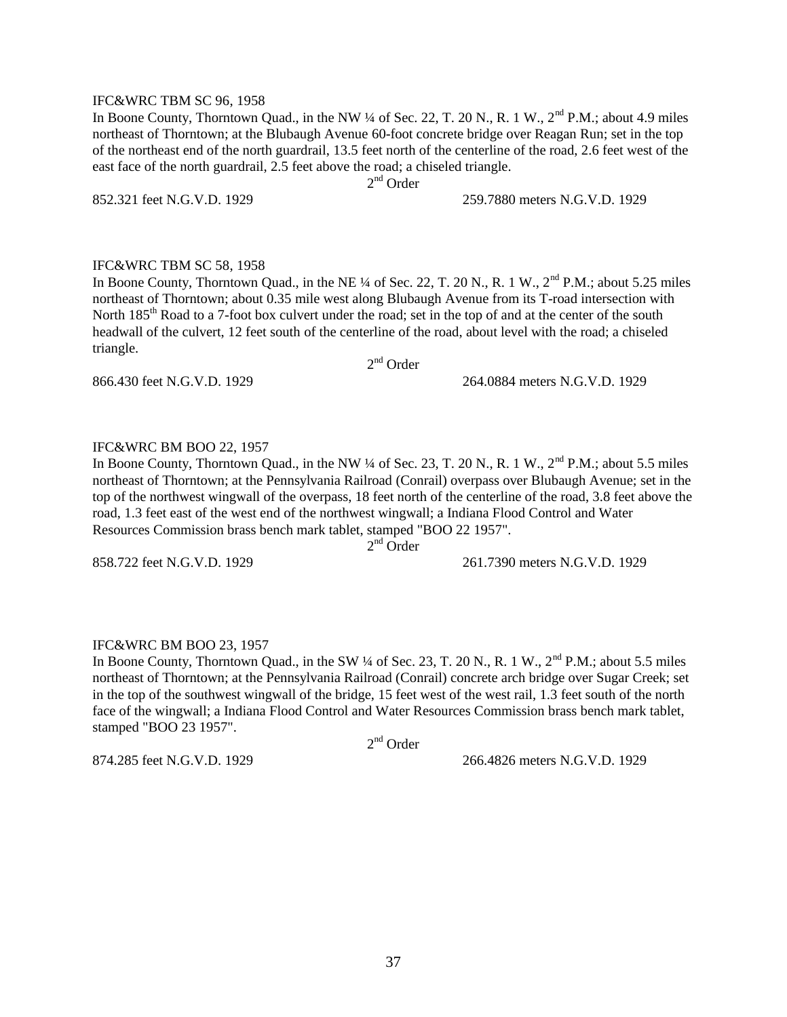#### IFC&WRC TBM SC 96, 1958

In Boone County, Thorntown Quad., in the NW  $\frac{1}{4}$  of Sec. 22, T. 20 N., R. 1 W.,  $2^{nd}$  P.M.; about 4.9 miles northeast of Thorntown; at the Blubaugh Avenue 60-foot concrete bridge over Reagan Run; set in the top of the northeast end of the north guardrail, 13.5 feet north of the centerline of the road, 2.6 feet west of the east face of the north guardrail, 2.5 feet above the road; a chiseled triangle.

2<sup>nd</sup> Order

852.321 feet N.G.V.D. 1929 259.7880 meters N.G.V.D. 1929

#### IFC&WRC TBM SC 58, 1958

In Boone County, Thorntown Quad., in the NE ¼ of Sec. 22, T. 20 N., R. 1 W., 2<sup>nd</sup> P.M.; about 5.25 miles northeast of Thorntown; about 0.35 mile west along Blubaugh Avenue from its T-road intersection with North 185<sup>th</sup> Road to a 7-foot box culvert under the road; set in the top of and at the center of the south headwall of the culvert, 12 feet south of the centerline of the road, about level with the road; a chiseled triangle.

2<sup>nd</sup> Order

866.430 feet N.G.V.D. 1929 264.0884 meters N.G.V.D. 1929

#### IFC&WRC BM BOO 22, 1957

In Boone County, Thorntown Quad., in the NW  $\frac{1}{4}$  of Sec. 23, T. 20 N., R. 1 W.,  $2^{nd}$  P.M.; about 5.5 miles northeast of Thorntown; at the Pennsylvania Railroad (Conrail) overpass over Blubaugh Avenue; set in the top of the northwest wingwall of the overpass, 18 feet north of the centerline of the road, 3.8 feet above the road, 1.3 feet east of the west end of the northwest wingwall; a Indiana Flood Control and Water Resources Commission brass bench mark tablet, stamped "BOO 22 1957".

 $2<sup>nd</sup>$  Order

858.722 feet N.G.V.D. 1929 261.7390 meters N.G.V.D. 1929

#### IFC&WRC BM BOO 23, 1957

In Boone County, Thorntown Quad., in the SW ¼ of Sec. 23, T. 20 N., R. 1 W., 2<sup>nd</sup> P.M.; about 5.5 miles northeast of Thorntown; at the Pennsylvania Railroad (Conrail) concrete arch bridge over Sugar Creek; set in the top of the southwest wingwall of the bridge, 15 feet west of the west rail, 1.3 feet south of the north face of the wingwall; a Indiana Flood Control and Water Resources Commission brass bench mark tablet, stamped "BOO 23 1957".

2<sup>nd</sup> Order

874.285 feet N.G.V.D. 1929 266.4826 meters N.G.V.D. 1929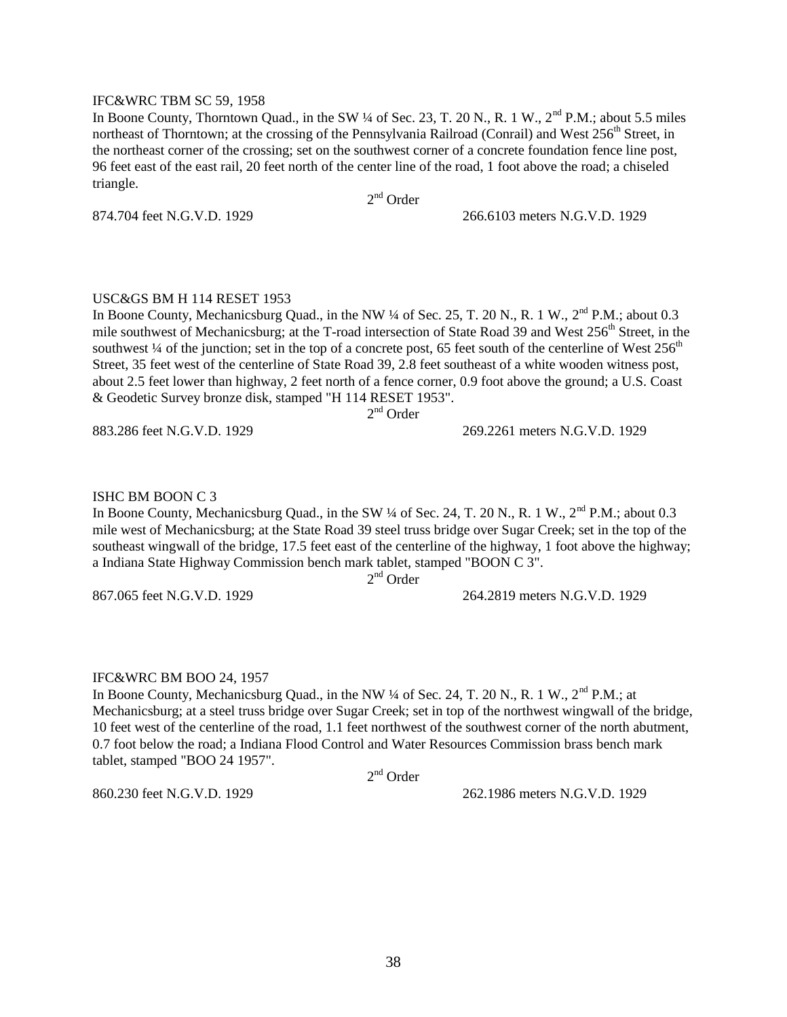#### IFC&WRC TBM SC 59, 1958

In Boone County, Thorntown Quad., in the SW ¼ of Sec. 23, T. 20 N., R. 1 W., 2<sup>nd</sup> P.M.; about 5.5 miles northeast of Thorntown; at the crossing of the Pennsylvania Railroad (Conrail) and West 256<sup>th</sup> Street, in the northeast corner of the crossing; set on the southwest corner of a concrete foundation fence line post, 96 feet east of the east rail, 20 feet north of the center line of the road, 1 foot above the road; a chiseled triangle.

2<sup>nd</sup> Order

874.704 feet N.G.V.D. 1929 266.6103 meters N.G.V.D. 1929

### USC&GS BM H 114 RESET 1953

In Boone County, Mechanicsburg Quad., in the NW  $\frac{1}{4}$  of Sec. 25, T. 20 N., R. 1 W.,  $2^{nd}$  P.M.; about 0.3 mile southwest of Mechanicsburg; at the T-road intersection of State Road 39 and West  $256<sup>th</sup>$  Street, in the southwest  $\frac{1}{4}$  of the junction; set in the top of a concrete post, 65 feet south of the centerline of West 256<sup>th</sup> Street, 35 feet west of the centerline of State Road 39, 2.8 feet southeast of a white wooden witness post, about 2.5 feet lower than highway, 2 feet north of a fence corner, 0.9 foot above the ground; a U.S. Coast & Geodetic Survey bronze disk, stamped "H 114 RESET 1953".

2<sup>nd</sup> Order

883.286 feet N.G.V.D. 1929 269.2261 meters N.G.V.D. 1929

# ISHC BM BOON C 3

In Boone County, Mechanicsburg Quad., in the SW ¼ of Sec. 24, T. 20 N., R. 1 W., 2<sup>nd</sup> P.M.; about 0.3 mile west of Mechanicsburg; at the State Road 39 steel truss bridge over Sugar Creek; set in the top of the southeast wingwall of the bridge, 17.5 feet east of the centerline of the highway, 1 foot above the highway; a Indiana State Highway Commission bench mark tablet, stamped "BOON C 3".

2<sup>nd</sup> Order

867.065 feet N.G.V.D. 1929 264.2819 meters N.G.V.D. 1929

#### IFC&WRC BM BOO 24, 1957

In Boone County, Mechanicsburg Quad., in the NW  $\frac{1}{4}$  of Sec. 24, T. 20 N., R. 1 W.,  $2^{nd}$  P.M.; at Mechanicsburg; at a steel truss bridge over Sugar Creek; set in top of the northwest wingwall of the bridge, 10 feet west of the centerline of the road, 1.1 feet northwest of the southwest corner of the north abutment, 0.7 foot below the road; a Indiana Flood Control and Water Resources Commission brass bench mark tablet, stamped "BOO 24 1957".

2<sup>nd</sup> Order

860.230 feet N.G.V.D. 1929 262.1986 meters N.G.V.D. 1929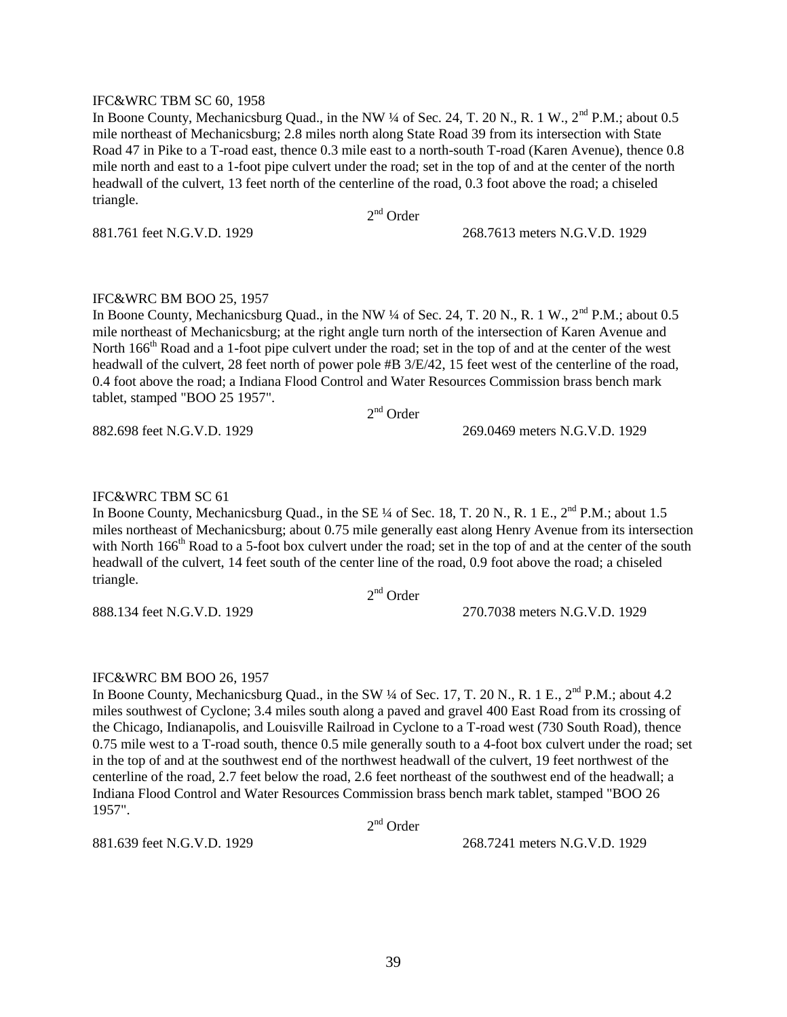#### IFC&WRC TBM SC 60, 1958

In Boone County, Mechanicsburg Quad., in the NW  $\frac{1}{4}$  of Sec. 24, T. 20 N., R. 1 W.,  $2^{nd}$  P.M.; about 0.5 mile northeast of Mechanicsburg; 2.8 miles north along State Road 39 from its intersection with State Road 47 in Pike to a T-road east, thence 0.3 mile east to a north-south T-road (Karen Avenue), thence 0.8 mile north and east to a 1-foot pipe culvert under the road; set in the top of and at the center of the north headwall of the culvert, 13 feet north of the centerline of the road, 0.3 foot above the road; a chiseled triangle.

2<sup>nd</sup> Order

881.761 feet N.G.V.D. 1929 268.7613 meters N.G.V.D. 1929

#### IFC&WRC BM BOO 25, 1957

In Boone County, Mechanicsburg Quad., in the NW ¼ of Sec. 24, T. 20 N., R. 1 W., 2<sup>nd</sup> P.M.; about 0.5 mile northeast of Mechanicsburg; at the right angle turn north of the intersection of Karen Avenue and North 166<sup>th</sup> Road and a 1-foot pipe culvert under the road; set in the top of and at the center of the west headwall of the culvert, 28 feet north of power pole #B  $3/E/42$ , 15 feet west of the centerline of the road, 0.4 foot above the road; a Indiana Flood Control and Water Resources Commission brass bench mark tablet, stamped "BOO 25 1957". 2<sup>nd</sup> Order

882.698 feet N.G.V.D. 1929 269.0469 meters N.G.V.D. 1929

#### IFC&WRC TBM SC 61

In Boone County, Mechanicsburg Quad., in the SE 1/4 of Sec. 18, T. 20 N., R. 1 E., 2<sup>nd</sup> P.M.; about 1.5 miles northeast of Mechanicsburg; about 0.75 mile generally east along Henry Avenue from its intersection with North 166<sup>th</sup> Road to a 5-foot box culvert under the road; set in the top of and at the center of the south headwall of the culvert, 14 feet south of the center line of the road, 0.9 foot above the road; a chiseled triangle.

2<sup>nd</sup> Order

888.134 feet N.G.V.D. 1929 270.7038 meters N.G.V.D. 1929

#### IFC&WRC BM BOO 26, 1957

In Boone County, Mechanicsburg Quad., in the SW  $\frac{1}{4}$  of Sec. 17, T. 20 N., R. 1 E., 2<sup>nd</sup> P.M.; about 4.2 miles southwest of Cyclone; 3.4 miles south along a paved and gravel 400 East Road from its crossing of the Chicago, Indianapolis, and Louisville Railroad in Cyclone to a T-road west (730 South Road), thence 0.75 mile west to a T-road south, thence 0.5 mile generally south to a 4-foot box culvert under the road; set in the top of and at the southwest end of the northwest headwall of the culvert, 19 feet northwest of the centerline of the road, 2.7 feet below the road, 2.6 feet northeast of the southwest end of the headwall; a Indiana Flood Control and Water Resources Commission brass bench mark tablet, stamped "BOO 26 1957".

2<sup>nd</sup> Order

881.639 feet N.G.V.D. 1929 268.7241 meters N.G.V.D. 1929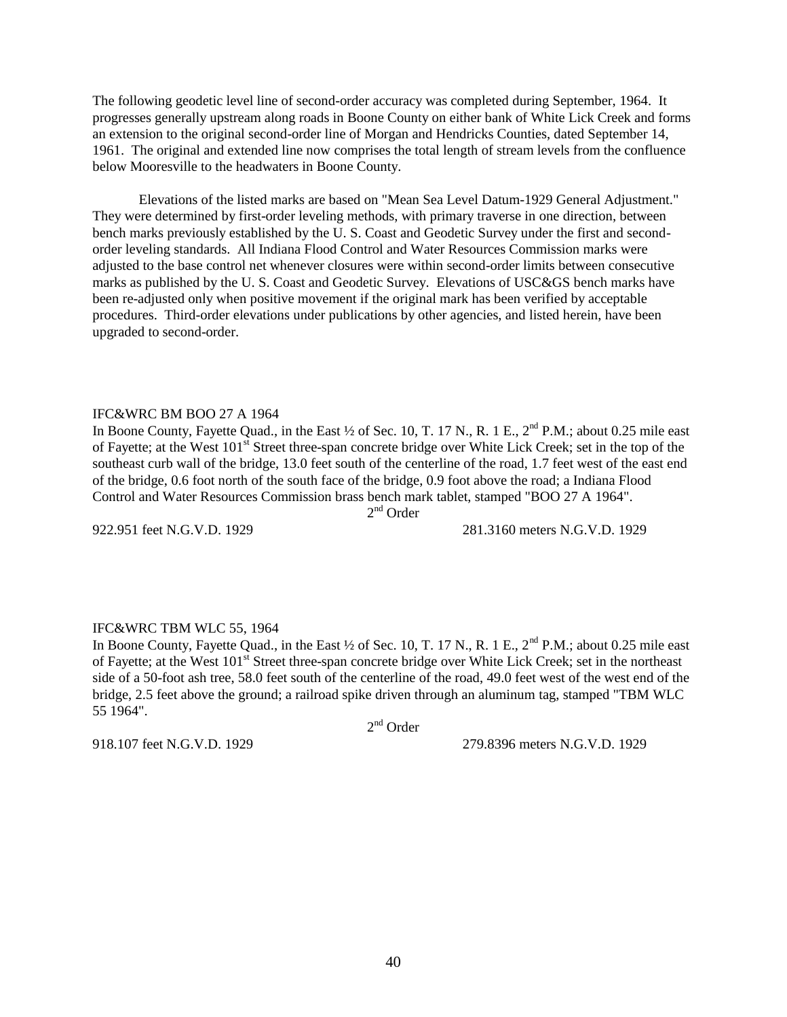The following geodetic level line of second-order accuracy was completed during September, 1964. It progresses generally upstream along roads in Boone County on either bank of White Lick Creek and forms an extension to the original second-order line of Morgan and Hendricks Counties, dated September 14, 1961. The original and extended line now comprises the total length of stream levels from the confluence below Mooresville to the headwaters in Boone County.

Elevations of the listed marks are based on "Mean Sea Level Datum-1929 General Adjustment." They were determined by first-order leveling methods, with primary traverse in one direction, between bench marks previously established by the U. S. Coast and Geodetic Survey under the first and secondorder leveling standards. All Indiana Flood Control and Water Resources Commission marks were adjusted to the base control net whenever closures were within second-order limits between consecutive marks as published by the U. S. Coast and Geodetic Survey. Elevations of USC&GS bench marks have been re-adjusted only when positive movement if the original mark has been verified by acceptable procedures. Third-order elevations under publications by other agencies, and listed herein, have been upgraded to second-order.

#### IFC&WRC BM BOO 27 A 1964

In Boone County, Fayette Quad., in the East  $\frac{1}{2}$  of Sec. 10, T. 17 N., R. 1 E.,  $2^{nd}$  P.M.; about 0.25 mile east of Fayette; at the West 101<sup>st</sup> Street three-span concrete bridge over White Lick Creek; set in the top of the southeast curb wall of the bridge, 13.0 feet south of the centerline of the road, 1.7 feet west of the east end of the bridge, 0.6 foot north of the south face of the bridge, 0.9 foot above the road; a Indiana Flood Control and Water Resources Commission brass bench mark tablet, stamped "BOO 27 A 1964".

2<sup>nd</sup> Order

922.951 feet N.G.V.D. 1929 281.3160 meters N.G.V.D. 1929

#### IFC&WRC TBM WLC 55, 1964

In Boone County, Fayette Quad., in the East  $\frac{1}{2}$  of Sec. 10, T. 17 N., R. 1 E.,  $2^{nd}$  P.M.; about 0.25 mile east of Fayette; at the West 101<sup>st</sup> Street three-span concrete bridge over White Lick Creek; set in the northeast side of a 50-foot ash tree, 58.0 feet south of the centerline of the road, 49.0 feet west of the west end of the bridge, 2.5 feet above the ground; a railroad spike driven through an aluminum tag, stamped "TBM WLC 55 1964".

2<sup>nd</sup> Order

918.107 feet N.G.V.D. 1929 279.8396 meters N.G.V.D. 1929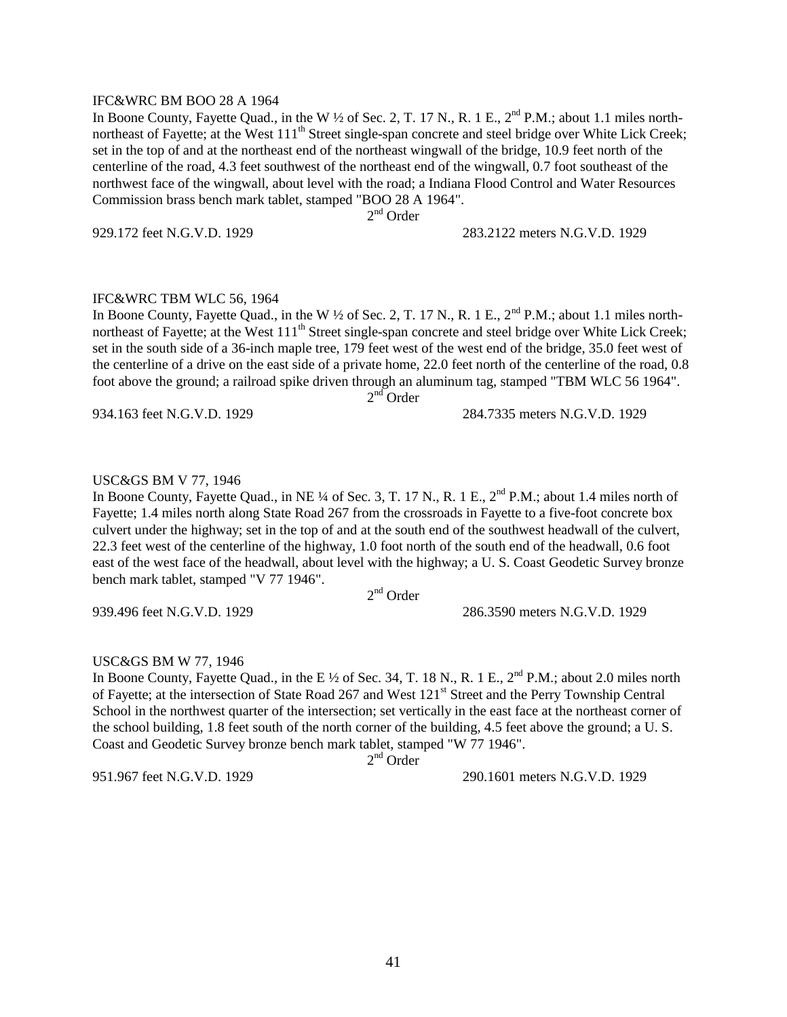#### IFC&WRC BM BOO 28 A 1964

In Boone County, Fayette Quad., in the W  $\frac{1}{2}$  of Sec. 2, T. 17 N., R. 1 E., 2<sup>nd</sup> P.M.; about 1.1 miles northnortheast of Fayette; at the West 111<sup>th</sup> Street single-span concrete and steel bridge over White Lick Creek; set in the top of and at the northeast end of the northeast wingwall of the bridge, 10.9 feet north of the centerline of the road, 4.3 feet southwest of the northeast end of the wingwall, 0.7 foot southeast of the northwest face of the wingwall, about level with the road; a Indiana Flood Control and Water Resources Commission brass bench mark tablet, stamped "BOO 28 A 1964".

2<sup>nd</sup> Order

929.172 feet N.G.V.D. 1929 283.2122 meters N.G.V.D. 1929

#### IFC&WRC TBM WLC 56, 1964

In Boone County, Fayette Quad., in the W  $\frac{1}{2}$  of Sec. 2, T. 17 N., R. 1 E.,  $2^{nd}$  P.M.; about 1.1 miles northnortheast of Fayette; at the West  $111<sup>th</sup>$  Street single-span concrete and steel bridge over White Lick Creek; set in the south side of a 36-inch maple tree, 179 feet west of the west end of the bridge, 35.0 feet west of the centerline of a drive on the east side of a private home, 22.0 feet north of the centerline of the road, 0.8 foot above the ground; a railroad spike driven through an aluminum tag, stamped "TBM WLC 56 1964".  $2<sup>nd</sup>$  Order

934.163 feet N.G.V.D. 1929 284.7335 meters N.G.V.D. 1929

### USC&GS BM V 77, 1946

In Boone County, Fayette Quad., in NE ¼ of Sec. 3, T. 17 N., R. 1 E.,  $2<sup>nd</sup>$  P.M.; about 1.4 miles north of Fayette; 1.4 miles north along State Road 267 from the crossroads in Fayette to a five-foot concrete box culvert under the highway; set in the top of and at the south end of the southwest headwall of the culvert, 22.3 feet west of the centerline of the highway, 1.0 foot north of the south end of the headwall, 0.6 foot east of the west face of the headwall, about level with the highway; a U. S. Coast Geodetic Survey bronze bench mark tablet, stamped "V 77 1946".

2<sup>nd</sup> Order

939.496 feet N.G.V.D. 1929 286.3590 meters N.G.V.D. 1929

# USC&GS BM W 77, 1946

In Boone County, Fayette Quad., in the E  $\frac{1}{2}$  of Sec. 34, T. 18 N., R. 1 E.,  $2^{nd}$  P.M.; about 2.0 miles north of Fayette; at the intersection of State Road 267 and West 121<sup>st</sup> Street and the Perry Township Central School in the northwest quarter of the intersection; set vertically in the east face at the northeast corner of the school building, 1.8 feet south of the north corner of the building, 4.5 feet above the ground; a U. S. Coast and Geodetic Survey bronze bench mark tablet, stamped "W 77 1946".

2<sup>nd</sup> Order

951.967 feet N.G.V.D. 1929 290.1601 meters N.G.V.D. 1929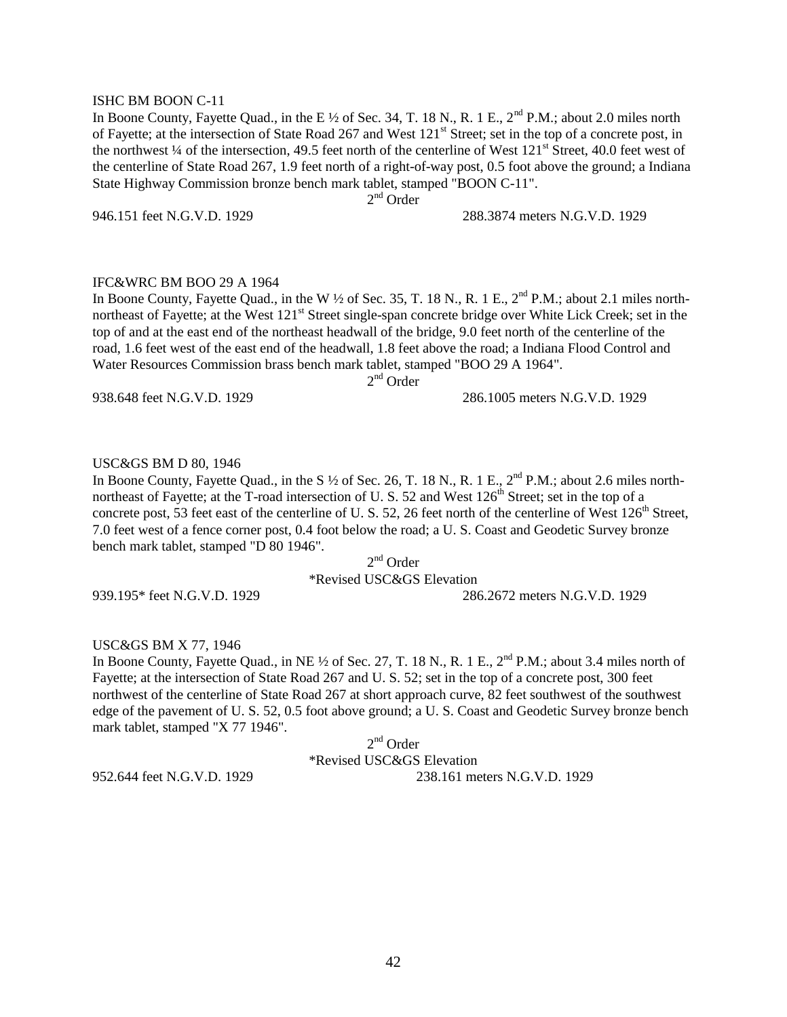#### ISHC BM BOON C-11

In Boone County, Fayette Quad., in the E  $\frac{1}{2}$  of Sec. 34, T. 18 N., R. 1 E.,  $2^{nd}$  P.M.; about 2.0 miles north of Fayette; at the intersection of State Road 267 and West 121<sup>st</sup> Street; set in the top of a concrete post, in the northwest ¼ of the intersection, 49.5 feet north of the centerline of West 121<sup>st</sup> Street, 40.0 feet west of the centerline of State Road 267, 1.9 feet north of a right-of-way post, 0.5 foot above the ground; a Indiana State Highway Commission bronze bench mark tablet, stamped "BOON C-11".

2<sup>nd</sup> Order

946.151 feet N.G.V.D. 1929 288.3874 meters N.G.V.D. 1929

### IFC&WRC BM BOO 29 A 1964

In Boone County, Fayette Quad., in the W  $\frac{1}{2}$  of Sec. 35, T. 18 N., R. 1 E., 2<sup>nd</sup> P.M.; about 2.1 miles northnortheast of Fayette; at the West 121<sup>st</sup> Street single-span concrete bridge over White Lick Creek; set in the top of and at the east end of the northeast headwall of the bridge, 9.0 feet north of the centerline of the road, 1.6 feet west of the east end of the headwall, 1.8 feet above the road; a Indiana Flood Control and Water Resources Commission brass bench mark tablet, stamped "BOO 29 A 1964".

2<sup>nd</sup> Order

#### 938.648 feet N.G.V.D. 1929 286.1005 meters N.G.V.D. 1929

### USC&GS BM D 80, 1946

In Boone County, Fayette Quad., in the S  $\frac{1}{2}$  of Sec. 26, T. 18 N., R. 1 E., 2<sup>nd</sup> P.M.; about 2.6 miles northnortheast of Fayette; at the T-road intersection of U.S. 52 and West 126<sup>th</sup> Street; set in the top of a concrete post, 53 feet east of the centerline of U. S. 52, 26 feet north of the centerline of West  $126<sup>th</sup>$  Street, 7.0 feet west of a fence corner post, 0.4 foot below the road; a U. S. Coast and Geodetic Survey bronze bench mark tablet, stamped "D 80 1946".

> 2<sup>nd</sup> Order \*Revised USC&GS Elevation

939.195\* feet N.G.V.D. 1929 286.2672 meters N.G.V.D. 1929

### USC&GS BM X 77, 1946

In Boone County, Fayette Quad., in NE  $\frac{1}{2}$  of Sec. 27, T. 18 N., R. 1 E., 2<sup>nd</sup> P.M.; about 3.4 miles north of Fayette; at the intersection of State Road 267 and U. S. 52; set in the top of a concrete post, 300 feet northwest of the centerline of State Road 267 at short approach curve, 82 feet southwest of the southwest edge of the pavement of U. S. 52, 0.5 foot above ground; a U. S. Coast and Geodetic Survey bronze bench mark tablet, stamped "X 77 1946".

2<sup>nd</sup> Order \*Revised USC&GS Elevation 952.644 feet N.G.V.D. 1929 238.161 meters N.G.V.D. 1929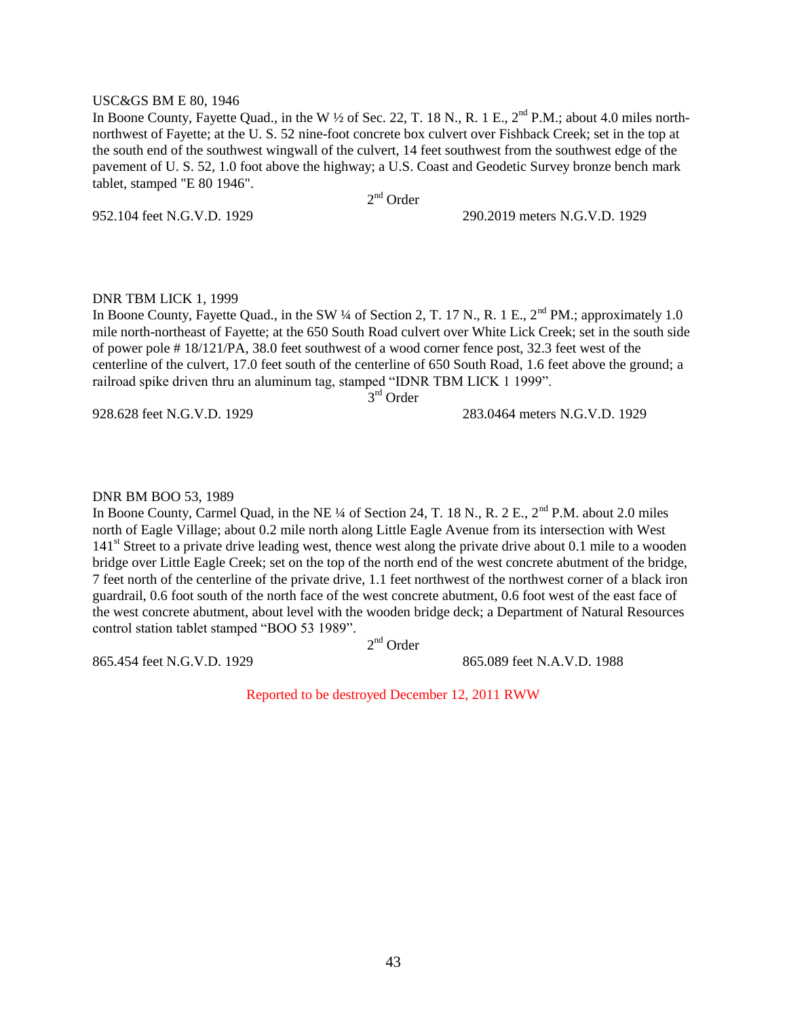#### USC&GS BM E 80, 1946

In Boone County, Fayette Quad., in the W  $\frac{1}{2}$  of Sec. 22, T. 18 N., R. 1 E., 2<sup>nd</sup> P.M.; about 4.0 miles northnorthwest of Fayette; at the U. S. 52 nine-foot concrete box culvert over Fishback Creek; set in the top at the south end of the southwest wingwall of the culvert, 14 feet southwest from the southwest edge of the pavement of U. S. 52, 1.0 foot above the highway; a U.S. Coast and Geodetic Survey bronze bench mark tablet, stamped "E 80 1946".

2<sup>nd</sup> Order

952.104 feet N.G.V.D. 1929 290.2019 meters N.G.V.D. 1929

#### DNR TBM LICK 1, 1999

In Boone County, Fayette Quad., in the SW ¼ of Section 2, T. 17 N., R. 1 E.,  $2<sup>nd</sup> PM$ .; approximately 1.0 mile north-northeast of Fayette; at the 650 South Road culvert over White Lick Creek; set in the south side of power pole # 18/121/PA, 38.0 feet southwest of a wood corner fence post, 32.3 feet west of the centerline of the culvert, 17.0 feet south of the centerline of 650 South Road, 1.6 feet above the ground; a railroad spike driven thru an aluminum tag, stamped "IDNR TBM LICK 1 1999". 3<sup>rd</sup> Order

928.628 feet N.G.V.D. 1929 283.0464 meters N.G.V.D. 1929

#### DNR BM BOO 53, 1989

In Boone County, Carmel Quad, in the NE ¼ of Section 24, T. 18 N., R. 2 E., 2<sup>nd</sup> P.M. about 2.0 miles north of Eagle Village; about 0.2 mile north along Little Eagle Avenue from its intersection with West 141<sup>st</sup> Street to a private drive leading west, thence west along the private drive about 0.1 mile to a wooden bridge over Little Eagle Creek; set on the top of the north end of the west concrete abutment of the bridge, 7 feet north of the centerline of the private drive, 1.1 feet northwest of the northwest corner of a black iron guardrail, 0.6 foot south of the north face of the west concrete abutment, 0.6 foot west of the east face of the west concrete abutment, about level with the wooden bridge deck; a Department of Natural Resources control station tablet stamped "BOO 53 1989".

2<sup>nd</sup> Order

865.454 feet N.G.V.D. 1929 865.089 feet N.A.V.D. 1988

Reported to be destroyed December 12, 2011 RWW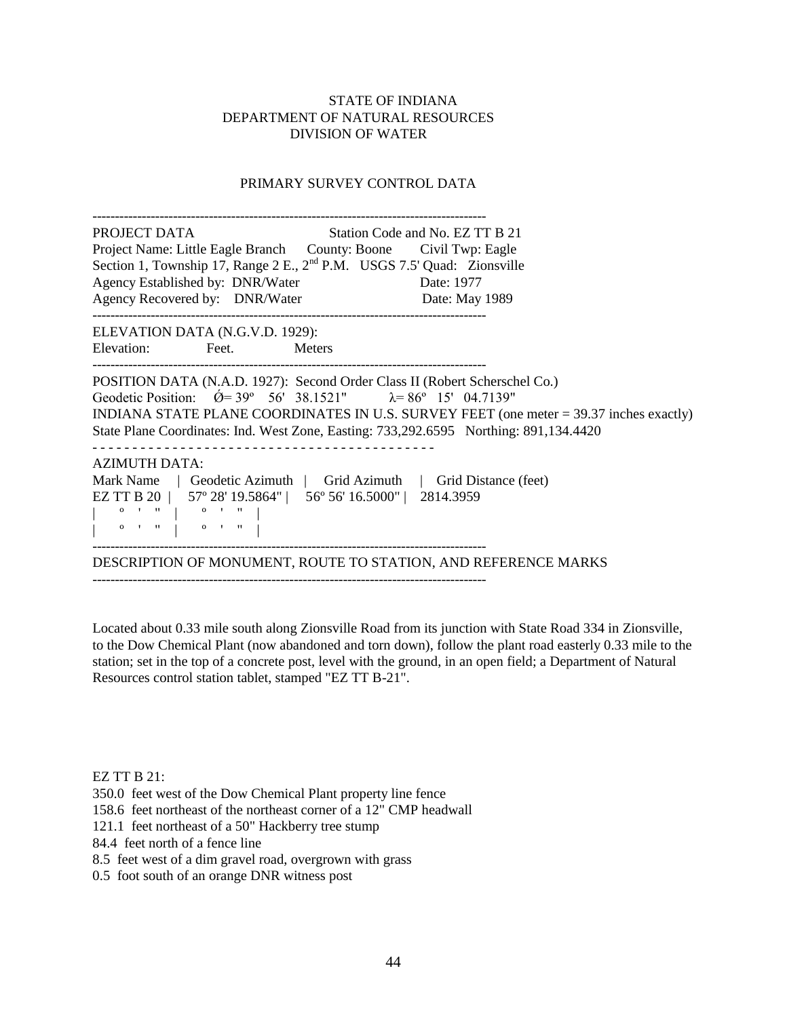# PRIMARY SURVEY CONTROL DATA

| PROJECT DATA<br>Station Code and No. EZ TT B 21<br>Project Name: Little Eagle Branch County: Boone Civil Twp: Eagle<br>Section 1, Township 17, Range 2 E., 2 <sup>nd</sup> P.M. USGS 7.5' Quad: Zionsville<br>Agency Established by: DNR/Water<br>Date: 1977<br>Agency Recovered by: DNR/Water<br>Date: May 1989                                                                                                                                                                                                                                                                                                                                                                                                                                                                                                                    |  |  |  |  |  |
|-------------------------------------------------------------------------------------------------------------------------------------------------------------------------------------------------------------------------------------------------------------------------------------------------------------------------------------------------------------------------------------------------------------------------------------------------------------------------------------------------------------------------------------------------------------------------------------------------------------------------------------------------------------------------------------------------------------------------------------------------------------------------------------------------------------------------------------|--|--|--|--|--|
| ELEVATION DATA (N.G.V.D. 1929):                                                                                                                                                                                                                                                                                                                                                                                                                                                                                                                                                                                                                                                                                                                                                                                                     |  |  |  |  |  |
| Elevation: Feet. Meters                                                                                                                                                                                                                                                                                                                                                                                                                                                                                                                                                                                                                                                                                                                                                                                                             |  |  |  |  |  |
| POSITION DATA (N.A.D. 1927): Second Order Class II (Robert Scherschel Co.)<br>Geodetic Position: $\acute{Q}$ = 39° 56′ 38.1521″ $\lambda$ = 86° 15′ 04.7139″<br>INDIANA STATE PLANE COORDINATES IN U.S. SURVEY FEET (one meter = 39.37 inches exactly)<br>State Plane Coordinates: Ind. West Zone, Easting: 733,292.6595 Northing: 891,134.4420                                                                                                                                                                                                                                                                                                                                                                                                                                                                                     |  |  |  |  |  |
| <b>AZIMUTH DATA:</b>                                                                                                                                                                                                                                                                                                                                                                                                                                                                                                                                                                                                                                                                                                                                                                                                                |  |  |  |  |  |
| Mark Name   Geodetic Azimuth   Grid Azimuth   Grid Distance (feet)                                                                                                                                                                                                                                                                                                                                                                                                                                                                                                                                                                                                                                                                                                                                                                  |  |  |  |  |  |
| EZ TT B 20   57° 28' 19.5864"   56° 56' 16.5000"   2814.3959<br>$\begin{array}{ cccc } \hline \multicolumn{3}{ c }{0} & \multicolumn{3}{ c }{0} & \multicolumn{3}{ c }{0} & \multicolumn{3}{ c }{0} & \multicolumn{3}{ c }{0} & \multicolumn{3}{ c }{0} & \multicolumn{3}{ c }{0} & \multicolumn{3}{ c }{0} & \multicolumn{3}{ c }{0} & \multicolumn{3}{ c }{0} & \multicolumn{3}{ c }{0} & \multicolumn{3}{ c }{0} & \multicolumn{3}{ c }{0} & \multicolumn{3}{ c }{0} & \multicolumn{3}{ c }{0$<br>$\begin{bmatrix} 1 & 0 & 1 & 1 \\ 0 & 0 & 0 & 0 \\ 0 & 0 & 0 & 0 \\ 0 & 0 & 0 & 0 \\ 0 & 0 & 0 & 0 \\ 0 & 0 & 0 & 0 \\ 0 & 0 & 0 & 0 \\ 0 & 0 & 0 & 0 \\ 0 & 0 & 0 & 0 \\ 0 & 0 & 0 & 0 \\ 0 & 0 & 0 & 0 \\ 0 & 0 & 0 & 0 & 0 \\ 0 & 0 & 0 & 0 & 0 \\ 0 & 0 & 0 & 0 & 0 \\ 0 & 0 & 0 & 0 & 0 & 0 \\ 0 & 0 & 0 & 0 & 0 & 0 \\ $ |  |  |  |  |  |
| DESCRIPTION OF MONUMENT, ROUTE TO STATION, AND REFERENCE MARKS                                                                                                                                                                                                                                                                                                                                                                                                                                                                                                                                                                                                                                                                                                                                                                      |  |  |  |  |  |

Located about 0.33 mile south along Zionsville Road from its junction with State Road 334 in Zionsville, to the Dow Chemical Plant (now abandoned and torn down), follow the plant road easterly 0.33 mile to the station; set in the top of a concrete post, level with the ground, in an open field; a Department of Natural Resources control station tablet, stamped "EZ TT B-21".

EZ TT B 21:

350.0 feet west of the Dow Chemical Plant property line fence

158.6 feet northeast of the northeast corner of a 12" CMP headwall

121.1 feet northeast of a 50" Hackberry tree stump

84.4 feet north of a fence line

8.5 feet west of a dim gravel road, overgrown with grass

0.5 foot south of an orange DNR witness post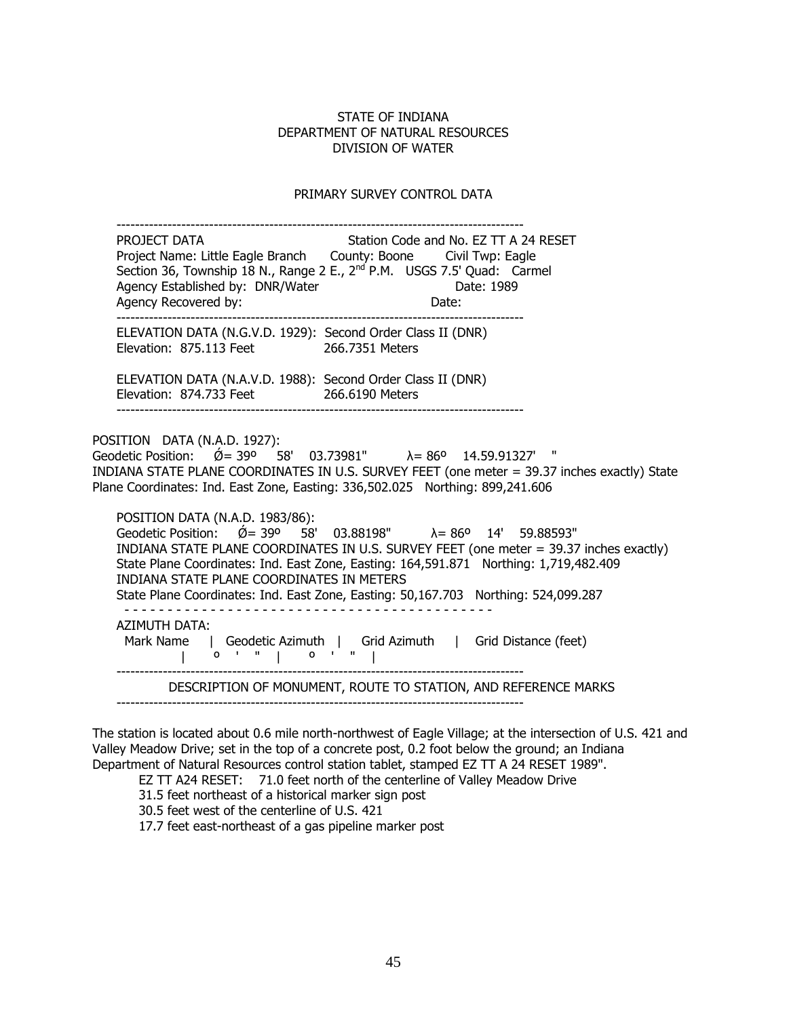#### PRIMARY SURVEY CONTROL DATA

 ---------------------------------------------------------------------------------------- PROJECT DATA STATION Station Code and No. EZ TT A 24 RESET Project Name: Little Eagle Branch County: Boone Civil Twp: Eagle Section 36, Township 18 N., Range 2 E., 2<sup>nd</sup> P.M. USGS 7.5' Quad: Carmel Agency Established by: DNR/Water **Date: 1989** Agency Recovered by: Date: ---------------------------------------------------------------------------------------- ELEVATION DATA (N.G.V.D. 1929): Second Order Class II (DNR) Elevation: 875.113 Feet 266.7351 Meters ELEVATION DATA (N.A.V.D. 1988): Second Order Class II (DNR) Elevation: 874.733 Feet 266.6190 Meters ---------------------------------------------------------------------------------------- POSITION DATA (N.A.D. 1927):  $\frac{1}{2}$  Geodetic Position:  $\acute{Q}$  = 39<sup>o</sup> 58' 03.73981"  $\lambda$  = 86<sup>o</sup> 14.59.91327' " INDIANA STATE PLANE COORDINATES IN U.S. SURVEY FEET (one meter = 39.37 inches exactly) State Plane Coordinates: Ind. East Zone, Easting: 336,502.025 Northing: 899,241.606 POSITION DATA (N.A.D. 1983/86): Geodetic Position:  $\acute{\text{O}} = 39^{\circ}$  58' 03.88198"  $\lambda = 86^{\circ}$  14' 59.88593" INDIANA STATE PLANE COORDINATES IN U.S. SURVEY FEET (one meter = 39.37 inches exactly) State Plane Coordinates: Ind. East Zone, Easting: 164,591.871 Northing: 1,719,482.409 INDIANA STATE PLANE COORDINATES IN METERS State Plane Coordinates: Ind. East Zone, Easting: 50,167.703 Northing: 524,099.287 - - - - - - - - - - - - - - - - - - - - - - - - - - - - - - - - - - - - - - - - - - - AZIMUTH DATA: Mark Name | Geodetic Azimuth | Grid Azimuth | Grid Distance (feet) | º ' " | º ' " | ---------------------------------------------------------------------------------------- DESCRIPTION OF MONUMENT, ROUTE TO STATION, AND REFERENCE MARKS ----------------------------------------------------------------------------------------

The station is located about 0.6 mile north-northwest of Eagle Village; at the intersection of U.S. 421 and Valley Meadow Drive; set in the top of a concrete post, 0.2 foot below the ground; an Indiana Department of Natural Resources control station tablet, stamped EZ TT A 24 RESET 1989".

EZ TT A24 RESET: 71.0 feet north of the centerline of Valley Meadow Drive

31.5 feet northeast of a historical marker sign post

30.5 feet west of the centerline of U.S. 421

17.7 feet east-northeast of a gas pipeline marker post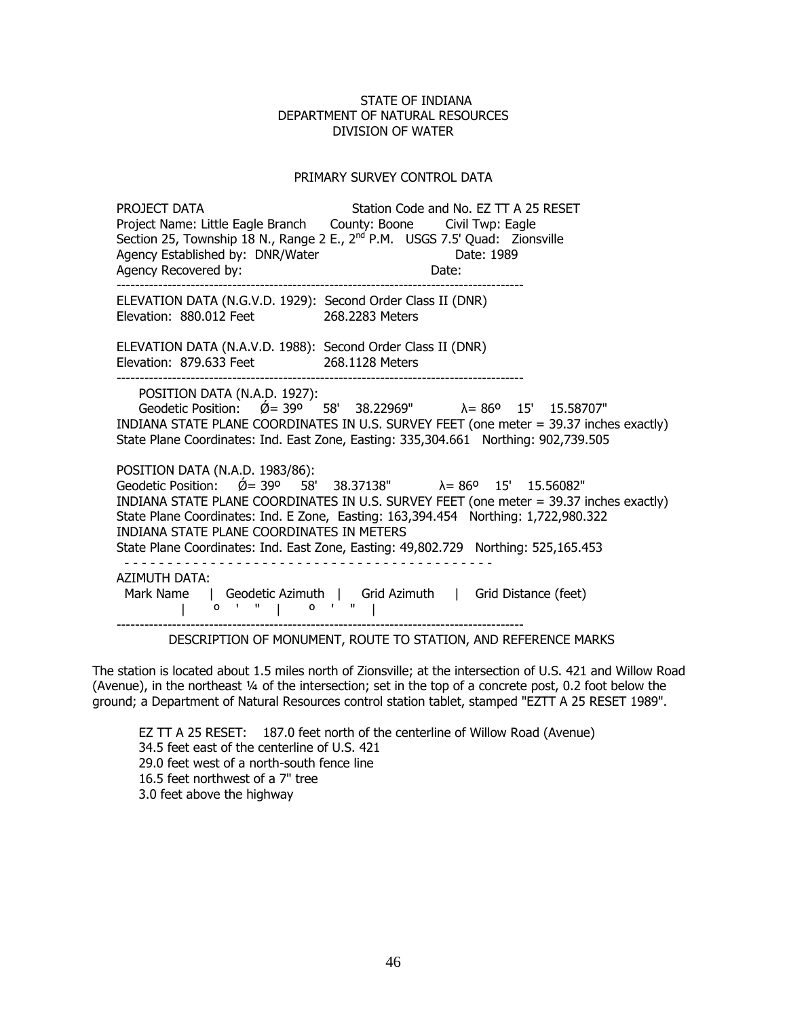### PRIMARY SURVEY CONTROL DATA

PROJECT DATA Station Code and No. EZ TT A 25 RESET Project Name: Little Eagle Branch County: Boone Civil Twp: Eagle Section 25, Township 18 N., Range 2 E., 2<sup>nd</sup> P.M. USGS 7.5' Quad: Zionsville Agency Established by: DNR/Water Date: 1989 Agency Recovered by: Date: ---------------------------------------------------------------------------------------- ELEVATION DATA (N.G.V.D. 1929): Second Order Class II (DNR) Elevation: 880.012 Feet 268.2283 Meters ELEVATION DATA (N.A.V.D. 1988): Second Order Class II (DNR) Elevation: 879.633 Feet 268.1128 Meters ---------------------------------------------------------------------------------------- POSITION DATA (N.A.D. 1927): Geodetic Position:  $\acute{\emptyset}$  = 39<sup>o</sup> 58' 38.22969"  $\lambda$  = 86<sup>o</sup> 15' 15.58707" INDIANA STATE PLANE COORDINATES IN U.S. SURVEY FEET (one meter = 39.37 inches exactly) State Plane Coordinates: Ind. East Zone, Easting: 335,304.661 Northing: 902,739.505 POSITION DATA (N.A.D. 1983/86):  $\frac{1}{2}$  Geodetic Position:  $\acute{Q}$  = 39<sup>o</sup> 58' 38.37138"  $\lambda$  = 86<sup>o</sup> 15' 15.56082" INDIANA STATE PLANE COORDINATES IN U.S. SURVEY FEET (one meter = 39.37 inches exactly) State Plane Coordinates: Ind. E Zone, Easting: 163,394.454 Northing: 1,722,980.322 INDIANA STATE PLANE COORDINATES IN METERS State Plane Coordinates: Ind. East Zone, Easting: 49,802.729 Northing: 525,165.453 - - - - - - - - - - - - - - - - - - - - - - - - - - - - - - - - - - - - - - - - - - - AZIMUTH DATA: Mark Name | Geodetic Azimuth | Grid Azimuth | Grid Distance (feet) | º ' " | º ' " | ----------------------------------------------------------------------------------------

DESCRIPTION OF MONUMENT, ROUTE TO STATION, AND REFERENCE MARKS

The station is located about 1.5 miles north of Zionsville; at the intersection of U.S. 421 and Willow Road (Avenue), in the northeast ¼ of the intersection; set in the top of a concrete post, 0.2 foot below the ground; a Department of Natural Resources control station tablet, stamped "EZTT A 25 RESET 1989".

EZ TT A 25 RESET: 187.0 feet north of the centerline of Willow Road (Avenue) 34.5 feet east of the centerline of U.S. 421 29.0 feet west of a north-south fence line 16.5 feet northwest of a 7" tree 3.0 feet above the highway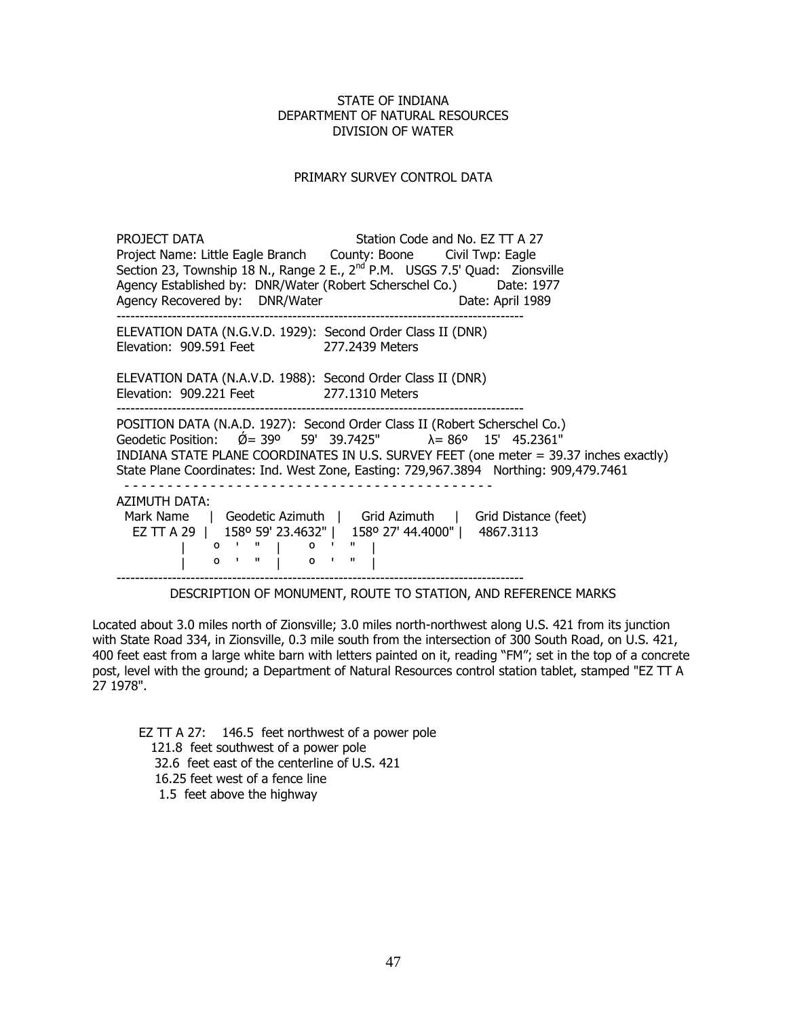### PRIMARY SURVEY CONTROL DATA

PROJECT DATA Station Code and No. EZ TT A 27 Project Name: Little Eagle Branch County: Boone Civil Twp: Eagle Section 23, Township 18 N., Range 2 E., 2<sup>nd</sup> P.M. USGS 7.5' Quad: Zionsville Agency Established by: DNR/Water (Robert Scherschel Co.) Date: 1977 Agency Recovered by: DNR/Water Date: April 1989 ---------------------------------------------------------------------------------------- ELEVATION DATA (N.G.V.D. 1929): Second Order Class II (DNR) Elevation: 909.591 Feet 277.2439 Meters ELEVATION DATA (N.A.V.D. 1988): Second Order Class II (DNR) Elevation: 909.221 Feet 277.1310 Meters ---------------------------------------------------------------------------------------- POSITION DATA (N.A.D. 1927): Second Order Class II (Robert Scherschel Co.) Geodetic Position:  $\acute{\text{Q}}$  = 39<sup>o</sup> 59' 39.7425"  $\lambda$  = 86<sup>o</sup> 15' 45.2361<sup>"</sup> INDIANA STATE PLANE COORDINATES IN U.S. SURVEY FEET (one meter = 39.37 inches exactly) State Plane Coordinates: Ind. West Zone, Easting: 729,967.3894 Northing: 909,479.7461 - - - - - - - - - - - - - - - - - - - - - - - - - - - - - - - - - - - - - - - - - - - AZIMUTH DATA: Mark Name | Geodetic Azimuth | Grid Azimuth | Grid Distance (feet) EZ TT A 29 | 158º 59' 23.4632" | 158º 27' 44.4000" | 4867.3113 | º ' " | º ' " |  $\begin{bmatrix} 1 & 0 & 1 & 1 \\ 0 & 0 & 0 & 0 \\ 0 & 0 & 0 & 0 \\ 0 & 0 & 0 & 0 \\ 0 & 0 & 0 & 0 \\ 0 & 0 & 0 & 0 \\ 0 & 0 & 0 & 0 \\ 0 & 0 & 0 & 0 \\ 0 & 0 & 0 & 0 \\ 0 & 0 & 0 & 0 \\ 0 & 0 & 0 & 0 & 0 \\ 0 & 0 & 0 & 0 & 0 \\ 0 & 0 & 0 & 0 & 0 \\ 0 & 0 & 0 & 0 & 0 & 0 \\ 0 & 0 & 0 & 0 & 0 & 0 \\ 0 & 0 & 0 & 0 &$ ----------------------------------------------------------------------------------------

DESCRIPTION OF MONUMENT, ROUTE TO STATION, AND REFERENCE MARKS

Located about 3.0 miles north of Zionsville; 3.0 miles north-northwest along U.S. 421 from its junction with State Road 334, in Zionsville, 0.3 mile south from the intersection of 300 South Road, on U.S. 421, 400 feet east from a large white barn with letters painted on it, reading "FM"; set in the top of a concrete post, level with the ground; a Department of Natural Resources control station tablet, stamped "EZ TT A 27 1978".

EZ TT A 27: 146.5 feet northwest of a power pole 121.8 feet southwest of a power pole 32.6 feet east of the centerline of U.S. 421 16.25 feet west of a fence line 1.5 feet above the highway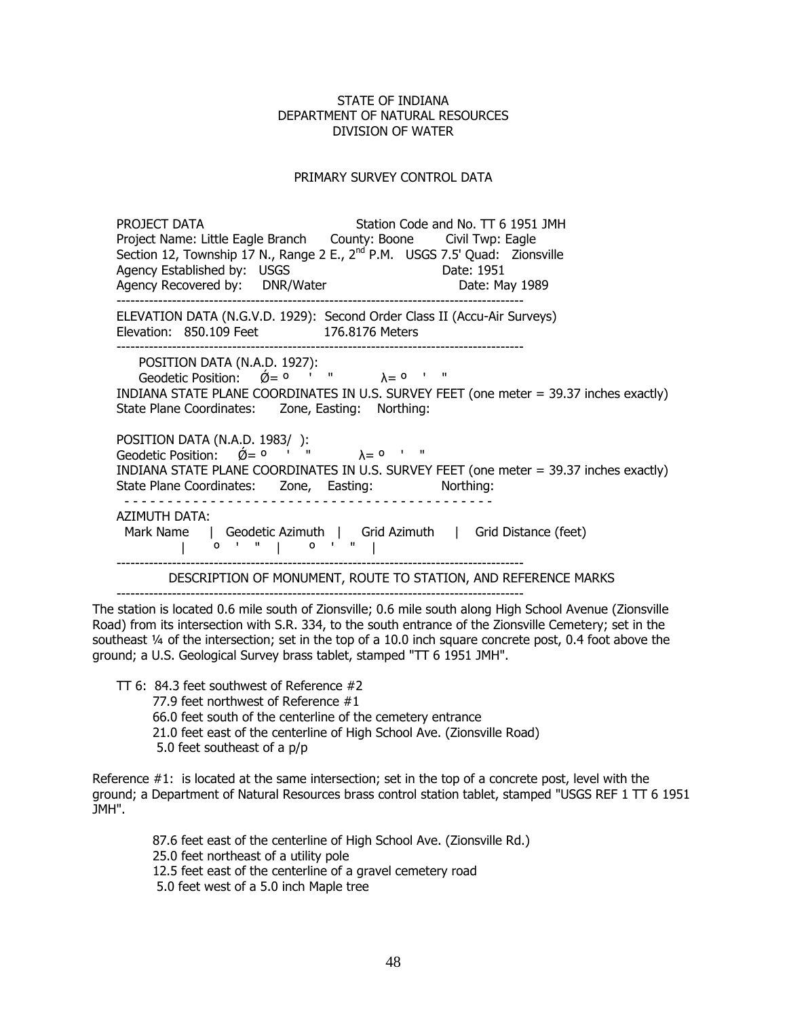#### PRIMARY SURVEY CONTROL DATA

PROJECT DATA Station Code and No. TT 6 1951 JMH Project Name: Little Eagle Branch County: Boone Civil Twp: Eagle Section 12, Township 17 N., Range 2 E.,  $2^{nd}$  P.M. USGS 7.5' Quad: Zionsville Agency Established by: USGS Agency Established by: USGS Agency Recovered by: DNR/Water **Date: May 1989**  ---------------------------------------------------------------------------------------- ELEVATION DATA (N.G.V.D. 1929): Second Order Class II (Accu-Air Surveys) Elevation: 850.109 Feet 176.8176 Meters ---------------------------------------------------------------------------------------- POSITION DATA (N.A.D. 1927): POSITION DATA (N.A.D. 1927).<br>Geodetic Position:  $\acute{Q}=$  <sup>0</sup>  $'$  "  $\lambda$  = <sup>0</sup>  $'$  " INDIANA STATE PLANE COORDINATES IN U.S. SURVEY FEET (one meter = 39.37 inches exactly) State Plane Coordinates: Zone, Easting: Northing: POSITION DATA (N.A.D. 1983/ ): Geodetic Position:  $\varnothing = 0$  ' "  $\lambda = 0$  ' " INDIANA STATE PLANE COORDINATES IN U.S. SURVEY FEET (one meter = 39.37 inches exactly) State Plane Coordinates: Zone, Easting: Northing: - - - - - - - - - - - - - - - - - - - - - - - - - - - - - - - - - - - - - - - - - - - AZIMUTH DATA: Mark Name | Geodetic Azimuth | Grid Azimuth | Grid Distance (feet)  $\begin{bmatrix} 0 & 1 & 1 \\ 0 & 1 & 1 \end{bmatrix}$   $\begin{bmatrix} 0 & 1 & 1 \\ 0 & 1 & 1 \end{bmatrix}$  ---------------------------------------------------------------------------------------- DESCRIPTION OF MONUMENT, ROUTE TO STATION, AND REFERENCE MARKS

----------------------------------------------------------------------------------------

The station is located 0.6 mile south of Zionsville; 0.6 mile south along High School Avenue (Zionsville Road) from its intersection with S.R. 334, to the south entrance of the Zionsville Cemetery; set in the southeast ¼ of the intersection; set in the top of a 10.0 inch square concrete post, 0.4 foot above the ground; a U.S. Geological Survey brass tablet, stamped "TT 6 1951 JMH".

TT 6: 84.3 feet southwest of Reference #2

77.9 feet northwest of Reference #1

66.0 feet south of the centerline of the cemetery entrance

21.0 feet east of the centerline of High School Ave. (Zionsville Road)

5.0 feet southeast of a p/p

Reference #1: is located at the same intersection; set in the top of a concrete post, level with the ground; a Department of Natural Resources brass control station tablet, stamped "USGS REF 1 TT 6 1951 JMH".

> 87.6 feet east of the centerline of High School Ave. (Zionsville Rd.) 25.0 feet northeast of a utility pole 12.5 feet east of the centerline of a gravel cemetery road

5.0 feet west of a 5.0 inch Maple tree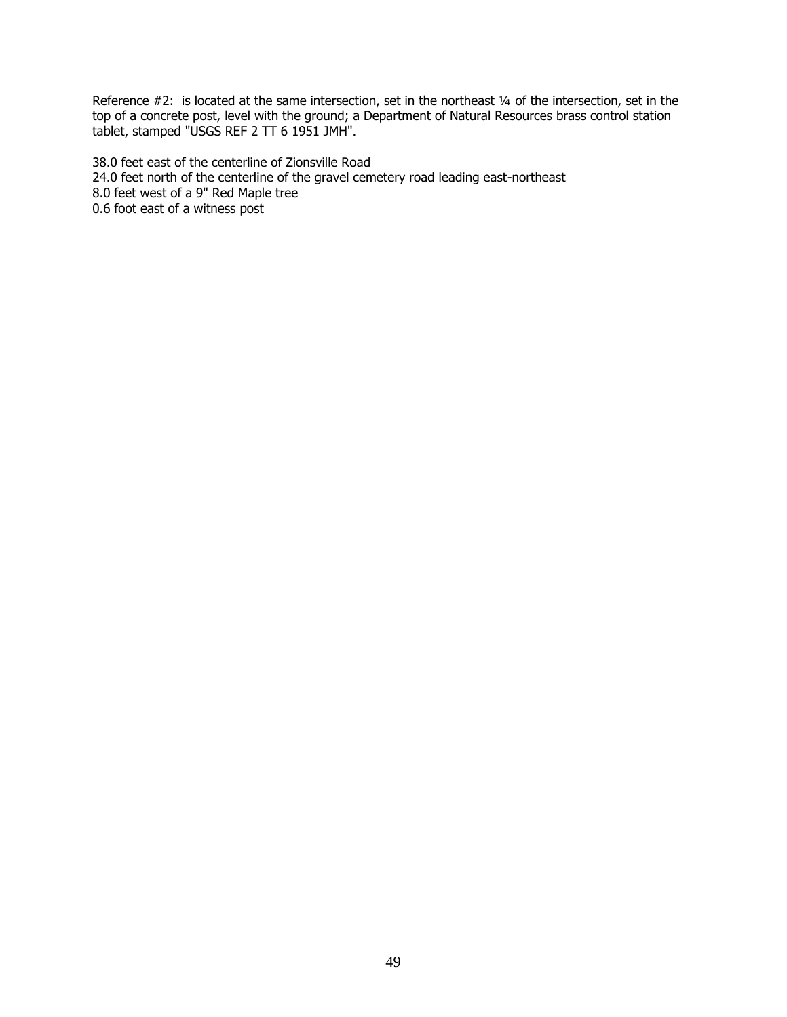Reference #2: is located at the same intersection, set in the northeast 1/4 of the intersection, set in the top of a concrete post, level with the ground; a Department of Natural Resources brass control station tablet, stamped "USGS REF 2 TT 6 1951 JMH".

38.0 feet east of the centerline of Zionsville Road 24.0 feet north of the centerline of the gravel cemetery road leading east-northeast 8.0 feet west of a 9" Red Maple tree 0.6 foot east of a witness post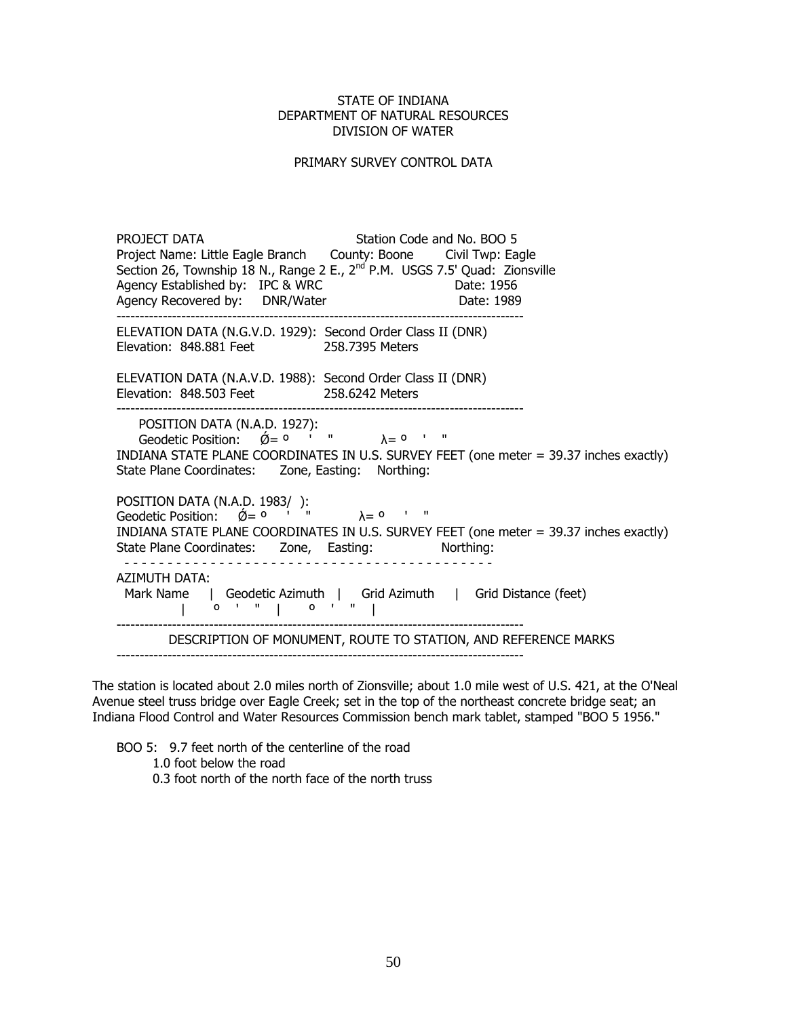#### PRIMARY SURVEY CONTROL DATA

PROJECT DATA Station Code and No. BOO 5 Project Name: Little Eagle Branch County: Boone Civil Twp: Eagle Section 26, Township 18 N., Range 2 E.,  $2^{nd}$  P.M. USGS 7.5' Quad: Zionsville Agency Established by: IPC & WRC Agency Established by: IPC & WRC Agency Recovered by: DNR/Water Date: 1989 ---------------------------------------------------------------------------------------- ELEVATION DATA (N.G.V.D. 1929): Second Order Class II (DNR) Elevation: 848.881 Feet 258.7395 Meters ELEVATION DATA (N.A.V.D. 1988): Second Order Class II (DNR) Elevation: 848.503 Feet 258.6242 Meters ---------------------------------------------------------------------------------------- POSITION DATA (N.A.D. 1927):  $\frac{1}{2}$  Geodetic Position:  $\acute{Q} = 0$  ' "  $\lambda = 0$  ' " INDIANA STATE PLANE COORDINATES IN U.S. SURVEY FEET (one meter = 39.37 inches exactly) State Plane Coordinates: Zone, Easting: Northing: POSITION DATA (N.A.D. 1983/ ): Geodetic Position:  $\acute{\theta} = 0$  ' "  $\lambda = 0$  ' " INDIANA STATE PLANE COORDINATES IN U.S. SURVEY FEET (one meter = 39.37 inches exactly) State Plane Coordinates: Zone, Easting: Northing: - - - - - - - - - - - - - - - - - - - - - - - - - - - - - - - - - - - - - - - - - - - AZIMUTH DATA: Mark Name | Geodetic Azimuth | Grid Azimuth | Grid Distance (feet) | º ' " | º ' " | ---------------------------------------------------------------------------------------- DESCRIPTION OF MONUMENT, ROUTE TO STATION, AND REFERENCE MARKS ----------------------------------------------------------------------------------------

The station is located about 2.0 miles north of Zionsville; about 1.0 mile west of U.S. 421, at the O'Neal Avenue steel truss bridge over Eagle Creek; set in the top of the northeast concrete bridge seat; an Indiana Flood Control and Water Resources Commission bench mark tablet, stamped "BOO 5 1956."

 BOO 5: 9.7 feet north of the centerline of the road 1.0 foot below the road 0.3 foot north of the north face of the north truss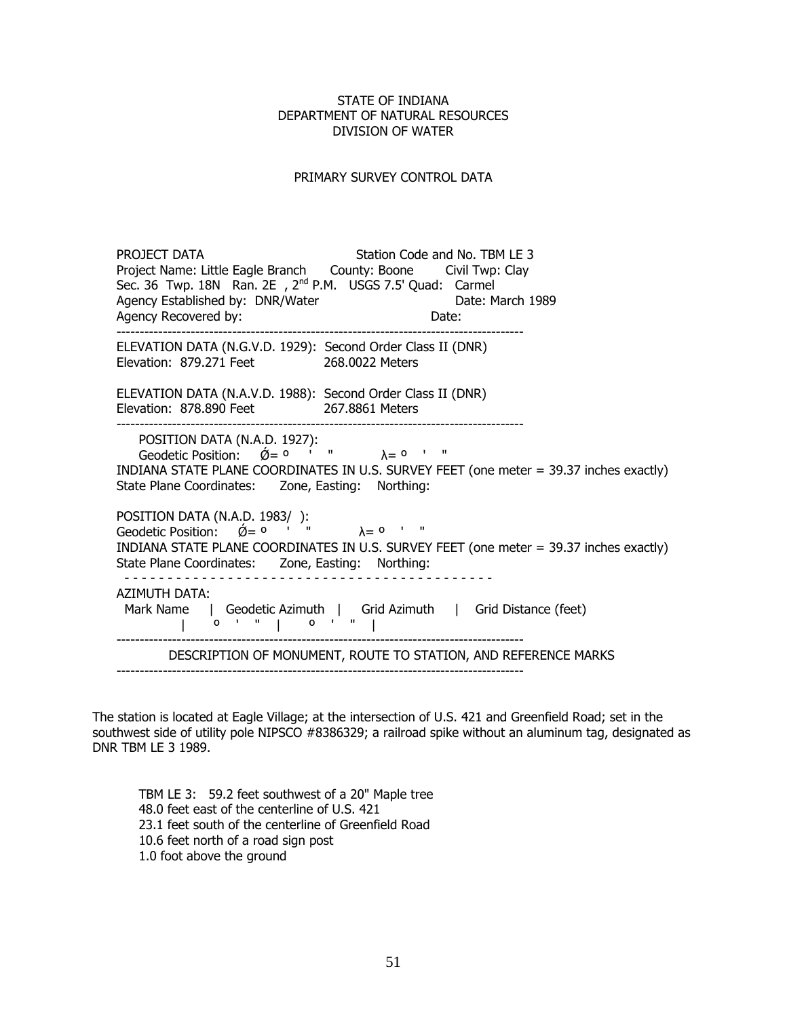### PRIMARY SURVEY CONTROL DATA

PROJECT DATA Station Code and No. TBM LE 3 Project Name: Little Eagle Branch County: Boone Civil Twp: Clay Sec. 36 Twp. 18N Ran. 2E, 2<sup>nd</sup> P.M. USGS 7.5' Quad: Carmel Agency Established by: DNR/Water **Date: March 1989**<br>Agency Recovered by: Date: Date: Date: Agency Recovered by: The Contract of the Date: ---------------------------------------------------------------------------------------- ELEVATION DATA (N.G.V.D. 1929): Second Order Class II (DNR) Elevation: 879.271 Feet 268.0022 Meters ELEVATION DATA (N.A.V.D. 1988): Second Order Class II (DNR) Elevation: 878.890 Feet 267.8861 Meters ---------------------------------------------------------------------------------------- POSITION DATA (N.A.D. 1927):  $\frac{1}{2}$  Geodetic Position:  $\acute{Q} = 0$  ' "  $\lambda = 0$  ' " INDIANA STATE PLANE COORDINATES IN U.S. SURVEY FEET (one meter = 39.37 inches exactly) State Plane Coordinates: Zone, Easting: Northing: POSITION DATA (N.A.D. 1983/ ):  $\frac{1}{2}$ Geodetic Position:  $\check{Q}= 0$  ' "  $\lambda = 0$  ' " INDIANA STATE PLANE COORDINATES IN U.S. SURVEY FEET (one meter = 39.37 inches exactly) State Plane Coordinates: Zone, Easting: Northing: - - - - - - - - - - - - - - - - - - - - - - - - - - - - - - - - - - - - - - - - - - - AZIMUTH DATA: Mark Name | Geodetic Azimuth | Grid Azimuth | Grid Distance (feet) | º ' " | º ' " | ---------------------------------------------------------------------------------------- DESCRIPTION OF MONUMENT, ROUTE TO STATION, AND REFERENCE MARKS ----------------------------------------------------------------------------------------

The station is located at Eagle Village; at the intersection of U.S. 421 and Greenfield Road; set in the southwest side of utility pole NIPSCO #8386329; a railroad spike without an aluminum tag, designated as DNR TBM LE 3 1989.

TBM LE 3: 59.2 feet southwest of a 20" Maple tree 48.0 feet east of the centerline of U.S. 421 23.1 feet south of the centerline of Greenfield Road 10.6 feet north of a road sign post 1.0 foot above the ground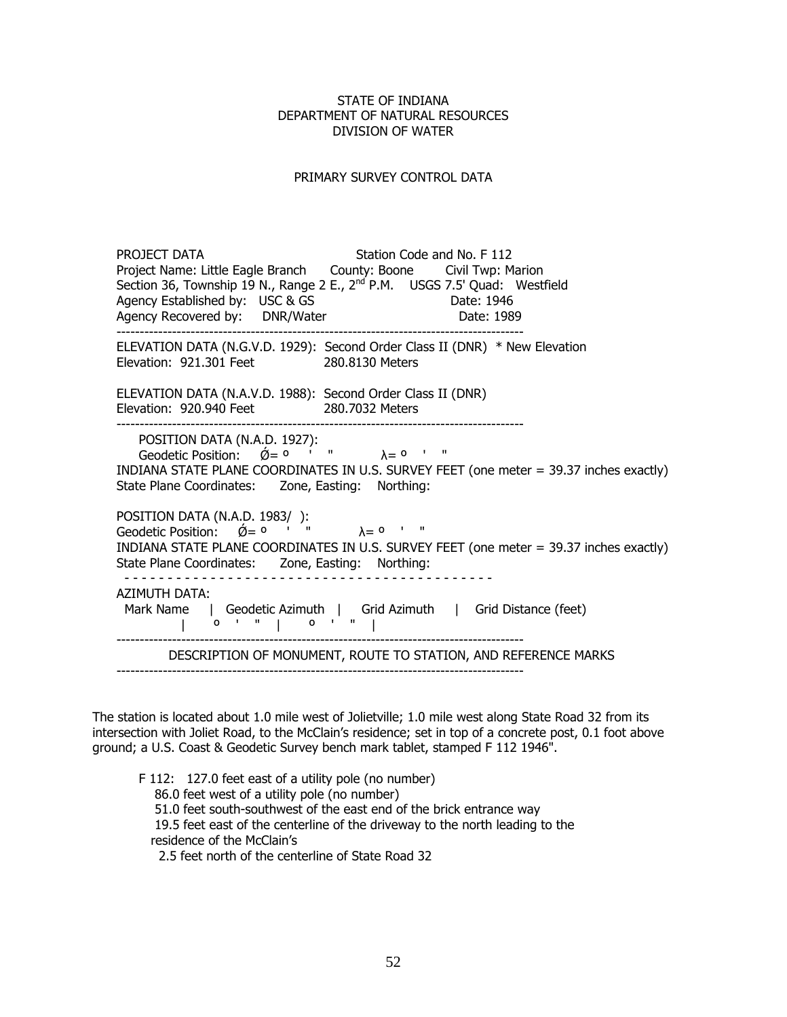### PRIMARY SURVEY CONTROL DATA

PROJECT DATA Station Code and No. F 112 Project Name: Little Eagle Branch County: Boone Civil Twp: Marion Section 36, Township 19 N., Range 2 E., 2<sup>nd</sup> P.M. USGS 7.5' Quad: Westfield Agency Established by: USC & GS Date: 1946 Agency Recovered by: DNR/Water **Date: 1989**  ---------------------------------------------------------------------------------------- ELEVATION DATA (N.G.V.D. 1929): Second Order Class II (DNR) \* New Elevation Elevation: 921.301 Feet 280.8130 Meters ELEVATION DATA (N.A.V.D. 1988): Second Order Class II (DNR) Elevation: 920.940 Feet 280.7032 Meters ---------------------------------------------------------------------------------------- POSITION DATA (N.A.D. 1927):  $\alpha$  Geodetic Position:  $\acute{\theta} = 0$  ' "  $\lambda = 0$  ' " INDIANA STATE PLANE COORDINATES IN U.S. SURVEY FEET (one meter = 39.37 inches exactly) State Plane Coordinates: Zone, Easting: Northing: POSITION DATA (N.A.D. 1983/ ): Geodetic Position:  $\varnothing = 0$  ' "  $\lambda = 0$  ' " INDIANA STATE PLANE COORDINATES IN U.S. SURVEY FEET (one meter = 39.37 inches exactly) State Plane Coordinates: Zone, Easting: Northing: - - - - - - - - - - - - - - - - - - - - - - - - - - - - - - - - - - - - - - - - - - - AZIMUTH DATA: Mark Name | Geodetic Azimuth | Grid Azimuth | Grid Distance (feet) | º ' " | º ' " | ---------------------------------------------------------------------------------------- DESCRIPTION OF MONUMENT, ROUTE TO STATION, AND REFERENCE MARKS

The station is located about 1.0 mile west of Jolietville; 1.0 mile west along State Road 32 from its intersection with Joliet Road, to the McClain's residence; set in top of a concrete post, 0.1 foot above ground; a U.S. Coast & Geodetic Survey bench mark tablet, stamped F 112 1946".

F 112: 127.0 feet east of a utility pole (no number) 86.0 feet west of a utility pole (no number) 51.0 feet south-southwest of the east end of the brick entrance way 19.5 feet east of the centerline of the driveway to the north leading to the residence of the McClain's 2.5 feet north of the centerline of State Road 32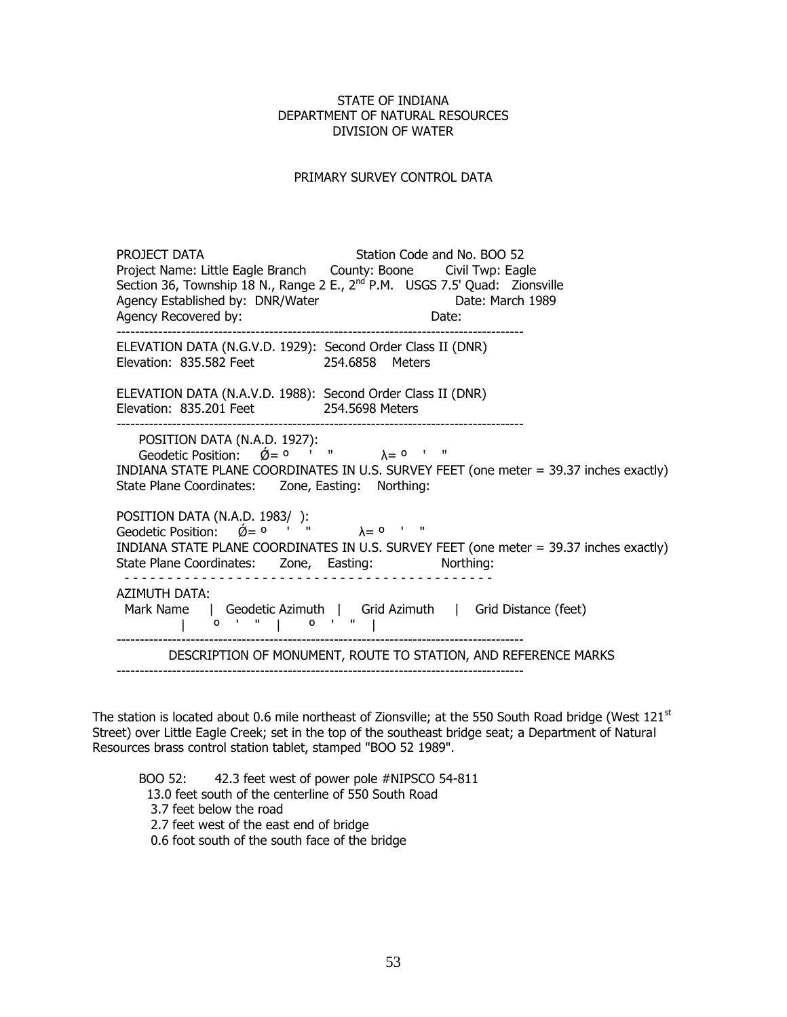### PRIMARY SURVEY CONTROL DATA

PROJECT DATA Station Code and No. BOO 52 Project Name: Little Eagle Branch County: Boone Civil Twp: Eagle Section 36, Township 18 N., Range 2 E., 2<sup>nd</sup> P.M. USGS 7.5' Quad: Zionsville<br>Agency Established by: DNR/Water Date: March 1989 Agency Established by: DNR/Water Agency Recovered by: Date: ---------------------------------------------------------------------------------------- ELEVATION DATA (N.G.V.D. 1929): Second Order Class II (DNR) Elevation: 835.582 Feet 254.6858 Meters ELEVATION DATA (N.A.V.D. 1988): Second Order Class II (DNR) Elevation: 835.201 Feet 254.5698 Meters ---------------------------------------------------------------------------------------- POSITION DATA (N.A.D. 1927):  $\frac{1}{2}$  Geodetic Position:  $\acute{Q} = 0$  ' "  $\lambda = 0$  ' " INDIANA STATE PLANE COORDINATES IN U.S. SURVEY FEET (one meter = 39.37 inches exactly) State Plane Coordinates: Zone, Easting: Northing: POSITION DATA (N.A.D. 1983/ ): Geodetic Position:  $\varnothing = 0$  ' "  $\lambda = 0$  ' " INDIANA STATE PLANE COORDINATES IN U.S. SURVEY FEET (one meter = 39.37 inches exactly) State Plane Coordinates: Zone, Easting: Northing: - - - - - - - - - - - - - - - - - - - - - - - - - - - - - - - - - - - - - - - - - - - AZIMUTH DATA: Mark Name | Geodetic Azimuth | Grid Azimuth | Grid Distance (feet) | º ' " | º ' " | ---------------------------------------------------------------------------------------- DESCRIPTION OF MONUMENT, ROUTE TO STATION, AND REFERENCE MARKS

The station is located about 0.6 mile northeast of Zionsville; at the 550 South Road bridge (West  $121<sup>st</sup>$ Street) over Little Eagle Creek; set in the top of the southeast bridge seat; a Department of Natural Resources brass control station tablet, stamped "BOO 52 1989".

BOO 52: 42.3 feet west of power pole #NIPSCO 54-811 13.0 feet south of the centerline of 550 South Road 3.7 feet below the road 2.7 feet west of the east end of bridge 0.6 foot south of the south face of the bridge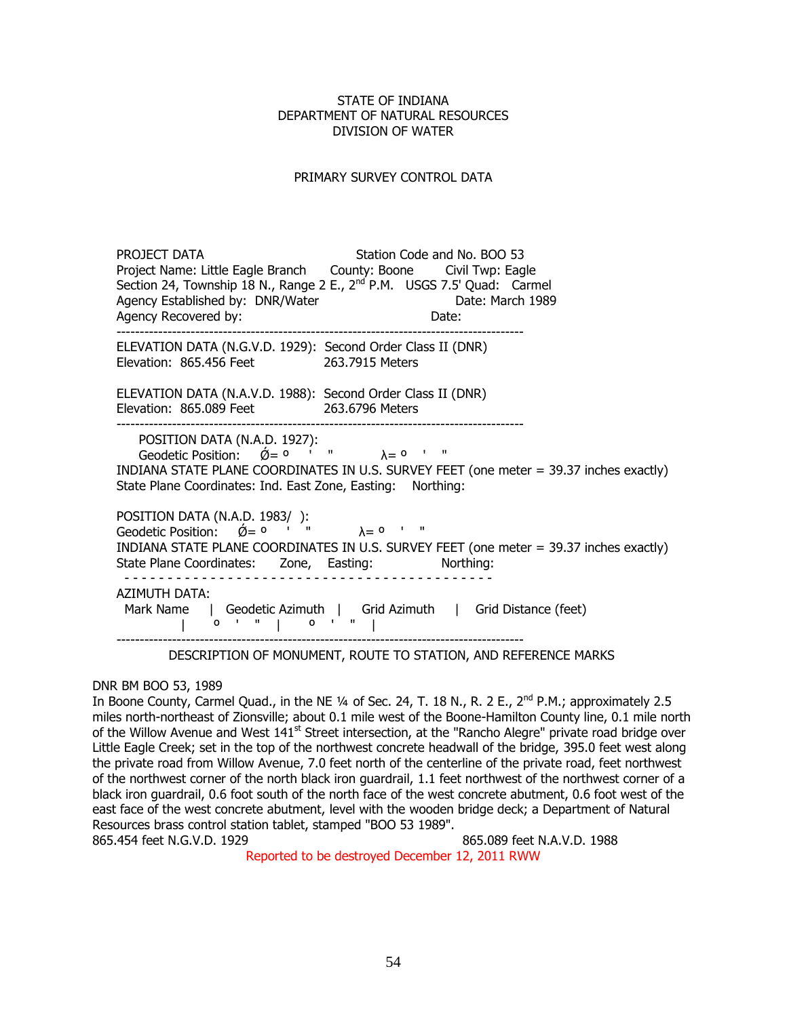### PRIMARY SURVEY CONTROL DATA

PROJECT DATA Station Code and No. BOO 53 Project Name: Little Eagle Branch County: Boone Civil Twp: Eagle Section 24, Township 18 N., Range 2 E., 2<sup>nd</sup> P.M. USGS 7.5' Quad: Carmel<br>Agency Fstablished by: DNR/Water Date: March 1989 Agency Established by: DNR/Water Date: Date: Date: Date: Date: Date: Date: Date: Date: Date: Date: D Agency Recovered by: ---------------------------------------------------------------------------------------- ELEVATION DATA (N.G.V.D. 1929): Second Order Class II (DNR) Elevation: 865.456 Feet 263.7915 Meters ELEVATION DATA (N.A.V.D. 1988): Second Order Class II (DNR) Elevation: 865.089 Feet 263.6796 Meters POSITION DATA (N.A.D. 1927):  $G$ eodetic Position:  $\acute{O} = 0$  ' "  $\lambda = 0$  ' " INDIANA STATE PLANE COORDINATES IN U.S. SURVEY FEET (one meter = 39.37 inches exactly) State Plane Coordinates: Ind. East Zone, Easting: Northing: POSITION DATA (N.A.D. 1983/ ): Geodetic Position:  $\acute{Q}= 0$  ' "  $\lambda = 0$  ' " INDIANA STATE PLANE COORDINATES IN U.S. SURVEY FEET (one meter = 39.37 inches exactly) State Plane Coordinates: Zone, Easting: Northing: - - - - - - - - - - - - - - - - - - - - - - - - - - - - - - - - - - - - - - - - - - - AZIMUTH DATA: Mark Name | Geodetic Azimuth | Grid Azimuth | Grid Distance (feet) | º ' " | º ' " | ----------------------------------------------------------------------------------------

#### DESCRIPTION OF MONUMENT, ROUTE TO STATION, AND REFERENCE MARKS

DNR BM BOO 53, 1989

In Boone County, Carmel Quad., in the NE 1/4 of Sec. 24, T. 18 N., R. 2 E., 2<sup>nd</sup> P.M.; approximately 2.5 miles north-northeast of Zionsville; about 0.1 mile west of the Boone-Hamilton County line, 0.1 mile north of the Willow Avenue and West 141<sup>st</sup> Street intersection, at the "Rancho Alegre" private road bridge over Little Eagle Creek; set in the top of the northwest concrete headwall of the bridge, 395.0 feet west along the private road from Willow Avenue, 7.0 feet north of the centerline of the private road, feet northwest of the northwest corner of the north black iron guardrail, 1.1 feet northwest of the northwest corner of a black iron guardrail, 0.6 foot south of the north face of the west concrete abutment, 0.6 foot west of the east face of the west concrete abutment, level with the wooden bridge deck; a Department of Natural Resources brass control station tablet, stamped "BOO 53 1989".

865.454 feet N.G.V.D. 1929 865.089 feet N.A.V.D. 1988 Reported to be destroyed December 12, 2011 RWW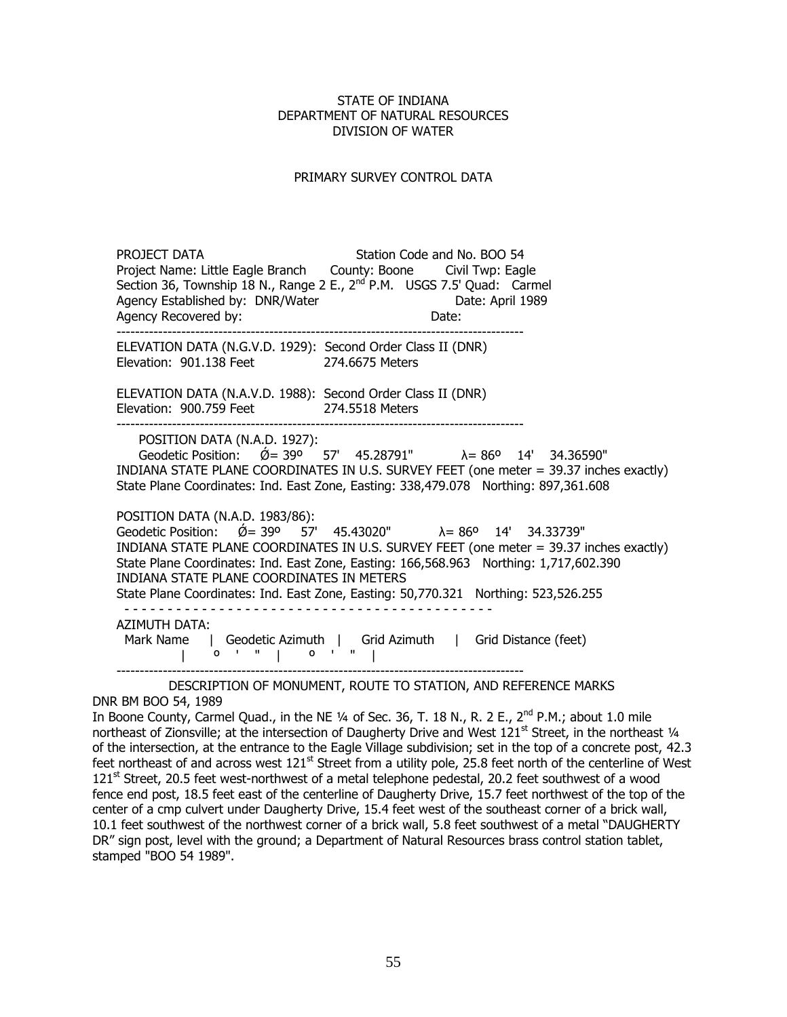### PRIMARY SURVEY CONTROL DATA

PROJECT DATA Station Code and No. BOO 54 Project Name: Little Eagle Branch County: Boone Civil Twp: Eagle Section 36, Township 18 N., Range 2 E., 2<sup>nd</sup> P.M. USGS 7.5' Quad: Carmel Agency Established by: DNR/Water **Date: April 1989** Agency Recovered by: Date: ---------------------------------------------------------------------------------------- ELEVATION DATA (N.G.V.D. 1929): Second Order Class II (DNR) Elevation: 901.138 Feet 274.6675 Meters ELEVATION DATA (N.A.V.D. 1988): Second Order Class II (DNR) Elevation: 900.759 Feet 274.5518 Meters ---------------------------------------------------------------------------------------- POSITION DATA (N.A.D. 1927): Geodetic Position:  $\acute{\theta} = 39^{\circ}$  57' 45.28791"  $\lambda = 86^{\circ}$  14' 34.36590" INDIANA STATE PLANE COORDINATES IN U.S. SURVEY FEET (one meter = 39.37 inches exactly) State Plane Coordinates: Ind. East Zone, Easting: 338,479.078 Northing: 897,361.608 POSITION DATA (N.A.D. 1983/86): Geodetic Position:  $\acute{Q} = 39^{\circ}$  57' 45.43020"  $\lambda = 86^{\circ}$  14' 34.33739" INDIANA STATE PLANE COORDINATES IN U.S. SURVEY FEET (one meter = 39.37 inches exactly) State Plane Coordinates: Ind. East Zone, Easting: 166,568.963 Northing: 1,717,602.390 INDIANA STATE PLANE COORDINATES IN METERS State Plane Coordinates: Ind. East Zone, Easting: 50,770.321 Northing: 523,526.255 - - - - - - - - - - - - - - - - - - - - - - - - - - - - - - - - - - - - - - - - - - - AZIMUTH DATA: Mark Name | Geodetic Azimuth | Grid Azimuth | Grid Distance (feet) | º ' " | º ' " | ----------------------------------------------------------------------------------------

 DESCRIPTION OF MONUMENT, ROUTE TO STATION, AND REFERENCE MARKS DNR BM BOO 54, 1989

In Boone County, Carmel Quad., in the NE  $\frac{1}{4}$  of Sec. 36, T. 18 N., R. 2 E., 2<sup>nd</sup> P.M.; about 1.0 mile northeast of Zionsville; at the intersection of Daugherty Drive and West  $121<sup>st</sup>$  Street, in the northeast  $\frac{1}{4}$ of the intersection, at the entrance to the Eagle Village subdivision; set in the top of a concrete post, 42.3 feet northeast of and across west 121<sup>st</sup> Street from a utility pole, 25.8 feet north of the centerline of West  $121<sup>st</sup>$  Street, 20.5 feet west-northwest of a metal telephone pedestal, 20.2 feet southwest of a wood fence end post, 18.5 feet east of the centerline of Daugherty Drive, 15.7 feet northwest of the top of the center of a cmp culvert under Daugherty Drive, 15.4 feet west of the southeast corner of a brick wall, 10.1 feet southwest of the northwest corner of a brick wall, 5.8 feet southwest of a metal "DAUGHERTY DR" sign post, level with the ground; a Department of Natural Resources brass control station tablet, stamped "BOO 54 1989".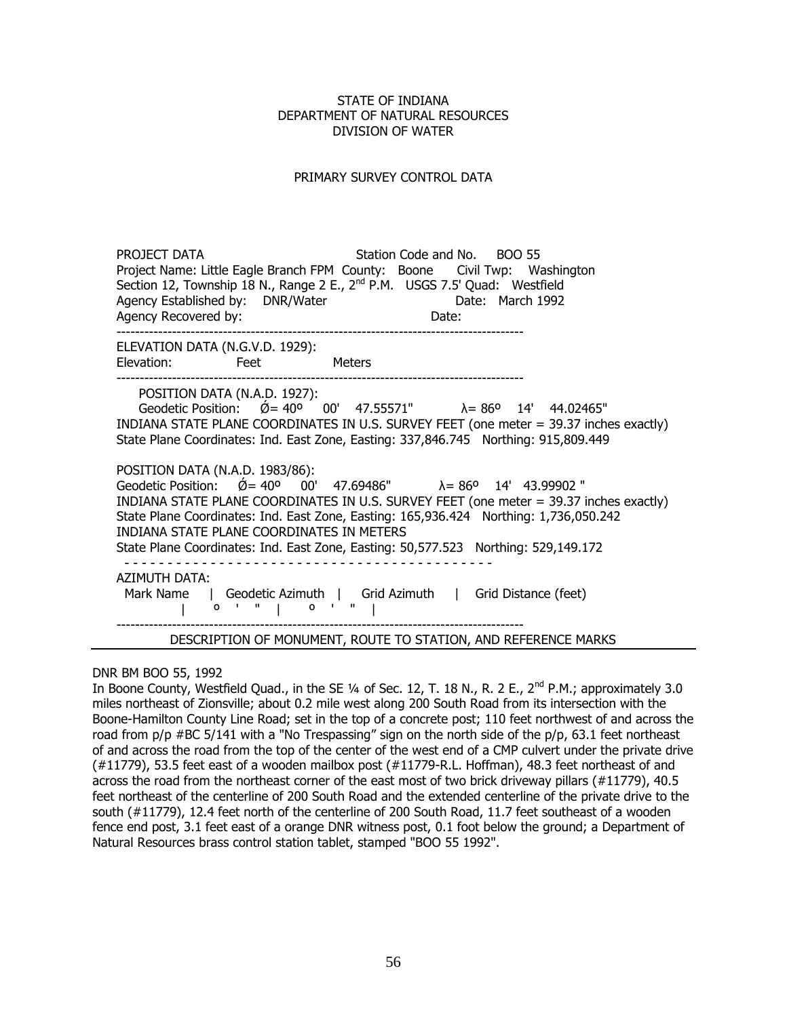### PRIMARY SURVEY CONTROL DATA

PROJECT DATA Station Code and No. BOO 55 Project Name: Little Eagle Branch FPM County: Boone Civil Twp: Washington Section 12, Township 18 N., Range 2 E., 2<sup>nd</sup> P.M. USGS 7.5' Quad: Westfield Agency Established by: DNR/Water Case Controllering Date: March 1992 Agency Recovered by: Date: ---------------------------------------------------------------------------------------- ELEVATION DATA (N.G.V.D. 1929): Elevation: Feet Meters ---------------------------------------------------------------------------------------- POSITION DATA (N.A.D. 1927): Geodetic Position:  $\acute{\emptyset}$  = 40<sup>o</sup> 00' 47.55571"  $\lambda$  = 86<sup>o</sup> 14' 44.02465" INDIANA STATE PLANE COORDINATES IN U.S. SURVEY FEET (one meter = 39.37 inches exactly) State Plane Coordinates: Ind. East Zone, Easting: 337,846.745 Northing: 915,809.449 POSITION DATA (N.A.D. 1983/86): Geodetic Position:  $\acute{Q} = 40^{\circ}$  00' 47.69486"  $\lambda = 86^{\circ}$  14' 43.99902 " INDIANA STATE PLANE COORDINATES IN U.S. SURVEY FEET (one meter = 39.37 inches exactly) State Plane Coordinates: Ind. East Zone, Easting: 165,936.424 Northing: 1,736,050.242 INDIANA STATE PLANE COORDINATES IN METERS State Plane Coordinates: Ind. East Zone, Easting: 50,577.523 Northing: 529,149.172 - - - - - - - - - - - - - - - - - - - - - - - - - - - - - - - - - - - - - - - - - - - AZIMUTH DATA: Mark Name | Geodetic Azimuth | Grid Azimuth | Grid Distance (feet) | º ' " | º ' " | ---------------------------------------------------------------------------------------- DESCRIPTION OF MONUMENT, ROUTE TO STATION, AND REFERENCE MARKS

DNR BM BOO 55, 1992

In Boone County, Westfield Quad., in the SE 1/4 of Sec. 12, T. 18 N., R. 2 E., 2<sup>nd</sup> P.M.; approximately 3.0 miles northeast of Zionsville; about 0.2 mile west along 200 South Road from its intersection with the Boone-Hamilton County Line Road; set in the top of a concrete post; 110 feet northwest of and across the road from  $p/p$  #BC 5/141 with a "No Trespassing" sign on the north side of the  $p/p$ , 63.1 feet northeast of and across the road from the top of the center of the west end of a CMP culvert under the private drive (#11779), 53.5 feet east of a wooden mailbox post (#11779-R.L. Hoffman), 48.3 feet northeast of and across the road from the northeast corner of the east most of two brick driveway pillars (#11779), 40.5 feet northeast of the centerline of 200 South Road and the extended centerline of the private drive to the south (#11779), 12.4 feet north of the centerline of 200 South Road, 11.7 feet southeast of a wooden fence end post, 3.1 feet east of a orange DNR witness post, 0.1 foot below the ground; a Department of Natural Resources brass control station tablet, stamped "BOO 55 1992".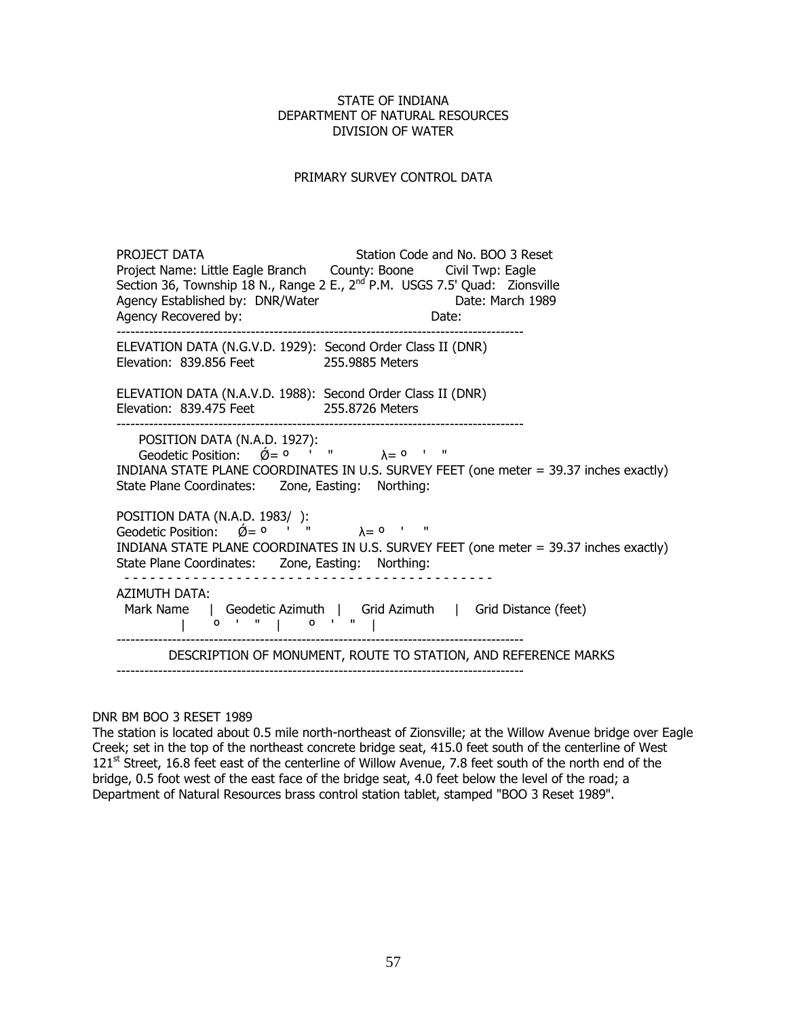### PRIMARY SURVEY CONTROL DATA

PROJECT DATA Station Code and No. BOO 3 Reset Project Name: Little Eagle Branch County: Boone Civil Twp: Eagle Section 36, Township 18 N., Range 2 E., 2<sup>nd</sup> P.M. USGS 7.5' Quad: Zionsville Agency Established by: DNR/Water **Date: March 1989** Agency Recovered by: Date: ---------------------------------------------------------------------------------------- ELEVATION DATA (N.G.V.D. 1929): Second Order Class II (DNR) Elevation: 839.856 Feet 255.9885 Meters ELEVATION DATA (N.A.V.D. 1988): Second Order Class II (DNR) Elevation: 839.475 Feet 255.8726 Meters ---------------------------------------------------------------------------------------- POSITION DATA (N.A.D. 1927):  $\alpha$  Geodetic Position:  $\acute{\alpha} = 0$  ' "  $\lambda = 0$  ' " INDIANA STATE PLANE COORDINATES IN U.S. SURVEY FEET (one meter = 39.37 inches exactly) State Plane Coordinates: Zone, Easting: Northing: POSITION DATA (N.A.D. 1983/ ):  $\frac{1}{2}$ Geodetic Position:  $\cancel{0} = 0$  ' "  $\lambda = 0$  ' " INDIANA STATE PLANE COORDINATES IN U.S. SURVEY FEET (one meter = 39.37 inches exactly) State Plane Coordinates: Zone, Easting: Northing: - - - - - - - - - - - - - - - - - - - - - - - - - - - - - - - - - - - - - - - - - - - AZIMUTH DATA: Mark Name | Geodetic Azimuth | Grid Azimuth | Grid Distance (feet) | º ' " | º ' " | ---------------------------------------------------------------------------------------- DESCRIPTION OF MONUMENT, ROUTE TO STATION, AND REFERENCE MARKS

DNR BM BOO 3 RESET 1989

The station is located about 0.5 mile north-northeast of Zionsville; at the Willow Avenue bridge over Eagle Creek; set in the top of the northeast concrete bridge seat, 415.0 feet south of the centerline of West  $121<sup>st</sup>$  Street, 16.8 feet east of the centerline of Willow Avenue, 7.8 feet south of the north end of the bridge, 0.5 foot west of the east face of the bridge seat, 4.0 feet below the level of the road; a Department of Natural Resources brass control station tablet, stamped "BOO 3 Reset 1989".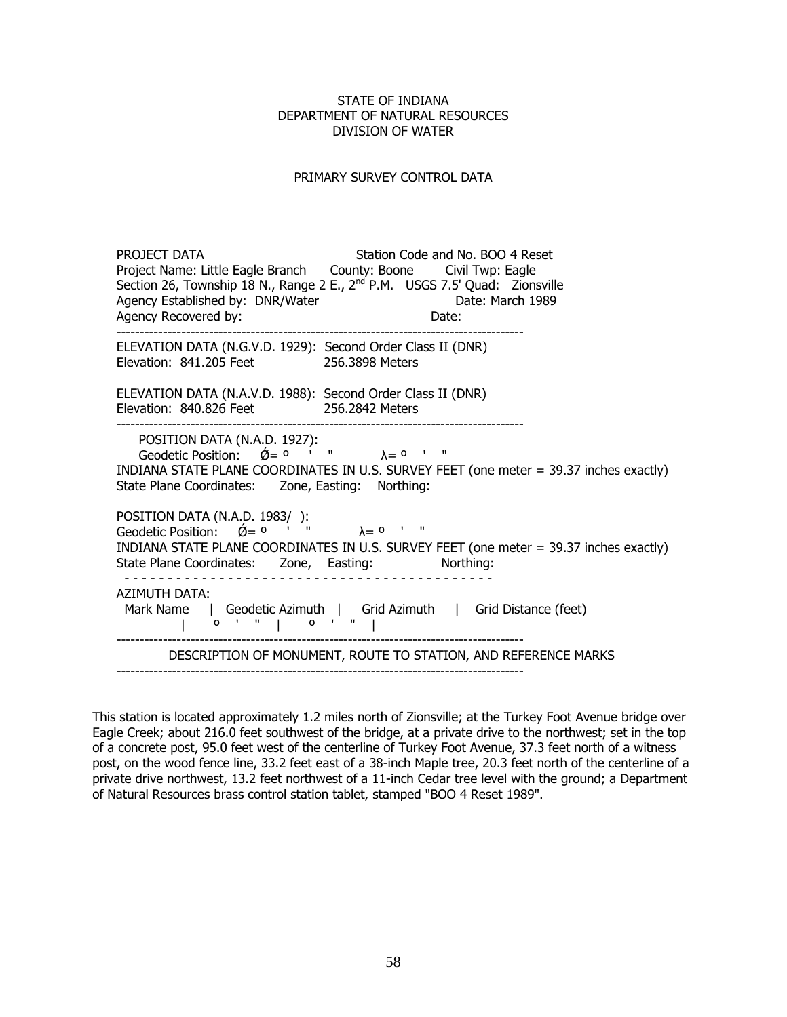### PRIMARY SURVEY CONTROL DATA

PROJECT DATA Station Code and No. BOO 4 Reset Project Name: Little Eagle Branch County: Boone Civil Twp: Eagle Section 26, Township 18 N., Range 2 E., 2<sup>nd</sup> P.M. USGS 7.5' Quad: Zionsville Agency Established by: DNR/Water **Date: March 1989** Agency Recovered by: Date: ---------------------------------------------------------------------------------------- ELEVATION DATA (N.G.V.D. 1929): Second Order Class II (DNR) Elevation: 841.205 Feet 256.3898 Meters ELEVATION DATA (N.A.V.D. 1988): Second Order Class II (DNR) Elevation: 840.826 Feet 256.2842 Meters ---------------------------------------------------------------------------------------- POSITION DATA (N.A.D. 1927):  $\alpha$  Geodetic Position:  $\acute{\theta} = 0$  ' "  $\lambda = 0$  ' " INDIANA STATE PLANE COORDINATES IN U.S. SURVEY FEET (one meter = 39.37 inches exactly) State Plane Coordinates: Zone, Easting: Northing: POSITION DATA (N.A.D. 1983/ ): Geodetic Position:  $\varnothing = 0$  ' "  $\lambda = 0$  ' " INDIANA STATE PLANE COORDINATES IN U.S. SURVEY FEET (one meter = 39.37 inches exactly) State Plane Coordinates: Zone, Easting: Northing: - - - - - - - - - - - - - - - - - - - - - - - - - - - - - - - - - - - - - - - - - - - AZIMUTH DATA: Mark Name | Geodetic Azimuth | Grid Azimuth | Grid Distance (feet) | º ' " | º ' " | ---------------------------------------------------------------------------------------- DESCRIPTION OF MONUMENT, ROUTE TO STATION, AND REFERENCE MARKS

This station is located approximately 1.2 miles north of Zionsville; at the Turkey Foot Avenue bridge over Eagle Creek; about 216.0 feet southwest of the bridge, at a private drive to the northwest; set in the top of a concrete post, 95.0 feet west of the centerline of Turkey Foot Avenue, 37.3 feet north of a witness post, on the wood fence line, 33.2 feet east of a 38-inch Maple tree, 20.3 feet north of the centerline of a private drive northwest, 13.2 feet northwest of a 11-inch Cedar tree level with the ground; a Department of Natural Resources brass control station tablet, stamped "BOO 4 Reset 1989".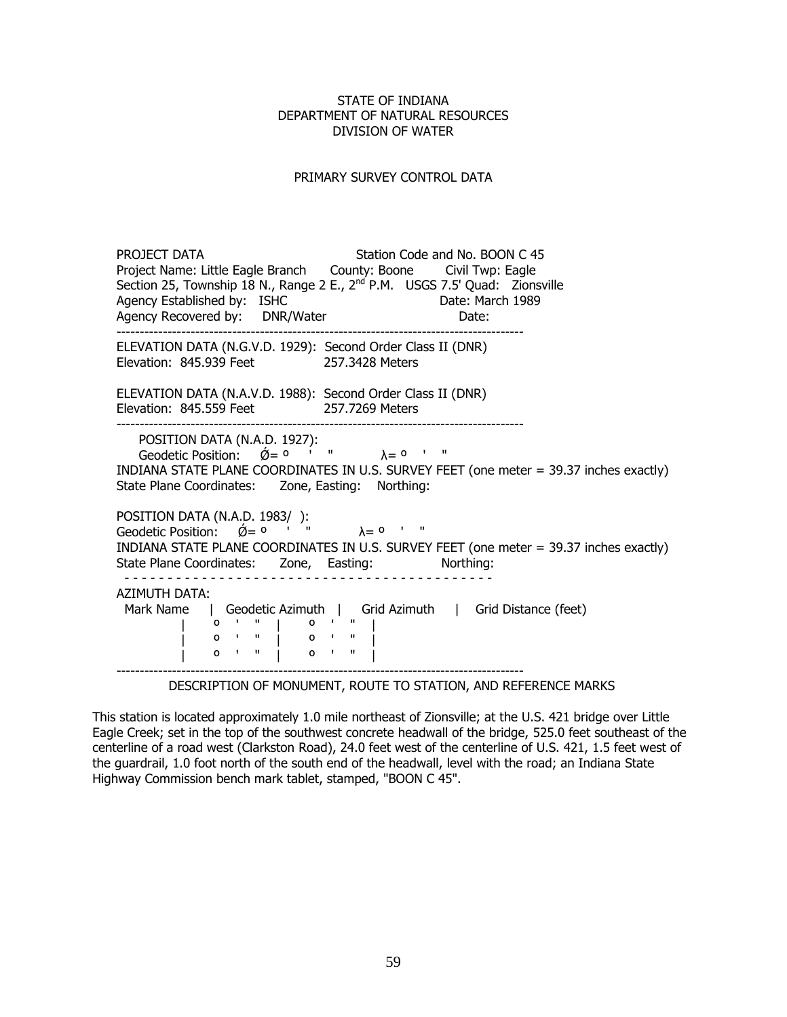### PRIMARY SURVEY CONTROL DATA

PROJECT DATA Station Code and No. BOON C 45 Project Name: Little Eagle Branch County: Boone Civil Twp: Eagle Section 25, Township 18 N., Range 2 E., 2<sup>nd</sup> P.M. USGS 7.5' Quad: Zionsville<br>Agency Established by: ISHC Date: March 1989 Date: March 1989 Agency Recovered by: DNR/Water Mate: ---------------------------------------------------------------------------------------- ELEVATION DATA (N.G.V.D. 1929): Second Order Class II (DNR) Elevation: 845.939 Feet 257.3428 Meters ELEVATION DATA (N.A.V.D. 1988): Second Order Class II (DNR) Elevation: 845.559 Feet 257.7269 Meters POSITION DATA (N.A.D. 1927):  $\alpha$  Geodetic Position:  $\acute{0}= 0$  ' "  $\lambda = 0$  ' " INDIANA STATE PLANE COORDINATES IN U.S. SURVEY FEET (one meter = 39.37 inches exactly) State Plane Coordinates: Zone, Easting: Northing: POSITION DATA (N.A.D. 1983/ ): Geodetic Position:  $\acute{Q} = 0$  ' "  $\lambda = 0$  ' " INDIANA STATE PLANE COORDINATES IN U.S. SURVEY FEET (one meter = 39.37 inches exactly) State Plane Coordinates: Zone, Easting: Northing: - - - - - - - - - - - - - - - - - - - - - - - - - - - - - - - - - - - - - - - - - - - AZIMUTH DATA: Mark Name | Geodetic Azimuth | Grid Azimuth | Grid Distance (feet) | º ' " | º ' " | | º ' " | º ' " | | º ' " | º ' " | ----------------------------------------------------------------------------------------

DESCRIPTION OF MONUMENT, ROUTE TO STATION, AND REFERENCE MARKS

This station is located approximately 1.0 mile northeast of Zionsville; at the U.S. 421 bridge over Little Eagle Creek; set in the top of the southwest concrete headwall of the bridge, 525.0 feet southeast of the centerline of a road west (Clarkston Road), 24.0 feet west of the centerline of U.S. 421, 1.5 feet west of the guardrail, 1.0 foot north of the south end of the headwall, level with the road; an Indiana State Highway Commission bench mark tablet, stamped, "BOON C 45".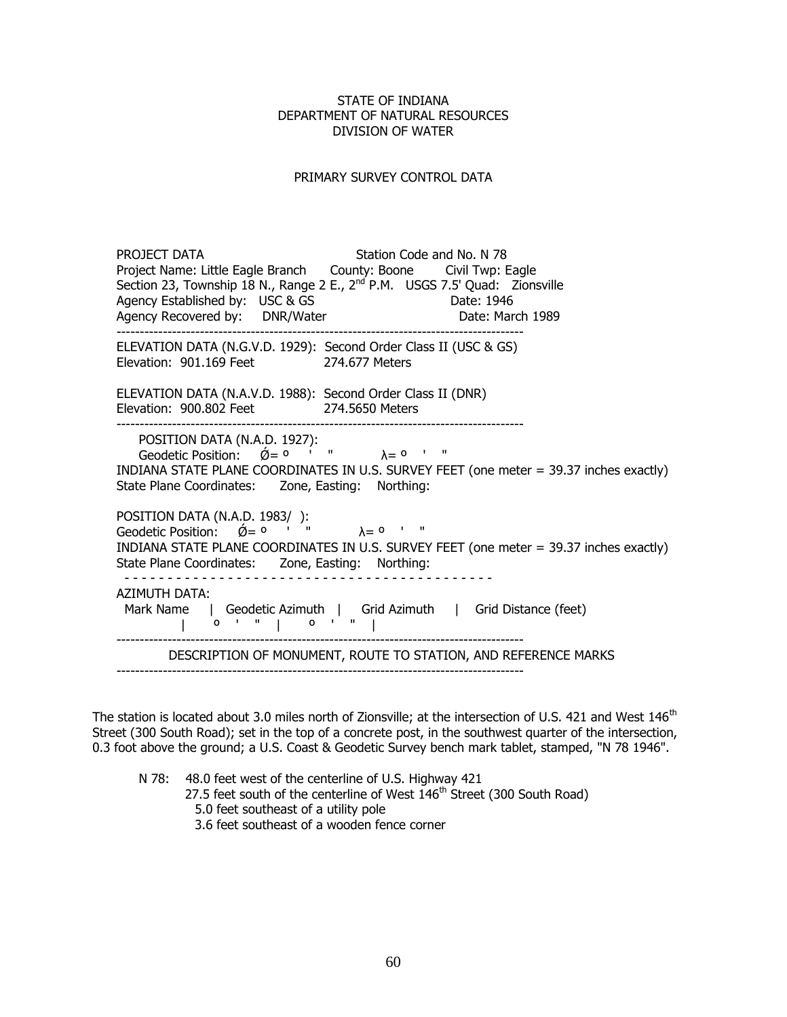### PRIMARY SURVEY CONTROL DATA

PROJECT DATA Station Code and No. N 78 Project Name: Little Eagle Branch County: Boone Civil Twp: Eagle Section 23, Township 18 N., Range 2 E.,  $2^{nd}$  P.M. USGS 7.5' Quad: Zionsville Agency Established by: USC & GS Date: 1946 Agency Established by: USC & GS<br>
Agency Recovered by: DNR/Water Date: March 1989 Agency Recovered by: DNR/Water ---------------------------------------------------------------------------------------- ELEVATION DATA (N.G.V.D. 1929): Second Order Class II (USC & GS) Elevation: 901.169 Feet 274.677 Meters ELEVATION DATA (N.A.V.D. 1988): Second Order Class II (DNR) Elevation: 900.802 Feet 274.5650 Meters ---------------------------------------------------------------------------------------- POSITION DATA (N.A.D. 1927):  $\alpha$  Geodetic Position:  $\acute{\theta} = 0$  ' "  $\lambda = 0$  ' " INDIANA STATE PLANE COORDINATES IN U.S. SURVEY FEET (one meter = 39.37 inches exactly) State Plane Coordinates: Zone, Easting: Northing: POSITION DATA (N.A.D. 1983/ ): Geodetic Position:  $\varnothing = 0$  ' "  $\lambda = 0$  ' " INDIANA STATE PLANE COORDINATES IN U.S. SURVEY FEET (one meter = 39.37 inches exactly) State Plane Coordinates: Zone, Easting: Northing: - - - - - - - - - - - - - - - - - - - - - - - - - - - - - - - - - - - - - - - - - - - AZIMUTH DATA: Mark Name | Geodetic Azimuth | Grid Azimuth | Grid Distance (feet) | º ' " | º ' " | ---------------------------------------------------------------------------------------- DESCRIPTION OF MONUMENT, ROUTE TO STATION, AND REFERENCE MARKS

The station is located about 3.0 miles north of Zionsville; at the intersection of U.S. 421 and West  $146<sup>th</sup>$ Street (300 South Road); set in the top of a concrete post, in the southwest quarter of the intersection, 0.3 foot above the ground; a U.S. Coast & Geodetic Survey bench mark tablet, stamped, "N 78 1946".

N 78: 48.0 feet west of the centerline of U.S. Highway 421 27.5 feet south of the centerline of West  $146<sup>th</sup>$  Street (300 South Road) 5.0 feet southeast of a utility pole 3.6 feet southeast of a wooden fence corner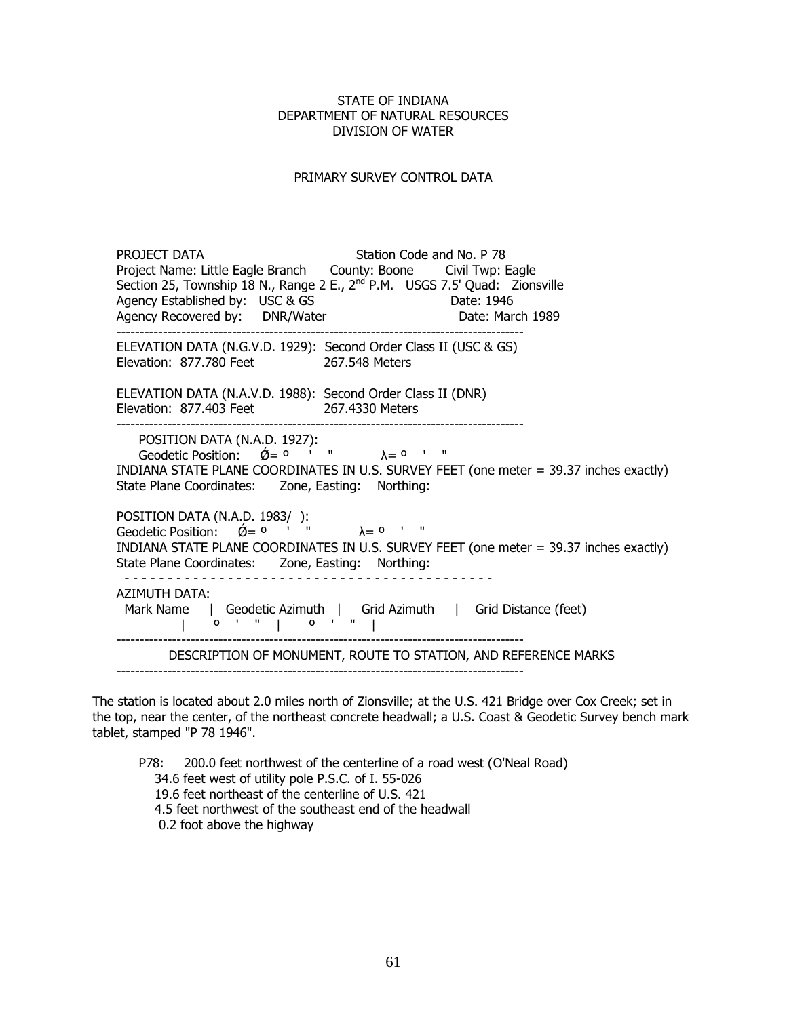### PRIMARY SURVEY CONTROL DATA

PROJECT DATA Station Code and No. P 78 Project Name: Little Eagle Branch County: Boone Civil Twp: Eagle Section 25, Township 18 N., Range 2 E., 2<sup>nd</sup> P.M. USGS 7.5' Quad: Zionsville Agency Established by: USC & GS Date: 1946 Agency Established by: USC & GS<br>
Agency Recovered by: DNR/Water Date: March 1989 Agency Recovered by: DNR/Water ---------------------------------------------------------------------------------------- ELEVATION DATA (N.G.V.D. 1929): Second Order Class II (USC & GS) Elevation: 877.780 Feet 267.548 Meters ELEVATION DATA (N.A.V.D. 1988): Second Order Class II (DNR) Elevation: 877.403 Feet 267.4330 Meters ---------------------------------------------------------------------------------------- POSITION DATA (N.A.D. 1927):  $\alpha$  Geodetic Position:  $\acute{\alpha} = 0$  ' "  $\lambda = 0$  ' " INDIANA STATE PLANE COORDINATES IN U.S. SURVEY FEET (one meter = 39.37 inches exactly) State Plane Coordinates: Zone, Easting: Northing: POSITION DATA (N.A.D. 1983/ ):  $\frac{1}{2}$  Geodetic Position:  $\acute{Q} = 0$  ' "  $\lambda = 0$  ' " INDIANA STATE PLANE COORDINATES IN U.S. SURVEY FEET (one meter = 39.37 inches exactly) State Plane Coordinates: Zone, Easting: Northing: - - - - - - - - - - - - - - - - - - - - - - - - - - - - - - - - - - - - - - - - - - - AZIMUTH DATA: Mark Name | Geodetic Azimuth | Grid Azimuth | Grid Distance (feet) | º ' " | º ' " | ---------------------------------------------------------------------------------------- DESCRIPTION OF MONUMENT, ROUTE TO STATION, AND REFERENCE MARKS ----------------------------------------------------------------------------------------

The station is located about 2.0 miles north of Zionsville; at the U.S. 421 Bridge over Cox Creek; set in the top, near the center, of the northeast concrete headwall; a U.S. Coast & Geodetic Survey bench mark tablet, stamped "P 78 1946".

P78: 200.0 feet northwest of the centerline of a road west (O'Neal Road) 34.6 feet west of utility pole P.S.C. of I. 55-026 19.6 feet northeast of the centerline of U.S. 421 4.5 feet northwest of the southeast end of the headwall 0.2 foot above the highway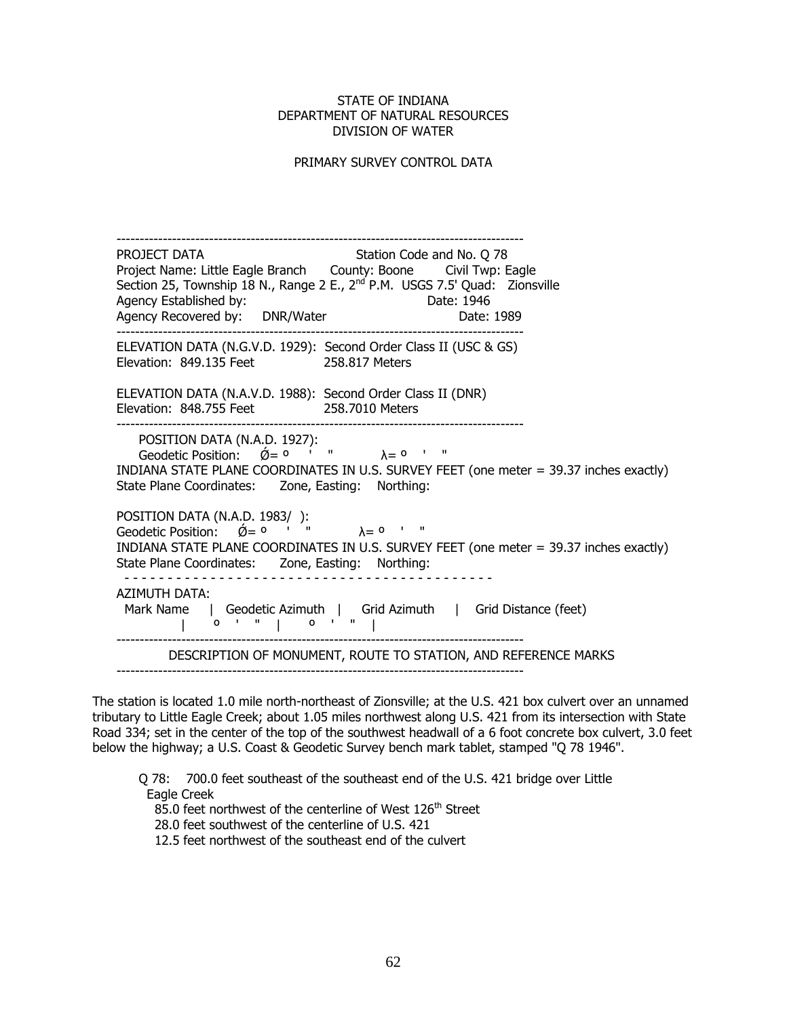#### PRIMARY SURVEY CONTROL DATA

 ---------------------------------------------------------------------------------------- PROJECT DATA Station Code and No. 0 78 Project Name: Little Eagle Branch County: Boone Civil Twp: Eagle Section 25, Township 18 N., Range 2 E., 2<sup>nd</sup> P.M. USGS 7.5' Quad: Zionsville Agency Established by: Date: 1946 Agency Recovered by: DNR/Water Mater Date: 1989 ELEVATION DATA (N.G.V.D. 1929): Second Order Class II (USC & GS) Elevation: 849.135 Feet 258.817 Meters ELEVATION DATA (N.A.V.D. 1988): Second Order Class II (DNR) Elevation: 848.755 Feet 258.7010 Meters POSITION DATA (N.A.D. 1927):  $\alpha$  Geodetic Position:  $\acute{0}= 0$  ' "  $\lambda = 0$  ' " INDIANA STATE PLANE COORDINATES IN U.S. SURVEY FEET (one meter = 39.37 inches exactly) State Plane Coordinates: Zone, Easting: Northing: POSITION DATA (N.A.D. 1983/ ):  $\frac{1}{2}$  Geodetic Position:  $\acute{Q} = 0$  ' "  $\lambda = 0$  ' " INDIANA STATE PLANE COORDINATES IN U.S. SURVEY FEET (one meter = 39.37 inches exactly) State Plane Coordinates: Zone, Easting: Northing: - - - - - - - - - - - - - - - - - - - - - - - - - - - - - - - - - - - - - - - - - - - AZIMUTH DATA: Mark Name | Geodetic Azimuth | Grid Azimuth | Grid Distance (feet) | º ' " | º ' " | ---------------------------------------------------------------------------------------- DESCRIPTION OF MONUMENT, ROUTE TO STATION, AND REFERENCE MARKS

The station is located 1.0 mile north-northeast of Zionsville; at the U.S. 421 box culvert over an unnamed tributary to Little Eagle Creek; about 1.05 miles northwest along U.S. 421 from its intersection with State Road 334; set in the center of the top of the southwest headwall of a 6 foot concrete box culvert, 3.0 feet below the highway; a U.S. Coast & Geodetic Survey bench mark tablet, stamped "Q 78 1946".

Q 78: 700.0 feet southeast of the southeast end of the U.S. 421 bridge over Little Eagle Creek

85.0 feet northwest of the centerline of West 126<sup>th</sup> Street

28.0 feet southwest of the centerline of U.S. 421

12.5 feet northwest of the southeast end of the culvert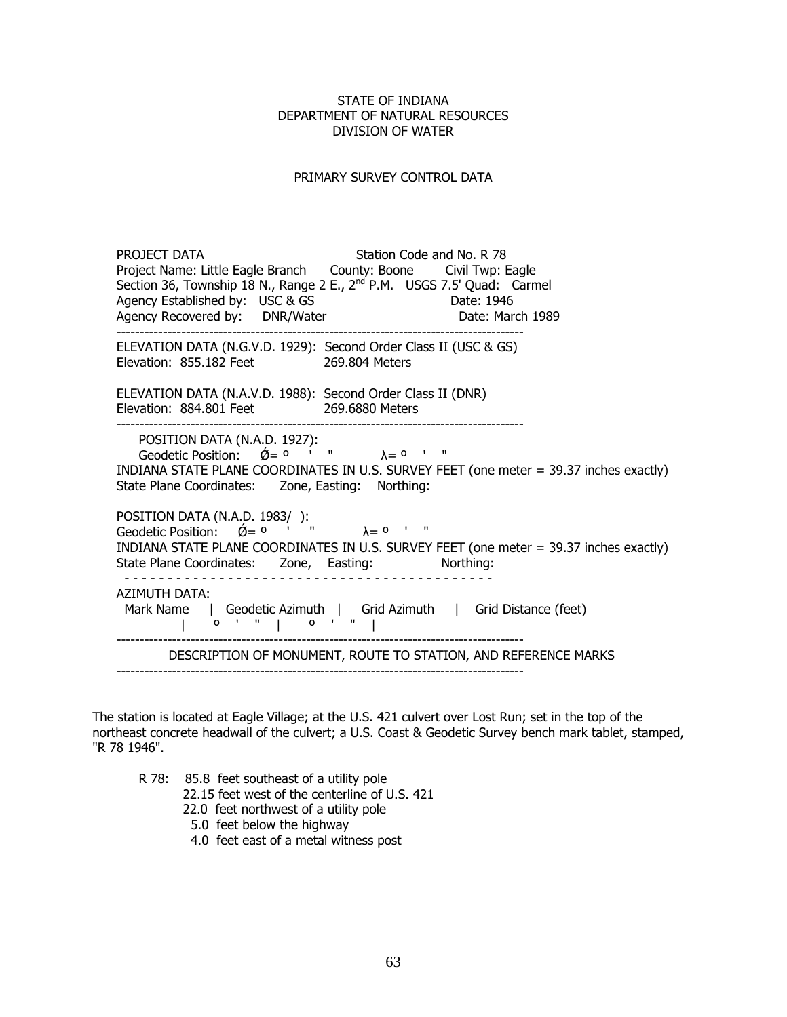# PRIMARY SURVEY CONTROL DATA

|  | PROJECT DATA<br>Project Name: Little Eagle Branch  County: Boone  Civil Twp: Eagle<br>Section 36, Township 18 N., Range 2 E., 2 <sup>nd</sup> P.M. USGS 7.5' Quad: Carmel<br>Agency Established by: USC & GS<br>Agency Recovered by: DNR/Water      | Station Code and No. R 78<br>Date: 1946 | Date: March 1989                                               |  |
|--|-----------------------------------------------------------------------------------------------------------------------------------------------------------------------------------------------------------------------------------------------------|-----------------------------------------|----------------------------------------------------------------|--|
|  | ELEVATION DATA (N.G.V.D. 1929): Second Order Class II (USC & GS)<br>Elevation: 855.182 Feet 269.804 Meters                                                                                                                                          |                                         |                                                                |  |
|  | ELEVATION DATA (N.A.V.D. 1988): Second Order Class II (DNR)<br>Elevation: 884.801 Feet 269.6880 Meters                                                                                                                                              |                                         |                                                                |  |
|  | POSITION DATA (N.A.D. 1927):<br>Geodetic Position: $\acute{Q} = 0$ ' " $\lambda = 0$ ' "<br>INDIANA STATE PLANE COORDINATES IN U.S. SURVEY FEET (one meter = 39.37 inches exactly)<br>State Plane Coordinates: Zone, Easting: Northing:             |                                         |                                                                |  |
|  | POSITION DATA (N.A.D. 1983/ ):<br>Geodetic Position: $\acute{\mathcal{Q}} = 0$ ' " $\lambda = 0$ ' "<br>INDIANA STATE PLANE COORDINATES IN U.S. SURVEY FEET (one meter = 39.37 inches exactly)<br>State Plane Coordinates: Zone, Easting: Northing: |                                         |                                                                |  |
|  | AZIMUTH DATA:<br>Mark Name   Geodetic Azimuth   Grid Azimuth   Grid Distance (feet)<br>$0'''''$ 0'"                                                                                                                                                 |                                         |                                                                |  |
|  |                                                                                                                                                                                                                                                     |                                         | DESCRIPTION OF MONUMENT, ROUTE TO STATION, AND REFERENCE MARKS |  |

The station is located at Eagle Village; at the U.S. 421 culvert over Lost Run; set in the top of the northeast concrete headwall of the culvert; a U.S. Coast & Geodetic Survey bench mark tablet, stamped, "R 78 1946".

R 78: 85.8 feet southeast of a utility pole

22.15 feet west of the centerline of U.S. 421

- 22.0 feet northwest of a utility pole
- 5.0 feet below the highway
- 4.0 feet east of a metal witness post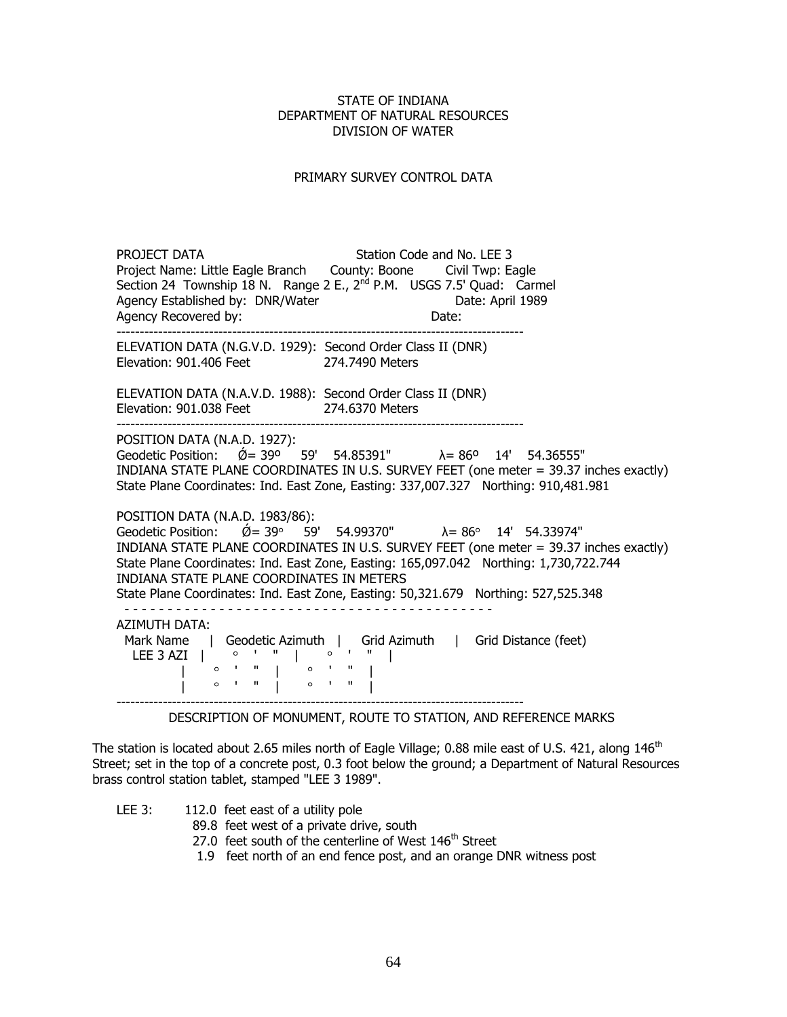### PRIMARY SURVEY CONTROL DATA

PROJECT DATA Station Code and No. LEE 3 Project Name: Little Eagle Branch County: Boone Civil Twp: Eagle Section 24 Township 18 N. Range 2 E., 2<sup>nd</sup> P.M. USGS 7.5' Quad: Carmel Agency Established by: DNR/Water **Date: April 1989** Agency Recovered by: Date: ---------------------------------------------------------------------------------------- ELEVATION DATA (N.G.V.D. 1929): Second Order Class II (DNR) Elevation: 901.406 Feet 274.7490 Meters ELEVATION DATA (N.A.V.D. 1988): Second Order Class II (DNR) Elevation: 901.038 Feet 274.6370 Meters ---------------------------------------------------------------------------------------- POSITION DATA (N.A.D. 1927): Geodetic Position:  $\acute{\text{O}} = 39^{\circ}$  59' 54.85391"  $\lambda = 86^{\circ}$  14' 54.36555" INDIANA STATE PLANE COORDINATES IN U.S. SURVEY FEET (one meter = 39.37 inches exactly) State Plane Coordinates: Ind. East Zone, Easting: 337,007.327 Northing: 910,481.981 POSITION DATA (N.A.D. 1983/86): Geodetic Position:  $\acute{Q} = 39^{\circ}$  59' 54.99370"  $\lambda = 86^{\circ}$  14' 54.33974" INDIANA STATE PLANE COORDINATES IN U.S. SURVEY FEET (one meter = 39.37 inches exactly) State Plane Coordinates: Ind. East Zone, Easting: 165,097.042 Northing: 1,730,722.744 INDIANA STATE PLANE COORDINATES IN METERS State Plane Coordinates: Ind. East Zone, Easting: 50,321.679 Northing: 527,525.348 - - - - - - - - - - - - - - - - - - - - - - - - - - - - - - - - - - - - - - - - - - - AZIMUTH DATA: Mark Name | Geodetic Azimuth | Grid Azimuth | Grid Distance (feet) LEE 3 AZI |  $\circ$  ' " |  $\circ$  ' " |  $\begin{bmatrix} 0 & 1 & 1 \\ 0 & 1 & 1 \end{bmatrix}$   $\begin{bmatrix} 0 & 1 & 1 \\ 0 & 1 & 1 \end{bmatrix}$  | ' " | ' " | ----------------------------------------------------------------------------------------

#### DESCRIPTION OF MONUMENT, ROUTE TO STATION, AND REFERENCE MARKS

The station is located about 2.65 miles north of Eagle Village; 0.88 mile east of U.S. 421, along  $146<sup>th</sup>$ Street; set in the top of a concrete post, 0.3 foot below the ground; a Department of Natural Resources brass control station tablet, stamped "LEE 3 1989".

LEE 3: 112.0 feet east of a utility pole

- 89.8 feet west of a private drive, south
- 27.0 feet south of the centerline of West 146<sup>th</sup> Street
- 1.9 feet north of an end fence post, and an orange DNR witness post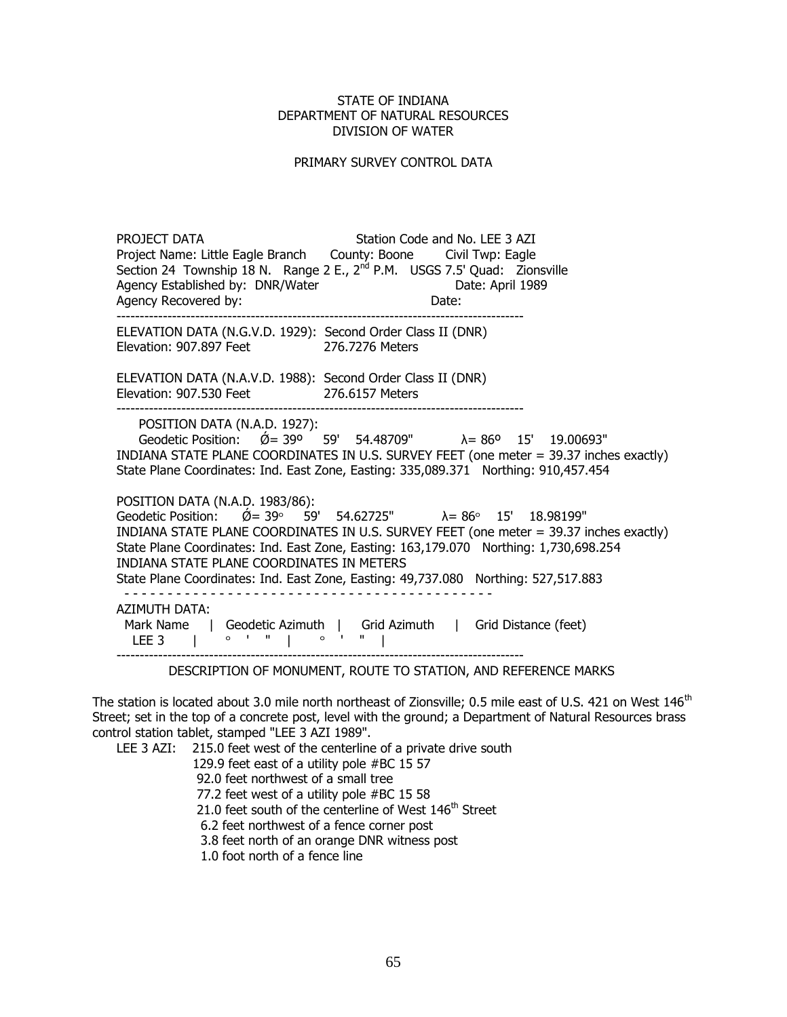#### PRIMARY SURVEY CONTROL DATA

PROJECT DATA Station Code and No. LEE 3 AZI Project Name: Little Eagle Branch County: Boone Civil Twp: Eagle Section 24 Township 18 N. Range 2 E.,  $2<sup>nd</sup>$  P.M. USGS 7.5' Quad: Zionsville Agency Established by: DNR/Water Date: April 1989 Agency Recovered by: Date: ---------------------------------------------------------------------------------------- ELEVATION DATA (N.G.V.D. 1929): Second Order Class II (DNR) Elevation: 907.897 Feet 276.7276 Meters ELEVATION DATA (N.A.V.D. 1988): Second Order Class II (DNR) Elevation: 907.530 Feet 276.6157 Meters ---------------------------------------------------------------------------------------- POSITION DATA (N.A.D. 1927): Geodetic Position:  $\acute{\emptyset}$  = 39<sup>o  $\acute{\,}$ </sup> 59' 54.48709"  $\lambda$  = 86° 15' 19.00693" INDIANA STATE PLANE COORDINATES IN U.S. SURVEY FEET (one meter = 39.37 inches exactly) State Plane Coordinates: Ind. East Zone, Easting: 335,089.371 Northing: 910,457.454 POSITION DATA (N.A.D. 1983/86): Geodetic Position:  $\acute{Q} = 39^{\circ}$  59' 54.62725"  $\lambda = 86^{\circ}$  15' 18.98199" INDIANA STATE PLANE COORDINATES IN U.S. SURVEY FEET (one meter = 39.37 inches exactly) State Plane Coordinates: Ind. East Zone, Easting: 163,179.070 Northing: 1,730,698.254 INDIANA STATE PLANE COORDINATES IN METERS State Plane Coordinates: Ind. East Zone, Easting: 49,737.080 Northing: 527,517.883 - - - - - - - - - - - - - - - - - - - - - - - - - - - - - - - - - - - - - - - - - - - AZIMUTH DATA: Mark Name | Geodetic Azimuth | Grid Azimuth | Grid Distance (feet) LEE 3 |  $\circ$  ' " |  $\circ$  ' " | ----------------------------------------------------------------------------------------

DESCRIPTION OF MONUMENT, ROUTE TO STATION, AND REFERENCE MARKS

The station is located about 3.0 mile north northeast of Zionsville; 0.5 mile east of U.S. 421 on West 146<sup>th</sup> Street; set in the top of a concrete post, level with the ground; a Department of Natural Resources brass control station tablet, stamped "LEE 3 AZI 1989".

LEE 3 AZI: 215.0 feet west of the centerline of a private drive south

129.9 feet east of a utility pole #BC 15 57

92.0 feet northwest of a small tree

77.2 feet west of a utility pole #BC 15 58

21.0 feet south of the centerline of West  $146<sup>th</sup>$  Street

6.2 feet northwest of a fence corner post

3.8 feet north of an orange DNR witness post

1.0 foot north of a fence line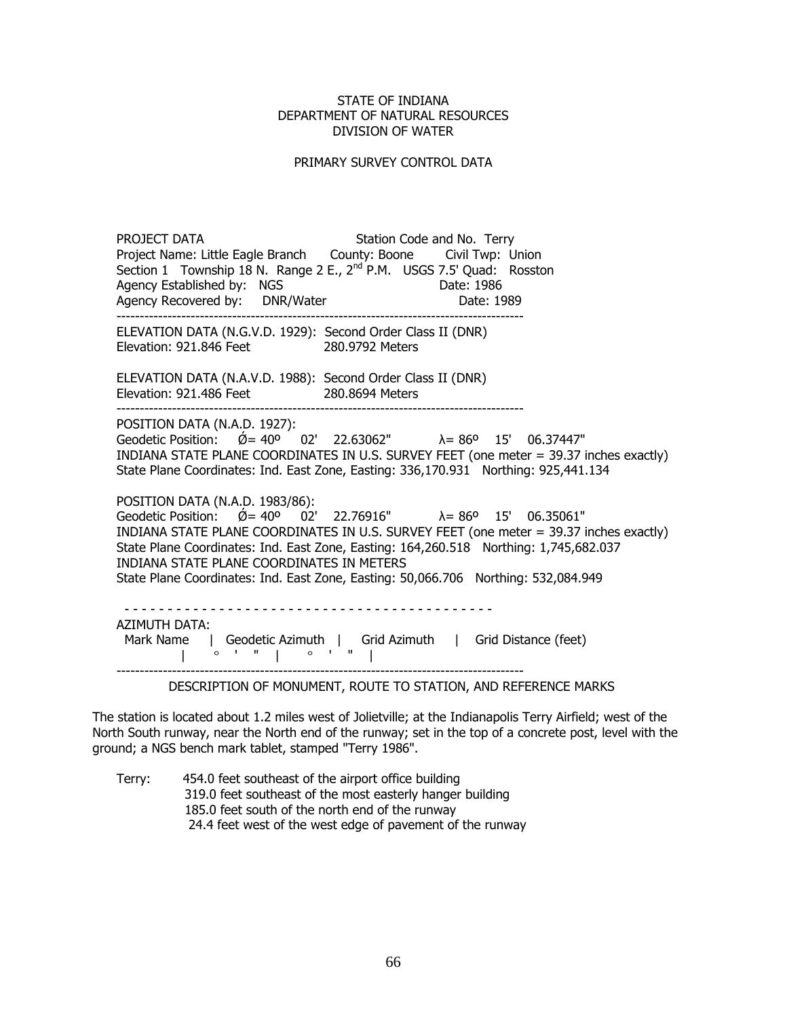#### PRIMARY SURVEY CONTROL DATA

PROJECT DATA Station Code and No. Terry Project Name: Little Eagle Branch County: Boone Civil Twp: Union Section 1 Township 18 N. Range 2 E.,  $2^{nd}$  P.M. USGS 7.5' Quad: Rosston Agency Established by: NGS Date: 1986 Agency Recovered by: DNR/Water Date: 1989 ---------------------------------------------------------------------------------------- ELEVATION DATA (N.G.V.D. 1929): Second Order Class II (DNR) Elevation: 921.846 Feet 280.9792 Meters ELEVATION DATA (N.A.V.D. 1988): Second Order Class II (DNR) Elevation: 921.486 Feet 280.8694 Meters ---------------------------------------------------------------------------------------- POSITION DATA (N.A.D. 1927): Geodetic Position:  $\acute{\text{O}} = 40^{\circ}$  02' 22.63062"  $\lambda = 86^{\circ}$  15' 06.37447" INDIANA STATE PLANE COORDINATES IN U.S. SURVEY FEET (one meter = 39.37 inches exactly) State Plane Coordinates: Ind. East Zone, Easting: 336,170.931 Northing: 925,441.134 POSITION DATA (N.A.D. 1983/86): Geodetic Position:  $\acute{\mathcal{Q}} = 40^{\circ}$   $0.2'$  22.76916"  $\lambda = 86^{\circ}$  15' 06.35061" INDIANA STATE PLANE COORDINATES IN U.S. SURVEY FEET (one meter = 39.37 inches exactly) State Plane Coordinates: Ind. East Zone, Easting: 164,260.518 Northing: 1,745,682.037 INDIANA STATE PLANE COORDINATES IN METERS State Plane Coordinates: Ind. East Zone, Easting: 50,066.706 Northing: 532,084.949 - - - - - - - - - - - - - - - - - - - - - - - - - - - - - - - - - - - - - - - - - - - AZIMUTH DATA: Mark Name | Geodetic Azimuth | Grid Azimuth | Grid Distance (feet)  $\begin{bmatrix} 0 & 1 & 1 \\ 0 & 1 & 1 \\ 0 & 0 & 1 \end{bmatrix}$ ----------------------------------------------------------------------------------------

DESCRIPTION OF MONUMENT, ROUTE TO STATION, AND REFERENCE MARKS

The station is located about 1.2 miles west of Jolietville; at the Indianapolis Terry Airfield; west of the North South runway, near the North end of the runway; set in the top of a concrete post, level with the ground; a NGS bench mark tablet, stamped "Terry 1986".

 Terry: 454.0 feet southeast of the airport office building 319.0 feet southeast of the most easterly hanger building 185.0 feet south of the north end of the runway 24.4 feet west of the west edge of pavement of the runway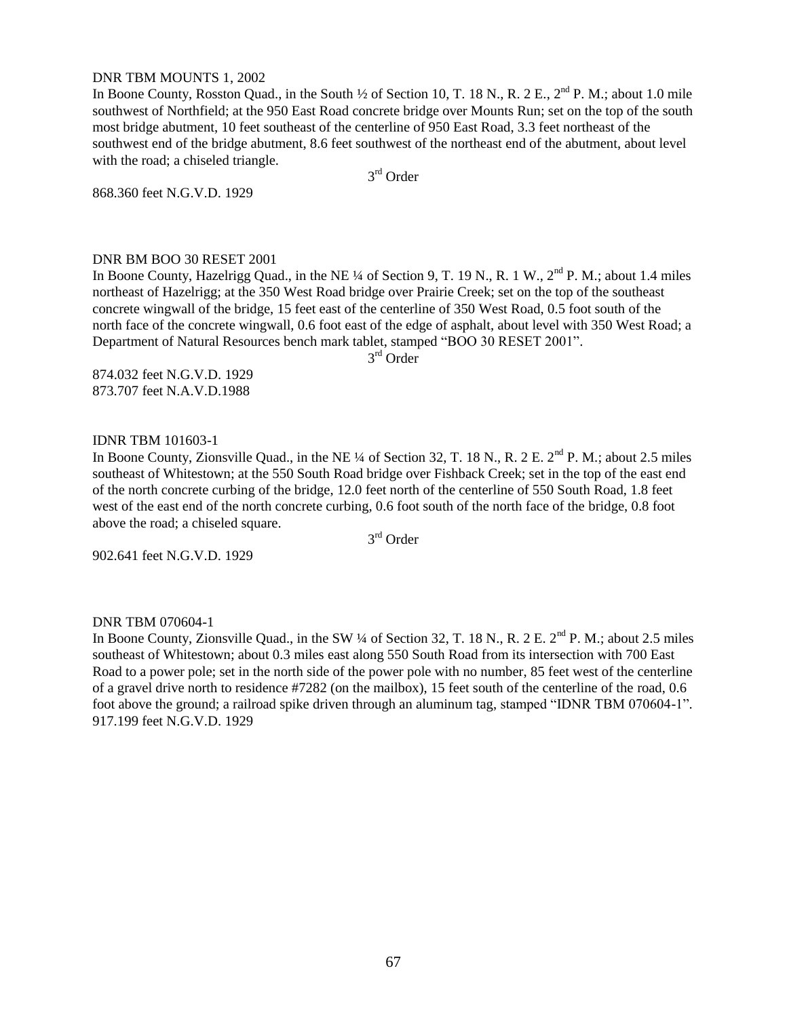#### DNR TBM MOUNTS 1, 2002

In Boone County, Rosston Quad., in the South  $\frac{1}{2}$  of Section 10, T. 18 N., R. 2 E., 2<sup>nd</sup> P. M.; about 1.0 mile southwest of Northfield; at the 950 East Road concrete bridge over Mounts Run; set on the top of the south most bridge abutment, 10 feet southeast of the centerline of 950 East Road, 3.3 feet northeast of the southwest end of the bridge abutment, 8.6 feet southwest of the northeast end of the abutment, about level with the road; a chiseled triangle.

3<sup>rd</sup> Order

868.360 feet N.G.V.D. 1929

#### DNR BM BOO 30 RESET 2001

In Boone County, Hazelrigg Quad., in the NE ¼ of Section 9, T. 19 N., R. 1 W., 2<sup>nd</sup> P. M.; about 1.4 miles northeast of Hazelrigg; at the 350 West Road bridge over Prairie Creek; set on the top of the southeast concrete wingwall of the bridge, 15 feet east of the centerline of 350 West Road, 0.5 foot south of the north face of the concrete wingwall, 0.6 foot east of the edge of asphalt, about level with 350 West Road; a Department of Natural Resources bench mark tablet, stamped "BOO 30 RESET 2001".

3 rd Order

874.032 feet N.G.V.D. 1929 873.707 feet N.A.V.D.1988

#### IDNR TBM 101603-1

In Boone County, Zionsville Quad., in the NE ¼ of Section 32, T. 18 N., R. 2 E.  $2<sup>nd</sup>$  P. M.; about 2.5 miles southeast of Whitestown; at the 550 South Road bridge over Fishback Creek; set in the top of the east end of the north concrete curbing of the bridge, 12.0 feet north of the centerline of 550 South Road, 1.8 feet west of the east end of the north concrete curbing, 0.6 foot south of the north face of the bridge, 0.8 foot above the road; a chiseled square.

3 rd Order

902.641 feet N.G.V.D. 1929

#### DNR TBM 070604-1

In Boone County, Zionsville Quad., in the SW ¼ of Section 32, T. 18 N., R. 2 E. 2<sup>nd</sup> P. M.; about 2.5 miles southeast of Whitestown; about 0.3 miles east along 550 South Road from its intersection with 700 East Road to a power pole; set in the north side of the power pole with no number, 85 feet west of the centerline of a gravel drive north to residence #7282 (on the mailbox), 15 feet south of the centerline of the road, 0.6 foot above the ground; a railroad spike driven through an aluminum tag, stamped "IDNR TBM 070604-1". 917.199 feet N.G.V.D. 1929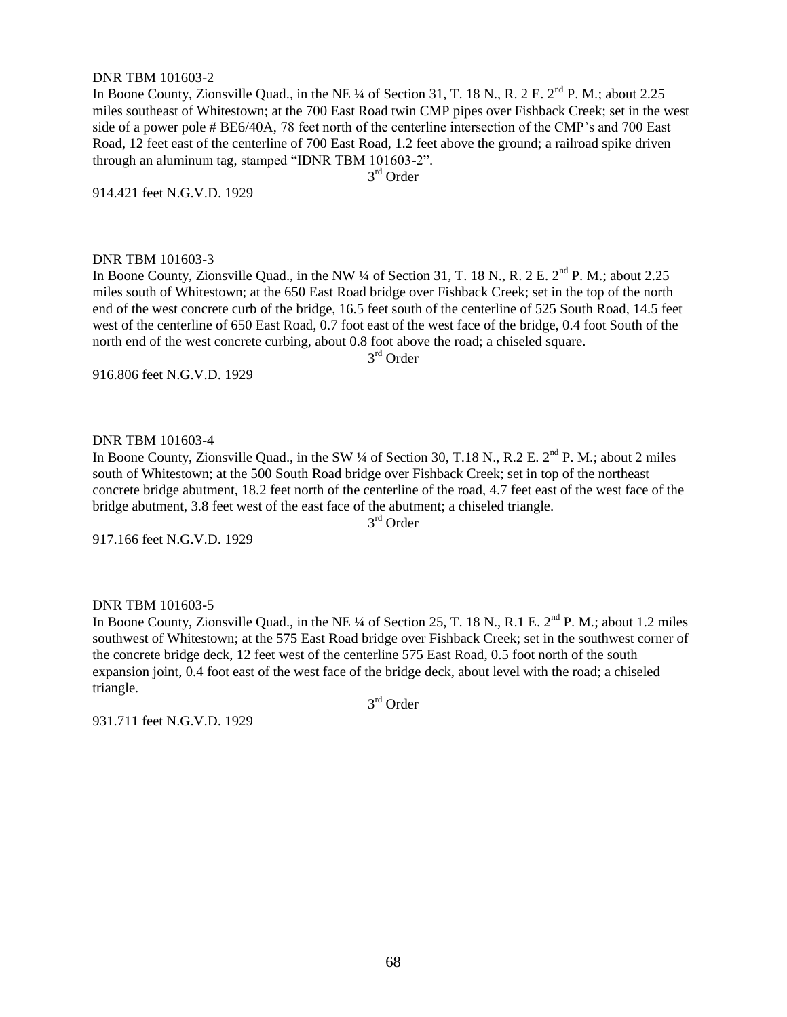#### DNR TBM 101603-2

In Boone County, Zionsville Quad., in the NE ¼ of Section 31, T. 18 N., R. 2 E. 2<sup>nd</sup> P. M.; about 2.25 miles southeast of Whitestown; at the 700 East Road twin CMP pipes over Fishback Creek; set in the west side of a power pole # BE6/40A, 78 feet north of the centerline intersection of the CMP"s and 700 East Road, 12 feet east of the centerline of 700 East Road, 1.2 feet above the ground; a railroad spike driven through an aluminum tag, stamped "IDNR TBM 101603-2".

3<sup>rd</sup> Order

914.421 feet N.G.V.D. 1929

#### DNR TBM 101603-3

In Boone County, Zionsville Quad., in the NW  $\frac{1}{4}$  of Section 31, T. 18 N., R. 2 E.  $2<sup>nd</sup>$  P. M.; about 2.25 miles south of Whitestown; at the 650 East Road bridge over Fishback Creek; set in the top of the north end of the west concrete curb of the bridge, 16.5 feet south of the centerline of 525 South Road, 14.5 feet west of the centerline of 650 East Road, 0.7 foot east of the west face of the bridge, 0.4 foot South of the north end of the west concrete curbing, about 0.8 foot above the road; a chiseled square. 3 rd Order

916.806 feet N.G.V.D. 1929

#### DNR TBM 101603-4

In Boone County, Zionsville Quad., in the SW ¼ of Section 30, T.18 N., R.2 E.  $2^{nd}$  P. M.; about 2 miles south of Whitestown; at the 500 South Road bridge over Fishback Creek; set in top of the northeast concrete bridge abutment, 18.2 feet north of the centerline of the road, 4.7 feet east of the west face of the bridge abutment, 3.8 feet west of the east face of the abutment; a chiseled triangle. 3<sup>rd</sup> Order

917.166 feet N.G.V.D. 1929

#### DNR TBM 101603-5

In Boone County, Zionsville Quad., in the NE  $\frac{1}{4}$  of Section 25, T. 18 N., R.1 E.  $2^{nd}$  P. M.; about 1.2 miles southwest of Whitestown; at the 575 East Road bridge over Fishback Creek; set in the southwest corner of the concrete bridge deck, 12 feet west of the centerline 575 East Road, 0.5 foot north of the south expansion joint, 0.4 foot east of the west face of the bridge deck, about level with the road; a chiseled triangle.

3<sup>rd</sup> Order

931.711 feet N.G.V.D. 1929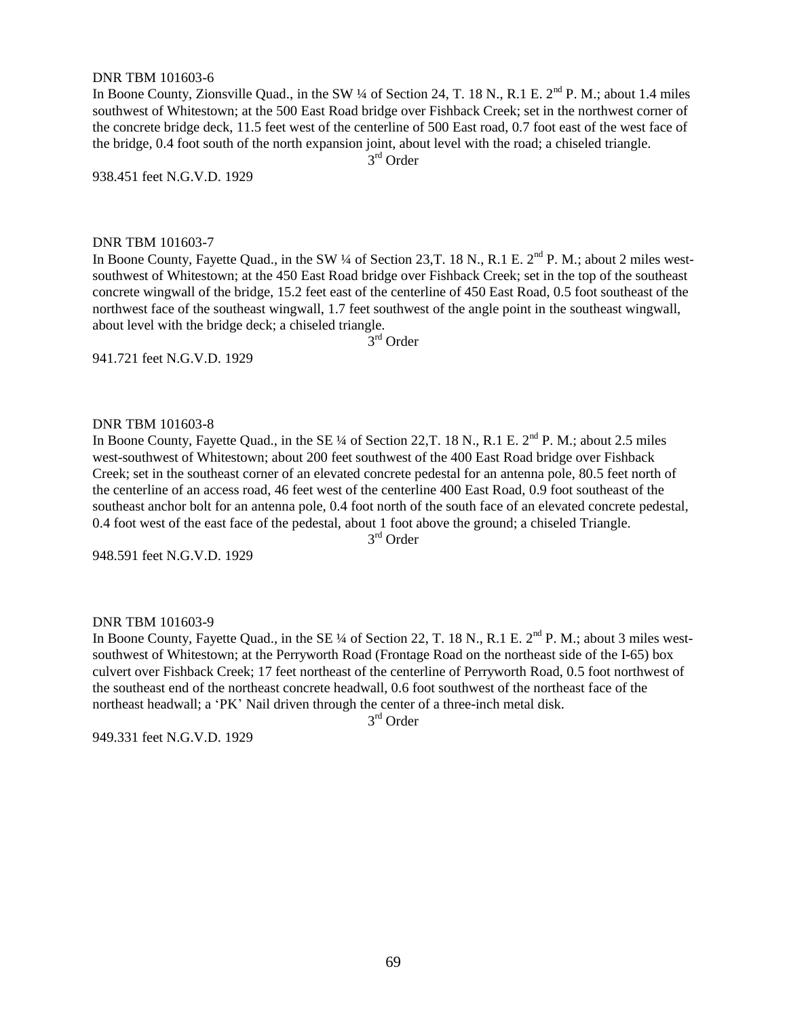#### DNR TBM 101603-6

In Boone County, Zionsville Quad., in the SW ¼ of Section 24, T. 18 N., R.1 E. 2<sup>nd</sup> P. M.; about 1.4 miles southwest of Whitestown; at the 500 East Road bridge over Fishback Creek; set in the northwest corner of the concrete bridge deck, 11.5 feet west of the centerline of 500 East road, 0.7 foot east of the west face of the bridge, 0.4 foot south of the north expansion joint, about level with the road; a chiseled triangle.

3 rd Order

938.451 feet N.G.V.D. 1929

#### DNR TBM 101603-7

In Boone County, Fayette Quad., in the SW ¼ of Section 23, T. 18 N., R.1 E. 2<sup>nd</sup> P. M.; about 2 miles westsouthwest of Whitestown; at the 450 East Road bridge over Fishback Creek; set in the top of the southeast concrete wingwall of the bridge, 15.2 feet east of the centerline of 450 East Road, 0.5 foot southeast of the northwest face of the southeast wingwall, 1.7 feet southwest of the angle point in the southeast wingwall, about level with the bridge deck; a chiseled triangle.

3<sup>rd</sup> Order

941.721 feet N.G.V.D. 1929

#### DNR TBM 101603-8

In Boone County, Fayette Quad., in the SE ¼ of Section 22, T. 18 N., R.1 E. 2<sup>nd</sup> P. M.; about 2.5 miles west-southwest of Whitestown; about 200 feet southwest of the 400 East Road bridge over Fishback Creek; set in the southeast corner of an elevated concrete pedestal for an antenna pole, 80.5 feet north of the centerline of an access road, 46 feet west of the centerline 400 East Road, 0.9 foot southeast of the southeast anchor bolt for an antenna pole, 0.4 foot north of the south face of an elevated concrete pedestal, 0.4 foot west of the east face of the pedestal, about 1 foot above the ground; a chiseled Triangle.

3 rd Order

948.591 feet N.G.V.D. 1929

#### DNR TBM 101603-9

In Boone County, Fayette Quad., in the SE ¼ of Section 22, T. 18 N., R.1 E. 2<sup>nd</sup> P. M.; about 3 miles westsouthwest of Whitestown; at the Perryworth Road (Frontage Road on the northeast side of the I-65) box culvert over Fishback Creek; 17 feet northeast of the centerline of Perryworth Road, 0.5 foot northwest of the southeast end of the northeast concrete headwall, 0.6 foot southwest of the northeast face of the northeast headwall; a "PK" Nail driven through the center of a three-inch metal disk.

3<sup>rd</sup> Order

949.331 feet N.G.V.D. 1929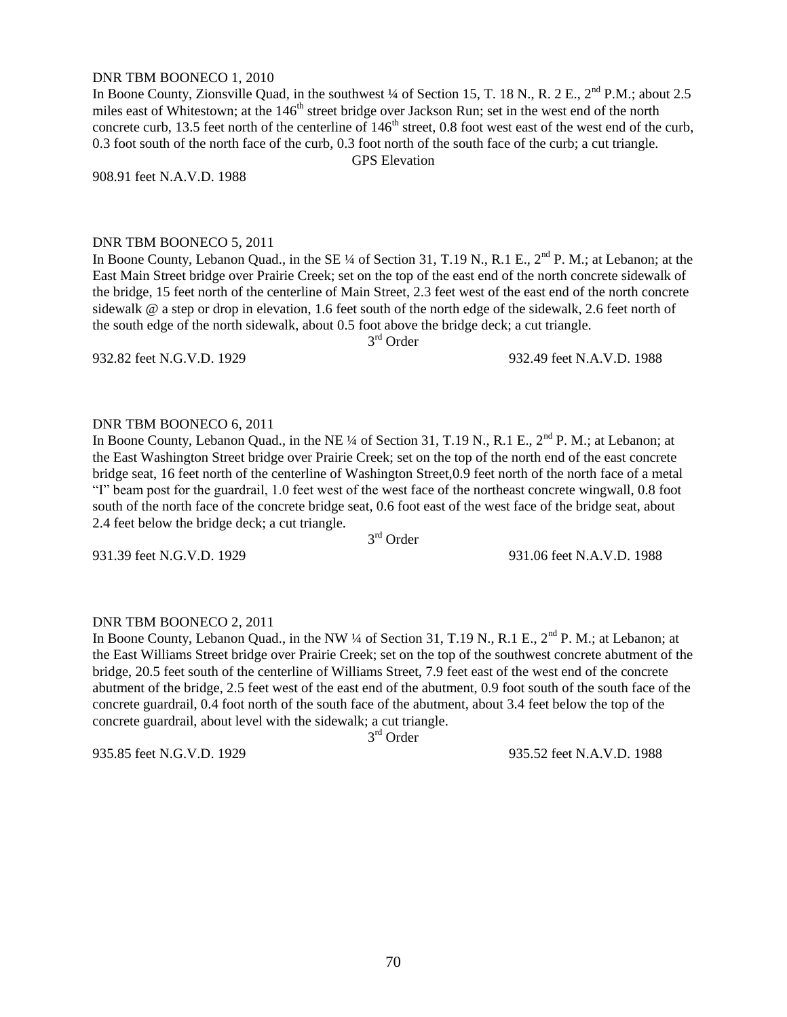#### DNR TBM BOONECO 1, 2010

In Boone County, Zionsville Quad, in the southwest  $\frac{1}{4}$  of Section 15, T. 18 N., R. 2 E.,  $2^{nd}$  P.M.; about 2.5 miles east of Whitestown; at the 146<sup>th</sup> street bridge over Jackson Run; set in the west end of the north concrete curb, 13.5 feet north of the centerline of  $146<sup>th</sup>$  street, 0.8 foot west east of the west end of the curb, 0.3 foot south of the north face of the curb, 0.3 foot north of the south face of the curb; a cut triangle. GPS Elevation

908.91 feet N.A.V.D. 1988

#### DNR TBM BOONECO 5, 2011

In Boone County, Lebanon Quad., in the SE ¼ of Section 31, T.19 N., R.1 E., 2<sup>nd</sup> P. M.; at Lebanon; at the East Main Street bridge over Prairie Creek; set on the top of the east end of the north concrete sidewalk of the bridge, 15 feet north of the centerline of Main Street, 2.3 feet west of the east end of the north concrete sidewalk @ a step or drop in elevation, 1.6 feet south of the north edge of the sidewalk, 2.6 feet north of the south edge of the north sidewalk, about 0.5 foot above the bridge deck; a cut triangle.

3 rd Order

### DNR TBM BOONECO 6, 2011

In Boone County, Lebanon Quad., in the NE  $\frac{1}{4}$  of Section 31, T.19 N., R.1 E.,  $2^{nd}$  P. M.; at Lebanon; at the East Washington Street bridge over Prairie Creek; set on the top of the north end of the east concrete bridge seat, 16 feet north of the centerline of Washington Street,0.9 feet north of the north face of a metal "I" beam post for the guardrail, 1.0 feet west of the west face of the northeast concrete wingwall, 0.8 foot south of the north face of the concrete bridge seat, 0.6 foot east of the west face of the bridge seat, about 2.4 feet below the bridge deck; a cut triangle.

3 rd Order

931.39 feet N.G.V.D. 1929 931.06 feet N.A.V.D. 1988

#### DNR TBM BOONECO 2, 2011

In Boone County, Lebanon Quad., in the NW ¼ of Section 31, T.19 N., R.1 E., 2<sup>nd</sup> P. M.; at Lebanon; at the East Williams Street bridge over Prairie Creek; set on the top of the southwest concrete abutment of the bridge, 20.5 feet south of the centerline of Williams Street, 7.9 feet east of the west end of the concrete abutment of the bridge, 2.5 feet west of the east end of the abutment, 0.9 foot south of the south face of the concrete guardrail, 0.4 foot north of the south face of the abutment, about 3.4 feet below the top of the concrete guardrail, about level with the sidewalk; a cut triangle.

3 rd Order

935.85 feet N.G.V.D. 1929 935.52 feet N.A.V.D. 1988

932.82 feet N.G.V.D. 1929 932.49 feet N.A.V.D. 1988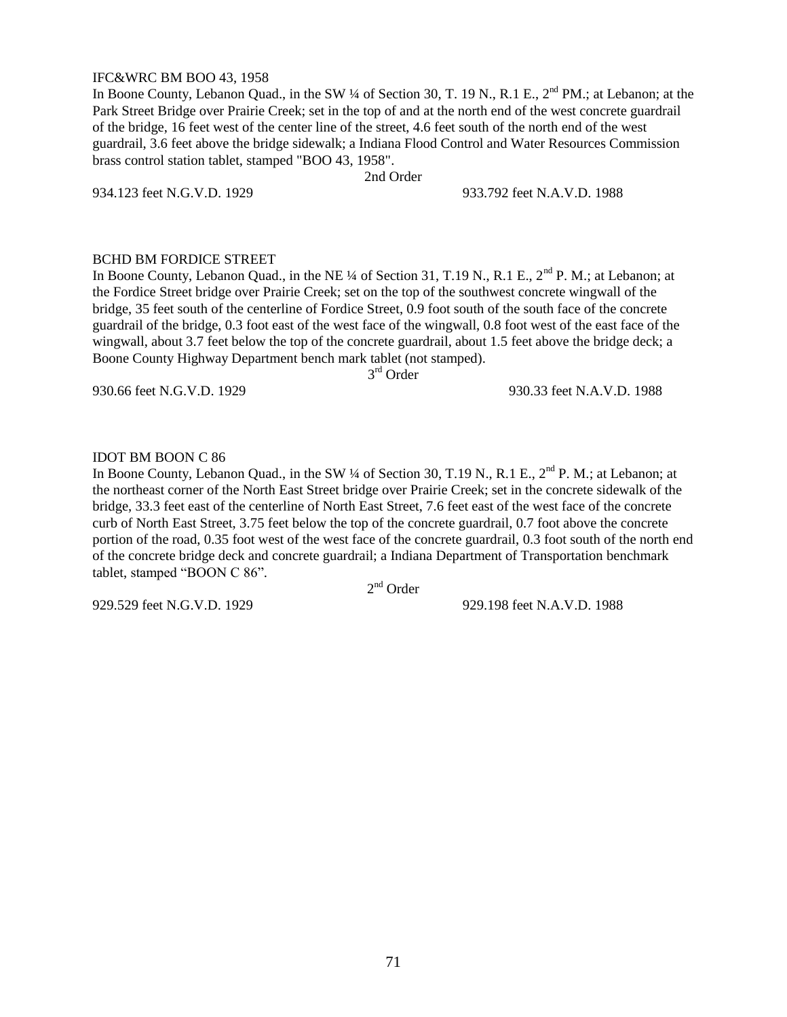#### IFC&WRC BM BOO 43, 1958

In Boone County, Lebanon Quad., in the SW ¼ of Section 30, T. 19 N., R.1 E., 2<sup>nd</sup> PM.; at Lebanon; at the Park Street Bridge over Prairie Creek; set in the top of and at the north end of the west concrete guardrail of the bridge, 16 feet west of the center line of the street, 4.6 feet south of the north end of the west guardrail, 3.6 feet above the bridge sidewalk; a Indiana Flood Control and Water Resources Commission brass control station tablet, stamped "BOO 43, 1958".

2nd Order

934.123 feet N.G.V.D. 1929 933.792 feet N.A.V.D. 1988

# BCHD BM FORDICE STREET

In Boone County, Lebanon Quad., in the NE ¼ of Section 31, T.19 N., R.1 E., 2<sup>nd</sup> P. M.; at Lebanon; at the Fordice Street bridge over Prairie Creek; set on the top of the southwest concrete wingwall of the bridge, 35 feet south of the centerline of Fordice Street, 0.9 foot south of the south face of the concrete guardrail of the bridge, 0.3 foot east of the west face of the wingwall, 0.8 foot west of the east face of the wingwall, about 3.7 feet below the top of the concrete guardrail, about 1.5 feet above the bridge deck; a Boone County Highway Department bench mark tablet (not stamped).

3<sup>rd</sup> Order

930.66 feet N.G.V.D. 1929 930.33 feet N.A.V.D. 1988

# IDOT BM BOON C 86

In Boone County, Lebanon Quad., in the SW ¼ of Section 30, T.19 N., R.1 E., 2<sup>nd</sup> P. M.; at Lebanon; at the northeast corner of the North East Street bridge over Prairie Creek; set in the concrete sidewalk of the bridge, 33.3 feet east of the centerline of North East Street, 7.6 feet east of the west face of the concrete curb of North East Street, 3.75 feet below the top of the concrete guardrail, 0.7 foot above the concrete portion of the road, 0.35 foot west of the west face of the concrete guardrail, 0.3 foot south of the north end of the concrete bridge deck and concrete guardrail; a Indiana Department of Transportation benchmark tablet, stamped "BOON C 86".

2<sup>nd</sup> Order

929.529 feet N.G.V.D. 1929 929.198 feet N.A.V.D. 1988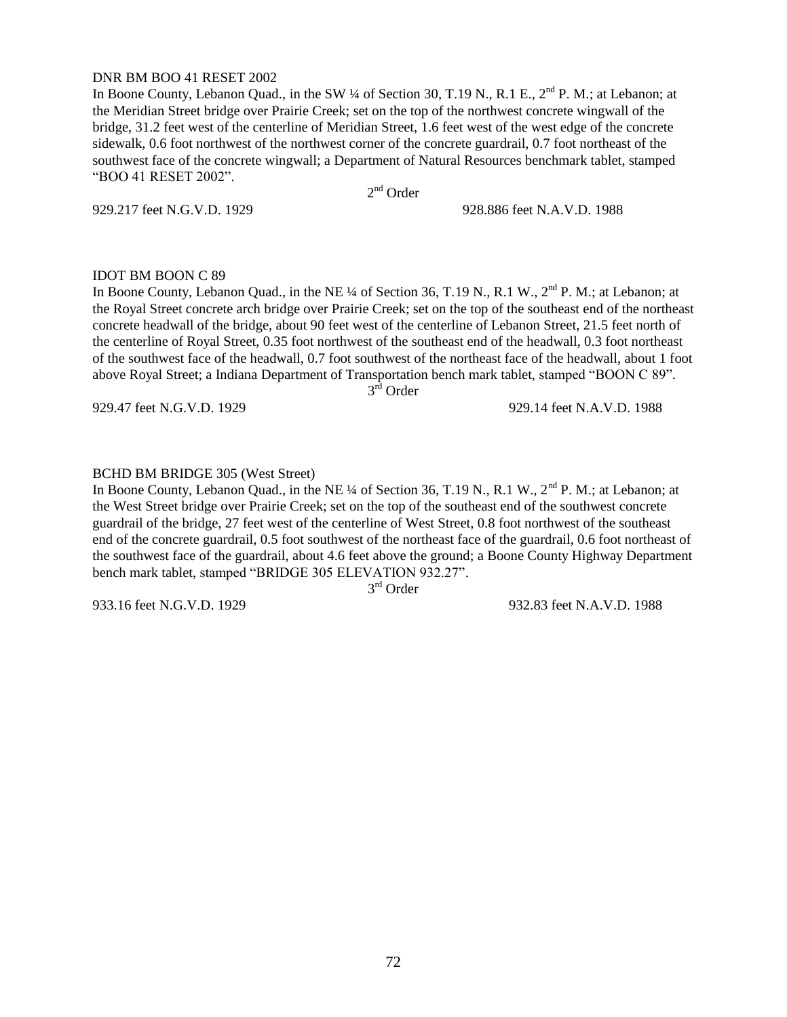### DNR BM BOO 41 RESET 2002

In Boone County, Lebanon Quad., in the SW ¼ of Section 30, T.19 N., R.1 E., 2<sup>nd</sup> P. M.; at Lebanon; at the Meridian Street bridge over Prairie Creek; set on the top of the northwest concrete wingwall of the bridge, 31.2 feet west of the centerline of Meridian Street, 1.6 feet west of the west edge of the concrete sidewalk, 0.6 foot northwest of the northwest corner of the concrete guardrail, 0.7 foot northeast of the southwest face of the concrete wingwall; a Department of Natural Resources benchmark tablet, stamped "BOO 41 RESET 2002".

929.217 feet N.G.V.D. 1929 928.886 feet N.A.V.D. 1988

# 2<sup>nd</sup> Order

# IDOT BM BOON C 89

In Boone County, Lebanon Quad., in the NE ¼ of Section 36, T.19 N., R.1 W., 2<sup>nd</sup> P. M.; at Lebanon; at the Royal Street concrete arch bridge over Prairie Creek; set on the top of the southeast end of the northeast concrete headwall of the bridge, about 90 feet west of the centerline of Lebanon Street, 21.5 feet north of the centerline of Royal Street, 0.35 foot northwest of the southeast end of the headwall, 0.3 foot northeast of the southwest face of the headwall, 0.7 foot southwest of the northeast face of the headwall, about 1 foot above Royal Street; a Indiana Department of Transportation bench mark tablet, stamped "BOON C 89".

3<sup>rd</sup> Order

929.47 feet N.G.V.D. 1929 929.14 feet N.A.V.D. 1988

### BCHD BM BRIDGE 305 (West Street)

In Boone County, Lebanon Quad., in the NE ¼ of Section 36, T.19 N., R.1 W., 2<sup>nd</sup> P. M.; at Lebanon; at the West Street bridge over Prairie Creek; set on the top of the southeast end of the southwest concrete guardrail of the bridge, 27 feet west of the centerline of West Street, 0.8 foot northwest of the southeast end of the concrete guardrail, 0.5 foot southwest of the northeast face of the guardrail, 0.6 foot northeast of the southwest face of the guardrail, about 4.6 feet above the ground; a Boone County Highway Department bench mark tablet, stamped "BRIDGE 305 ELEVATION 932.27".

3<sup>rd</sup> Order

933.16 feet N.G.V.D. 1929 932.83 feet N.A.V.D. 1988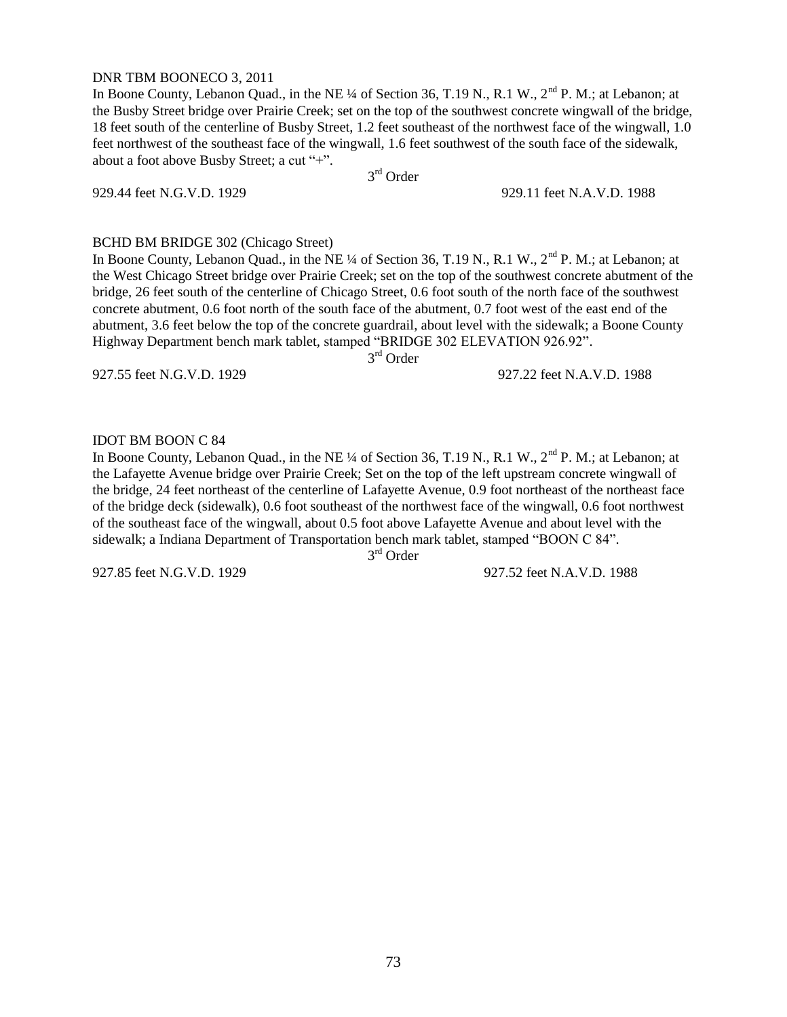### DNR TBM BOONECO 3, 2011

In Boone County, Lebanon Quad., in the NE ¼ of Section 36, T.19 N., R.1 W., 2<sup>nd</sup> P. M.; at Lebanon; at the Busby Street bridge over Prairie Creek; set on the top of the southwest concrete wingwall of the bridge, 18 feet south of the centerline of Busby Street, 1.2 feet southeast of the northwest face of the wingwall, 1.0 feet northwest of the southeast face of the wingwall, 1.6 feet southwest of the south face of the sidewalk, about a foot above Busby Street; a cut "+".

3<sup>rd</sup> Order

929.44 feet N.G.V.D. 1929 929.11 feet N.A.V.D. 1988

# BCHD BM BRIDGE 302 (Chicago Street)

In Boone County, Lebanon Quad., in the NE ¼ of Section 36, T.19 N., R.1 W., 2<sup>nd</sup> P. M.; at Lebanon; at the West Chicago Street bridge over Prairie Creek; set on the top of the southwest concrete abutment of the bridge, 26 feet south of the centerline of Chicago Street, 0.6 foot south of the north face of the southwest concrete abutment, 0.6 foot north of the south face of the abutment, 0.7 foot west of the east end of the abutment, 3.6 feet below the top of the concrete guardrail, about level with the sidewalk; a Boone County Highway Department bench mark tablet, stamped "BRIDGE 302 ELEVATION 926.92".

3 rd Order

927.55 feet N.G.V.D. 1929 927.22 feet N.A.V.D. 1988

## IDOT BM BOON C 84

In Boone County, Lebanon Quad., in the NE ¼ of Section 36, T.19 N., R.1 W., 2<sup>nd</sup> P. M.; at Lebanon; at the Lafayette Avenue bridge over Prairie Creek; Set on the top of the left upstream concrete wingwall of the bridge, 24 feet northeast of the centerline of Lafayette Avenue, 0.9 foot northeast of the northeast face of the bridge deck (sidewalk), 0.6 foot southeast of the northwest face of the wingwall, 0.6 foot northwest of the southeast face of the wingwall, about 0.5 foot above Lafayette Avenue and about level with the sidewalk; a Indiana Department of Transportation bench mark tablet, stamped "BOON C 84".

3 rd Order

927.85 feet N.G.V.D. 1929 927.52 feet N.A.V.D. 1988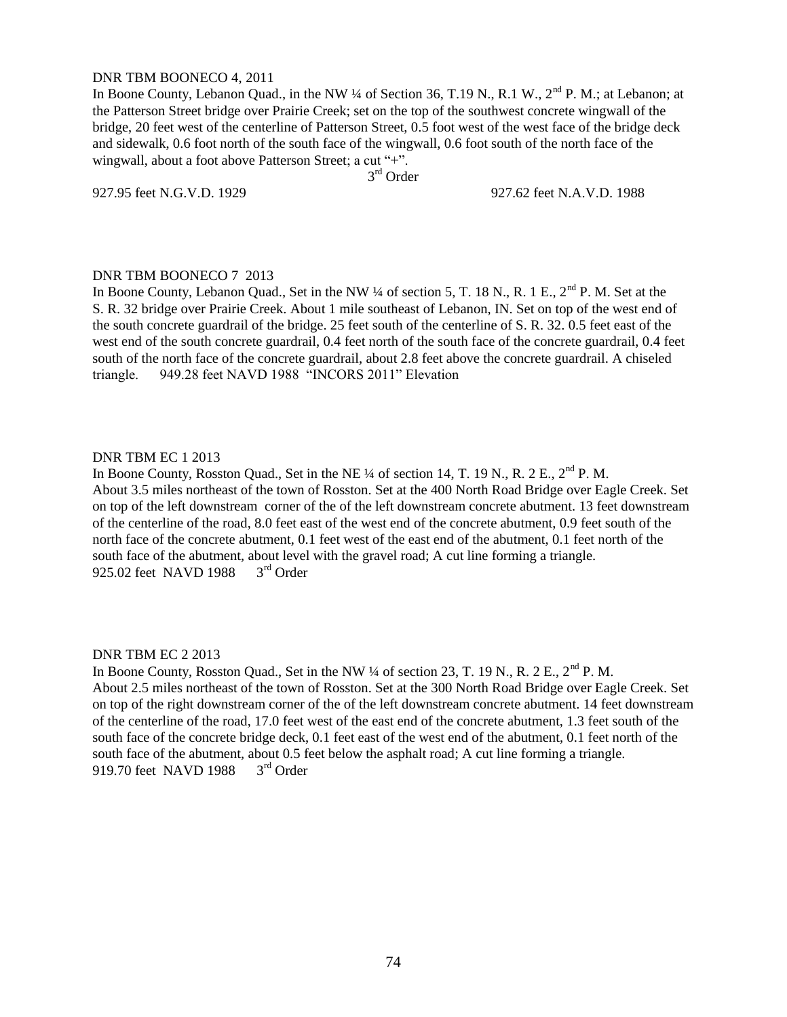### DNR TBM BOONECO 4, 2011

In Boone County, Lebanon Quad., in the NW ¼ of Section 36, T.19 N., R.1 W., 2<sup>nd</sup> P. M.; at Lebanon; at the Patterson Street bridge over Prairie Creek; set on the top of the southwest concrete wingwall of the bridge, 20 feet west of the centerline of Patterson Street, 0.5 foot west of the west face of the bridge deck and sidewalk, 0.6 foot north of the south face of the wingwall, 0.6 foot south of the north face of the wingwall, about a foot above Patterson Street; a cut "+".

3<sup>rd</sup> Order

927.95 feet N.G.V.D. 1929 927.62 feet N.A.V.D. 1988

# DNR TBM BOONECO 7 2013

In Boone County, Lebanon Quad., Set in the NW ¼ of section 5, T. 18 N., R. 1 E., 2<sup>nd</sup> P. M. Set at the S. R. 32 bridge over Prairie Creek. About 1 mile southeast of Lebanon, IN. Set on top of the west end of the south concrete guardrail of the bridge. 25 feet south of the centerline of S. R. 32. 0.5 feet east of the west end of the south concrete guardrail, 0.4 feet north of the south face of the concrete guardrail, 0.4 feet south of the north face of the concrete guardrail, about 2.8 feet above the concrete guardrail. A chiseled triangle. 949.28 feet NAVD 1988 "INCORS 2011" Elevation

## DNR TBM EC 1 2013

In Boone County, Rosston Quad., Set in the NE <sup>1</sup>/4 of section 14, T. 19 N., R. 2 E., 2<sup>nd</sup> P. M. About 3.5 miles northeast of the town of Rosston. Set at the 400 North Road Bridge over Eagle Creek. Set on top of the left downstream corner of the of the left downstream concrete abutment. 13 feet downstream of the centerline of the road, 8.0 feet east of the west end of the concrete abutment, 0.9 feet south of the north face of the concrete abutment, 0.1 feet west of the east end of the abutment, 0.1 feet north of the south face of the abutment, about level with the gravel road; A cut line forming a triangle.<br>925.02 feet NAVD 1988  $3<sup>rd</sup>$  Order 925.02 feet NAVD 1988

## DNR TBM EC 2 2013

In Boone County, Rosston Quad., Set in the NW ¼ of section 23, T. 19 N., R. 2 E., 2<sup>nd</sup> P. M. About 2.5 miles northeast of the town of Rosston. Set at the 300 North Road Bridge over Eagle Creek. Set on top of the right downstream corner of the of the left downstream concrete abutment. 14 feet downstream of the centerline of the road, 17.0 feet west of the east end of the concrete abutment, 1.3 feet south of the south face of the concrete bridge deck, 0.1 feet east of the west end of the abutment, 0.1 feet north of the south face of the abutment, about 0.5 feet below the asphalt road; A cut line forming a triangle. 919.70 feet NAVD 1988 3<sup>rd</sup> Order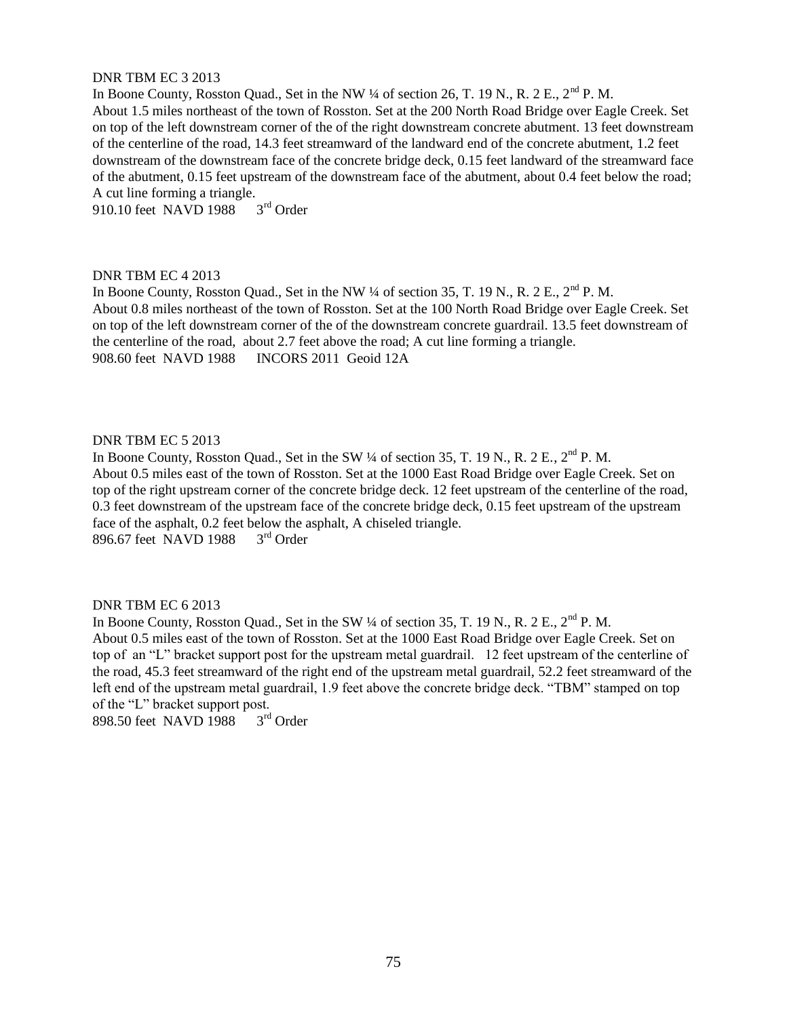### DNR TBM EC 3 2013

In Boone County, Rosston Quad., Set in the NW ¼ of section 26, T. 19 N., R. 2 E., 2<sup>nd</sup> P. M. About 1.5 miles northeast of the town of Rosston. Set at the 200 North Road Bridge over Eagle Creek. Set on top of the left downstream corner of the of the right downstream concrete abutment. 13 feet downstream of the centerline of the road, 14.3 feet streamward of the landward end of the concrete abutment, 1.2 feet downstream of the downstream face of the concrete bridge deck, 0.15 feet landward of the streamward face of the abutment, 0.15 feet upstream of the downstream face of the abutment, about 0.4 feet below the road; A cut line forming a triangle.<br>910.10 feet NAVD 1988  $3<sup>rd</sup>$  Order

910.10 feet NAVD 1988

# DNR TBM EC 4 2013

In Boone County, Rosston Quad., Set in the NW  $\frac{1}{4}$  of section 35, T. 19 N., R. 2 E., 2<sup>nd</sup> P. M. About 0.8 miles northeast of the town of Rosston. Set at the 100 North Road Bridge over Eagle Creek. Set on top of the left downstream corner of the of the downstream concrete guardrail. 13.5 feet downstream of the centerline of the road, about 2.7 feet above the road; A cut line forming a triangle. 908.60 feet NAVD 1988 INCORS 2011 Geoid 12A

### DNR TBM EC 5 2013

In Boone County, Rosston Quad., Set in the SW  $\frac{1}{4}$  of section 35, T. 19 N., R. 2 E., 2<sup>nd</sup> P. M. About 0.5 miles east of the town of Rosston. Set at the 1000 East Road Bridge over Eagle Creek. Set on top of the right upstream corner of the concrete bridge deck. 12 feet upstream of the centerline of the road, 0.3 feet downstream of the upstream face of the concrete bridge deck, 0.15 feet upstream of the upstream face of the asphalt, 0.2 feet below the asphalt, A chiseled triangle.<br>896.67 feet NAVD 1988  $3<sup>rd</sup>$  Order 896.67 feet NAVD 1988

#### DNR TBM EC 6 2013

In Boone County, Rosston Quad., Set in the SW  $\frac{1}{4}$  of section 35, T. 19 N., R. 2 E.,  $2^{\text{nd}}$  P. M. About 0.5 miles east of the town of Rosston. Set at the 1000 East Road Bridge over Eagle Creek. Set on top of an "L" bracket support post for the upstream metal guardrail. 12 feet upstream of the centerline of the road, 45.3 feet streamward of the right end of the upstream metal guardrail, 52.2 feet streamward of the left end of the upstream metal guardrail, 1.9 feet above the concrete bridge deck. "TBM" stamped on top of the "L" bracket support post.<br>898.50 feet NAVD 1988 3<sup>rd</sup> Order

898.50 feet NAVD 1988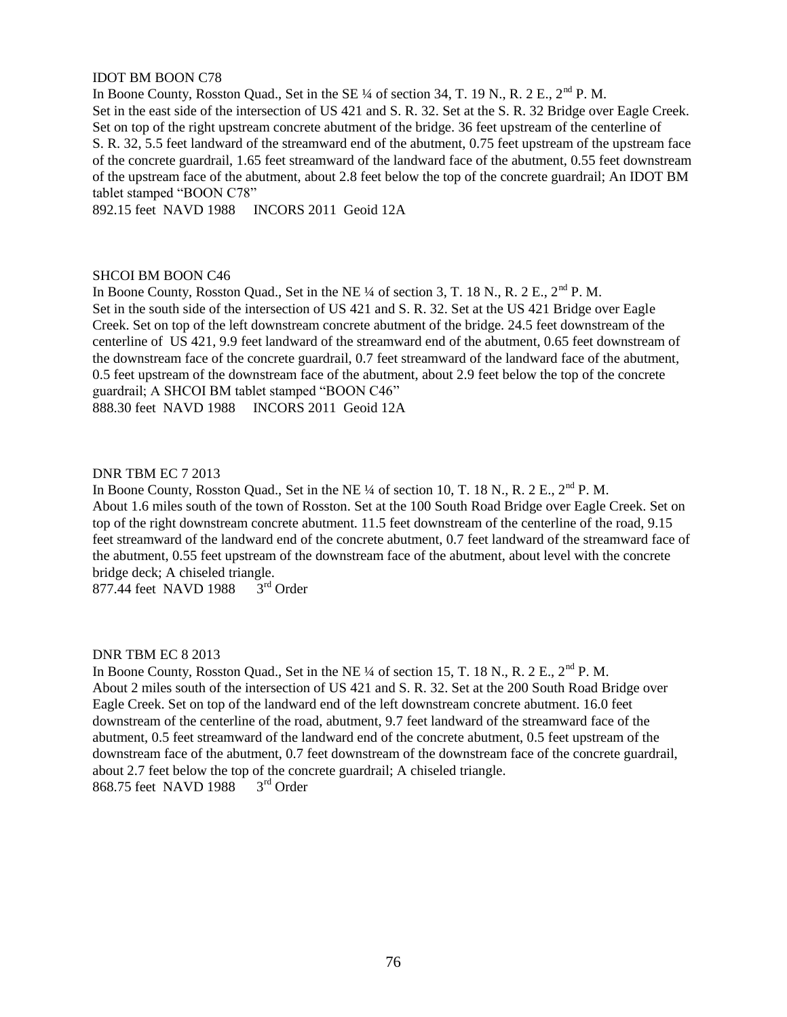# IDOT BM BOON C78

In Boone County, Rosston Quad., Set in the SE <sup>1</sup>/4 of section 34, T. 19 N., R. 2 E., 2<sup>nd</sup> P. M. Set in the east side of the intersection of US 421 and S. R. 32. Set at the S. R. 32 Bridge over Eagle Creek. Set on top of the right upstream concrete abutment of the bridge. 36 feet upstream of the centerline of S. R. 32, 5.5 feet landward of the streamward end of the abutment, 0.75 feet upstream of the upstream face of the concrete guardrail, 1.65 feet streamward of the landward face of the abutment, 0.55 feet downstream of the upstream face of the abutment, about 2.8 feet below the top of the concrete guardrail; An IDOT BM tablet stamped "BOON C78"

892.15 feet NAVD 1988 INCORS 2011 Geoid 12A

# SHCOI BM BOON C46

In Boone County, Rosston Quad., Set in the NE ¼ of section 3, T. 18 N., R. 2 E., 2<sup>nd</sup> P. M. Set in the south side of the intersection of US 421 and S. R. 32. Set at the US 421 Bridge over Eagle Creek. Set on top of the left downstream concrete abutment of the bridge. 24.5 feet downstream of the centerline of US 421, 9.9 feet landward of the streamward end of the abutment, 0.65 feet downstream of the downstream face of the concrete guardrail, 0.7 feet streamward of the landward face of the abutment, 0.5 feet upstream of the downstream face of the abutment, about 2.9 feet below the top of the concrete guardrail; A SHCOI BM tablet stamped "BOON C46" 888.30 feet NAVD 1988 INCORS 2011 Geoid 12A

# DNR TBM EC 7 2013

In Boone County, Rosston Quad., Set in the NE  $\frac{1}{4}$  of section 10, T. 18 N., R. 2 E.,  $2^{\text{nd}}$  P. M. About 1.6 miles south of the town of Rosston. Set at the 100 South Road Bridge over Eagle Creek. Set on top of the right downstream concrete abutment. 11.5 feet downstream of the centerline of the road, 9.15 feet streamward of the landward end of the concrete abutment, 0.7 feet landward of the streamward face of the abutment, 0.55 feet upstream of the downstream face of the abutment, about level with the concrete bridge deck; A chiseled triangle.<br>877.44 feet NAVD 1988 3<sup>rd</sup> Order

877.44 feet NAVD 1988

DNR TBM EC 8 2013

In Boone County, Rosston Quad., Set in the NE <sup>1</sup>/4 of section 15, T. 18 N., R. 2 E., 2<sup>nd</sup> P. M. About 2 miles south of the intersection of US 421 and S. R. 32. Set at the 200 South Road Bridge over Eagle Creek. Set on top of the landward end of the left downstream concrete abutment. 16.0 feet downstream of the centerline of the road, abutment, 9.7 feet landward of the streamward face of the abutment, 0.5 feet streamward of the landward end of the concrete abutment, 0.5 feet upstream of the downstream face of the abutment, 0.7 feet downstream of the downstream face of the concrete guardrail, about 2.7 feet below the top of the concrete guardrail; A chiseled triangle.<br>868.75 feet NAVD 1988  $3<sup>rd</sup>$  Order 868.75 feet NAVD 1988